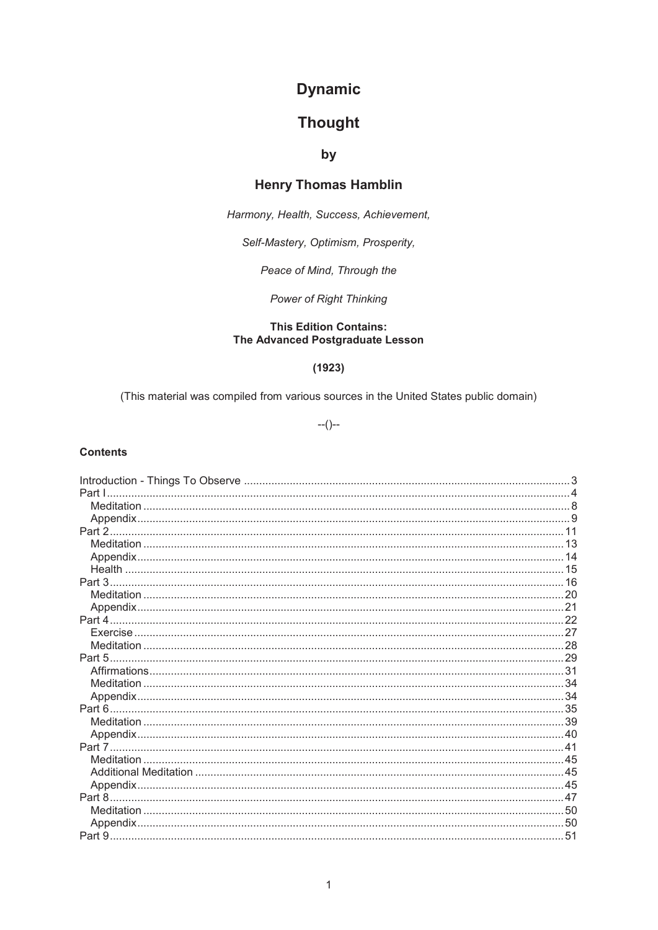# **Dynamic**

# **Thought**

# by

# **Henry Thomas Hamblin**

Harmony, Health, Success, Achievement,

Self-Mastery, Optimism, Prosperity,

Peace of Mind, Through the

Power of Right Thinking

### **This Edition Contains:** The Advanced Postgraduate Lesson

# $(1923)$

(This material was compiled from various sources in the United States public domain)

 $-(-)$ 

# **Contents**

| Part 2  |  |
|---------|--|
|         |  |
|         |  |
|         |  |
|         |  |
|         |  |
|         |  |
|         |  |
|         |  |
|         |  |
| Part 5. |  |
|         |  |
|         |  |
|         |  |
|         |  |
|         |  |
|         |  |
|         |  |
|         |  |
|         |  |
|         |  |
|         |  |
|         |  |
|         |  |
|         |  |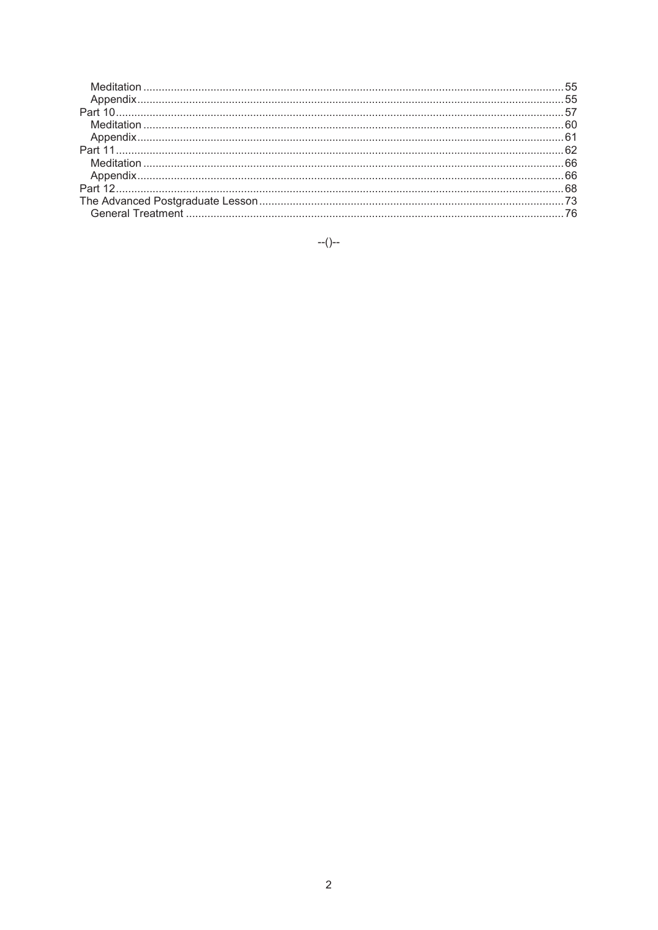$-(-)$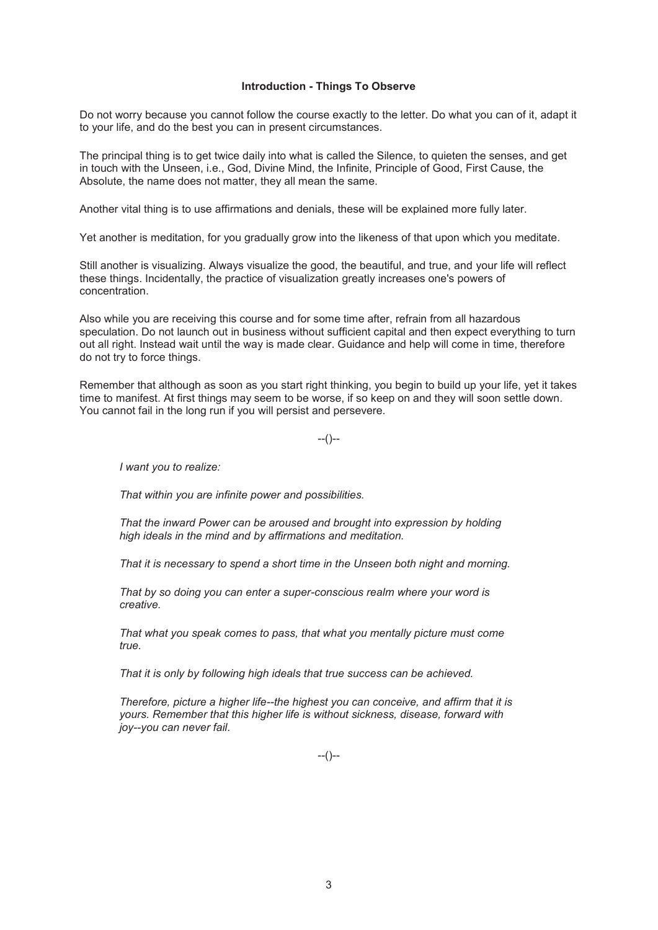#### **Introduction - Things To Observe**

Do not worry because you cannot follow the course exactly to the letter. Do what you can of it, adapt it to your life, and do the best you can in present circumstances.

The principal thing is to get twice daily into what is called the Silence, to quieten the senses, and get in touch with the Unseen, i.e., God, Divine Mind, the Infinite, Principle of Good, First Cause, the Absolute, the name does not matter, they all mean the same.

Another vital thing is to use affirmations and denials, these will be explained more fully later.

Yet another is meditation, for you gradually grow into the likeness of that upon which you meditate.

Still another is visualizing. Always visualize the good, the beautiful, and true, and your life will reflect these things. Incidentally, the practice of visualization greatly increases one's powers of concentration.

Also while you are receiving this course and for some time after, refrain from all hazardous speculation. Do not launch out in business without sufficient capital and then expect everything to turn out all right. Instead wait until the way is made clear. Guidance and help will come in time, therefore do not try to force things.

Remember that although as soon as you start right thinking, you begin to build up your life, yet it takes time to manifest. At first things may seem to be worse, if so keep on and they will soon settle down. You cannot fail in the long run if you will persist and persevere.

 $-(-)$ 

*I want you to realize:*

*That within you are infinite power and possibilities.*

*That the inward Power can be aroused and brought into expression by holding high ideals in the mind and by affirmations and meditation.*

*That it is necessary to spend a short time in the Unseen both night and morning.*

*That by so doing you can enter a super-conscious realm where your word is creative.*

*That what you speak comes to pass, that what you mentally picture must come true.*

*That it is only by following high ideals that true success can be achieved.*

*Therefore, picture a higher life--the highest you can conceive, and affirm that it is yours. Remember that this higher life is without sickness, disease, forward with joy--you can never fail*.

--()--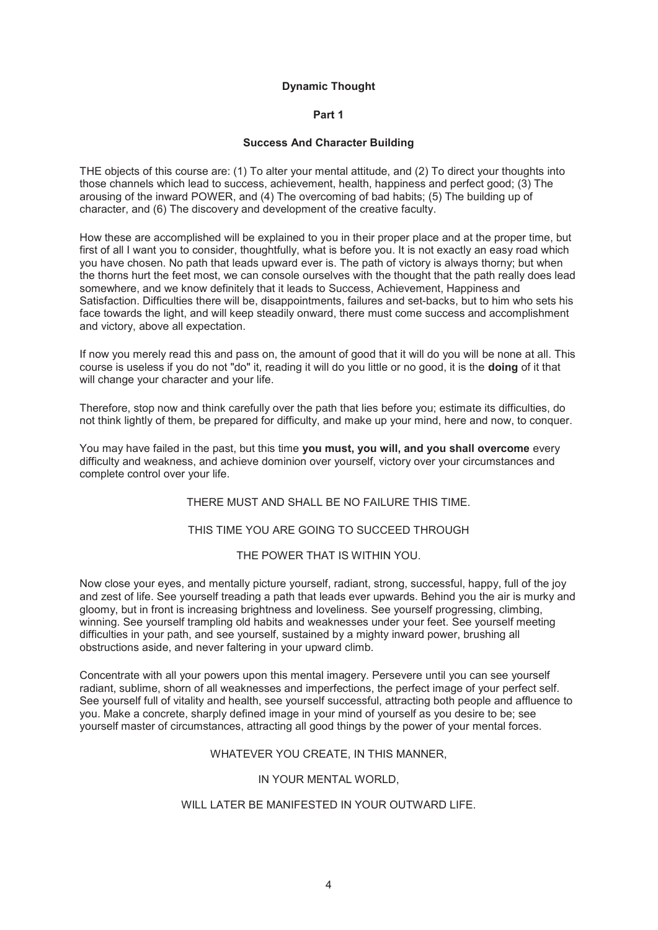# **Dynamic Thought**

# **Part 1**

#### **Success And Character Building**

THE objects of this course are: (1) To alter your mental attitude, and (2) To direct your thoughts into those channels which lead to success, achievement, health, happiness and perfect good; (3) The arousing of the inward POWER, and (4) The overcoming of bad habits; (5) The building up of character, and (6) The discovery and development of the creative faculty.

How these are accomplished will be explained to you in their proper place and at the proper time, but first of all I want you to consider, thoughtfully, what is before you. It is not exactly an easy road which you have chosen. No path that leads upward ever is. The path of victory is always thorny; but when the thorns hurt the feet most, we can console ourselves with the thought that the path really does lead somewhere, and we know definitely that it leads to Success, Achievement, Happiness and Satisfaction. Difficulties there will be, disappointments, failures and set-backs, but to him who sets his face towards the light, and will keep steadily onward, there must come success and accomplishment and victory, above all expectation.

If now you merely read this and pass on, the amount of good that it will do you will be none at all. This course is useless if you do not "do" it, reading it will do you little or no good, it is the **doing** of it that will change your character and your life.

Therefore, stop now and think carefully over the path that lies before you; estimate its difficulties, do not think lightly of them, be prepared for difficulty, and make up your mind, here and now, to conquer.

You may have failed in the past, but this time **you must, you will, and you shall overcome** every difficulty and weakness, and achieve dominion over yourself, victory over your circumstances and complete control over your life.

THERE MUST AND SHALL BE NO FAILURE THIS TIME.

# THIS TIME YOU ARE GOING TO SUCCEED THROUGH

#### THE POWER THAT IS WITHIN YOU.

Now close your eyes, and mentally picture yourself, radiant, strong, successful, happy, full of the joy and zest of life. See yourself treading a path that leads ever upwards. Behind you the air is murky and gloomy, but in front is increasing brightness and loveliness. See yourself progressing, climbing, winning. See yourself trampling old habits and weaknesses under your feet. See yourself meeting difficulties in your path, and see yourself, sustained by a mighty inward power, brushing all obstructions aside, and never faltering in your upward climb.

Concentrate with all your powers upon this mental imagery. Persevere until you can see yourself radiant, sublime, shorn of all weaknesses and imperfections, the perfect image of your perfect self. See yourself full of vitality and health, see yourself successful, attracting both people and affluence to you. Make a concrete, sharply defined image in your mind of yourself as you desire to be; see yourself master of circumstances, attracting all good things by the power of your mental forces.

#### WHATEVER YOU CREATE, IN THIS MANNER,

# IN YOUR MENTAL WORLD,

# WILL LATER BE MANIFESTED IN YOUR OUTWARD LIFE.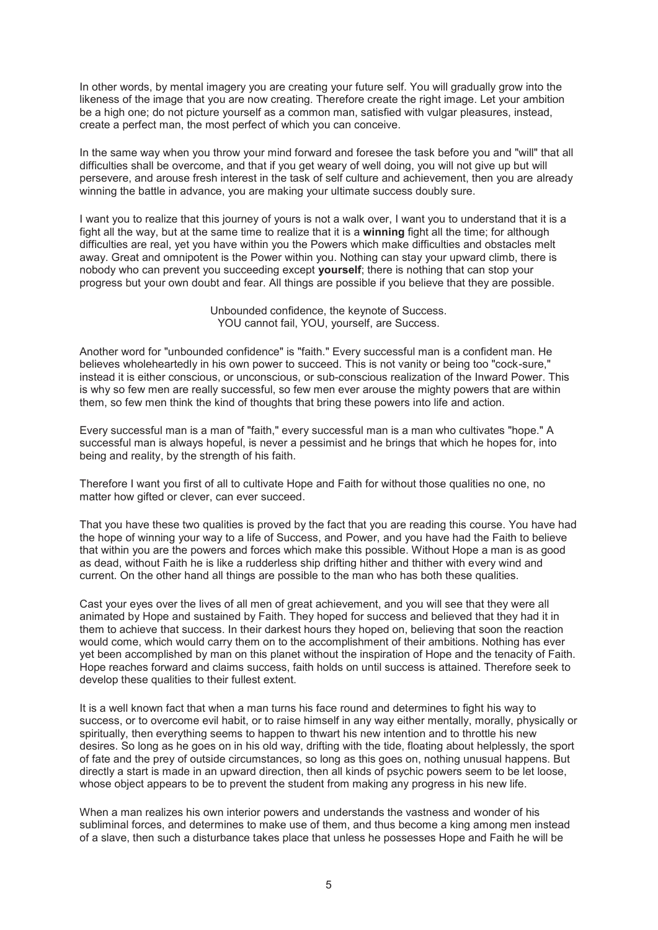In other words, by mental imagery you are creating your future self. You will gradually grow into the likeness of the image that you are now creating. Therefore create the right image. Let your ambition be a high one; do not picture yourself as a common man, satisfied with vulgar pleasures, instead, create a perfect man, the most perfect of which you can conceive.

In the same way when you throw your mind forward and foresee the task before you and "will" that all difficulties shall be overcome, and that if you get weary of well doing, you will not give up but will persevere, and arouse fresh interest in the task of self culture and achievement, then you are already winning the battle in advance, you are making your ultimate success doubly sure.

I want you to realize that this journey of yours is not a walk over, I want you to understand that it is a fight all the way, but at the same time to realize that it is a **winning** fight all the time; for although difficulties are real, yet you have within you the Powers which make difficulties and obstacles melt away. Great and omnipotent is the Power within you. Nothing can stay your upward climb, there is nobody who can prevent you succeeding except **yourself**; there is nothing that can stop your progress but your own doubt and fear. All things are possible if you believe that they are possible.

> Unbounded confidence, the keynote of Success. YOU cannot fail, YOU, yourself, are Success.

Another word for "unbounded confidence" is "faith." Every successful man is a confident man. He believes wholeheartedly in his own power to succeed. This is not vanity or being too "cock-sure," instead it is either conscious, or unconscious, or sub-conscious realization of the Inward Power. This is why so few men are really successful, so few men ever arouse the mighty powers that are within them, so few men think the kind of thoughts that bring these powers into life and action.

Every successful man is a man of "faith," every successful man is a man who cultivates "hope." A successful man is always hopeful, is never a pessimist and he brings that which he hopes for, into being and reality, by the strength of his faith.

Therefore I want you first of all to cultivate Hope and Faith for without those qualities no one, no matter how gifted or clever, can ever succeed.

That you have these two qualities is proved by the fact that you are reading this course. You have had the hope of winning your way to a life of Success, and Power, and you have had the Faith to believe that within you are the powers and forces which make this possible. Without Hope a man is as good as dead, without Faith he is like a rudderless ship drifting hither and thither with every wind and current. On the other hand all things are possible to the man who has both these qualities.

Cast your eyes over the lives of all men of great achievement, and you will see that they were all animated by Hope and sustained by Faith. They hoped for success and believed that they had it in them to achieve that success. In their darkest hours they hoped on, believing that soon the reaction would come, which would carry them on to the accomplishment of their ambitions. Nothing has ever yet been accomplished by man on this planet without the inspiration of Hope and the tenacity of Faith. Hope reaches forward and claims success, faith holds on until success is attained. Therefore seek to develop these qualities to their fullest extent.

It is a well known fact that when a man turns his face round and determines to fight his way to success, or to overcome evil habit, or to raise himself in any way either mentally, morally, physically or spiritually, then everything seems to happen to thwart his new intention and to throttle his new desires. So long as he goes on in his old way, drifting with the tide, floating about helplessly, the sport of fate and the prey of outside circumstances, so long as this goes on, nothing unusual happens. But directly a start is made in an upward direction, then all kinds of psychic powers seem to be let loose, whose object appears to be to prevent the student from making any progress in his new life.

When a man realizes his own interior powers and understands the vastness and wonder of his subliminal forces, and determines to make use of them, and thus become a king among men instead of a slave, then such a disturbance takes place that unless he possesses Hope and Faith he will be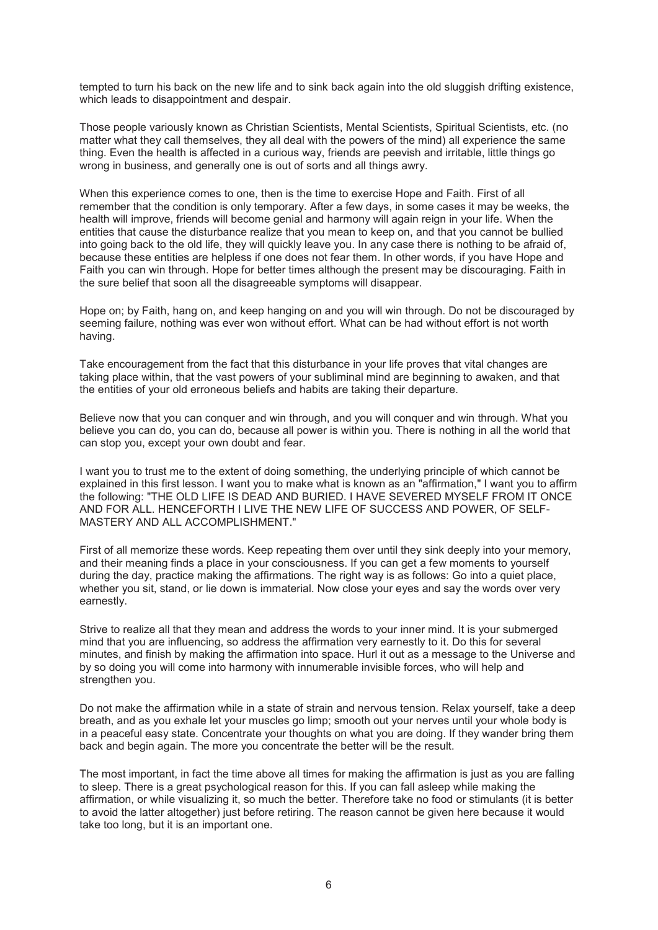tempted to turn his back on the new life and to sink back again into the old sluggish drifting existence, which leads to disappointment and despair.

Those people variously known as Christian Scientists, Mental Scientists, Spiritual Scientists, etc. (no matter what they call themselves, they all deal with the powers of the mind) all experience the same thing. Even the health is affected in a curious way, friends are peevish and irritable, little things go wrong in business, and generally one is out of sorts and all things awry.

When this experience comes to one, then is the time to exercise Hope and Faith. First of all remember that the condition is only temporary. After a few days, in some cases it may be weeks, the health will improve, friends will become genial and harmony will again reign in your life. When the entities that cause the disturbance realize that you mean to keep on, and that you cannot be bullied into going back to the old life, they will quickly leave you. In any case there is nothing to be afraid of, because these entities are helpless if one does not fear them. In other words, if you have Hope and Faith you can win through. Hope for better times although the present may be discouraging. Faith in the sure belief that soon all the disagreeable symptoms will disappear.

Hope on; by Faith, hang on, and keep hanging on and you will win through. Do not be discouraged by seeming failure, nothing was ever won without effort. What can be had without effort is not worth having.

Take encouragement from the fact that this disturbance in your life proves that vital changes are taking place within, that the vast powers of your subliminal mind are beginning to awaken, and that the entities of your old erroneous beliefs and habits are taking their departure.

Believe now that you can conquer and win through, and you will conquer and win through. What you believe you can do, you can do, because all power is within you. There is nothing in all the world that can stop you, except your own doubt and fear.

I want you to trust me to the extent of doing something, the underlying principle of which cannot be explained in this first lesson. I want you to make what is known as an "affirmation," I want you to affirm the following: "THE OLD LIFE IS DEAD AND BURIED. I HAVE SEVERED MYSELF FROM IT ONCE AND FOR ALL. HENCEFORTH I LIVE THE NEW LIFE OF SUCCESS AND POWER, OF SELF-MASTERY AND ALL ACCOMPLISHMENT."

First of all memorize these words. Keep repeating them over until they sink deeply into your memory, and their meaning finds a place in your consciousness. If you can get a few moments to yourself during the day, practice making the affirmations. The right way is as follows: Go into a quiet place, whether you sit, stand, or lie down is immaterial. Now close your eyes and say the words over very earnestly.

Strive to realize all that they mean and address the words to your inner mind. It is your submerged mind that you are influencing, so address the affirmation very earnestly to it. Do this for several minutes, and finish by making the affirmation into space. Hurl it out as a message to the Universe and by so doing you will come into harmony with innumerable invisible forces, who will help and strengthen you.

Do not make the affirmation while in a state of strain and nervous tension. Relax yourself, take a deep breath, and as you exhale let your muscles go limp; smooth out your nerves until your whole body is in a peaceful easy state. Concentrate your thoughts on what you are doing. If they wander bring them back and begin again. The more you concentrate the better will be the result.

The most important, in fact the time above all times for making the affirmation is just as you are falling to sleep. There is a great psychological reason for this. If you can fall asleep while making the affirmation, or while visualizing it, so much the better. Therefore take no food or stimulants (it is better to avoid the latter altogether) just before retiring. The reason cannot be given here because it would take too long, but it is an important one.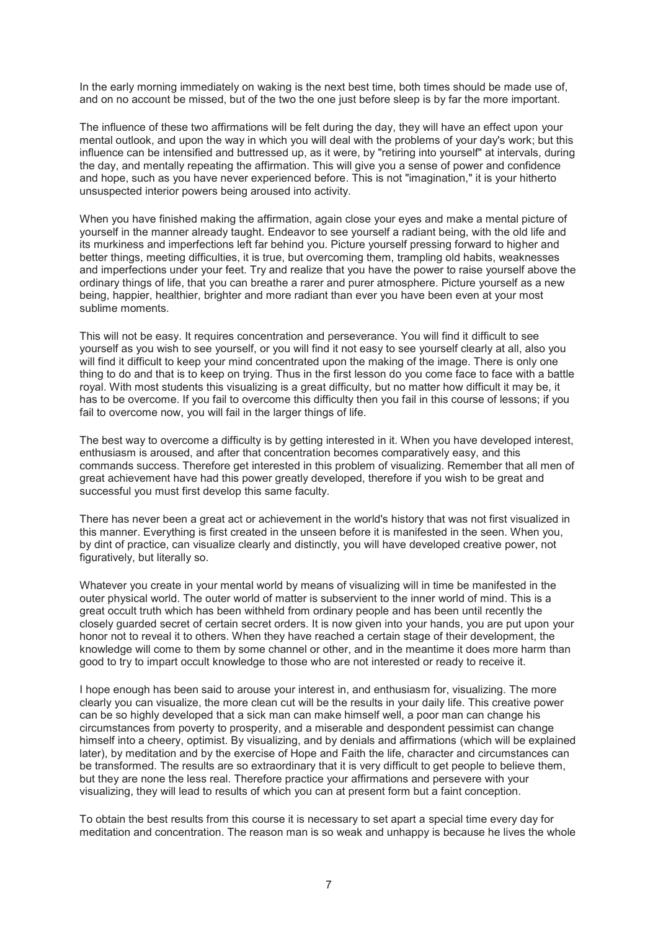In the early morning immediately on waking is the next best time, both times should be made use of, and on no account be missed, but of the two the one just before sleep is by far the more important.

The influence of these two affirmations will be felt during the day, they will have an effect upon your mental outlook, and upon the way in which you will deal with the problems of your day's work; but this influence can be intensified and buttressed up, as it were, by "retiring into yourself" at intervals, during the day, and mentally repeating the affirmation. This will give you a sense of power and confidence and hope, such as you have never experienced before. This is not "imagination," it is your hitherto unsuspected interior powers being aroused into activity.

When you have finished making the affirmation, again close your eyes and make a mental picture of yourself in the manner already taught. Endeavor to see yourself a radiant being, with the old life and its murkiness and imperfections left far behind you. Picture yourself pressing forward to higher and better things, meeting difficulties, it is true, but overcoming them, trampling old habits, weaknesses and imperfections under your feet. Try and realize that you have the power to raise yourself above the ordinary things of life, that you can breathe a rarer and purer atmosphere. Picture yourself as a new being, happier, healthier, brighter and more radiant than ever you have been even at your most sublime moments.

This will not be easy. It requires concentration and perseverance. You will find it difficult to see yourself as you wish to see yourself, or you will find it not easy to see yourself clearly at all, also you will find it difficult to keep your mind concentrated upon the making of the image. There is only one thing to do and that is to keep on trying. Thus in the first lesson do you come face to face with a battle royal. With most students this visualizing is a great difficulty, but no matter how difficult it may be, it has to be overcome. If you fail to overcome this difficulty then you fail in this course of lessons; if you fail to overcome now, you will fail in the larger things of life.

The best way to overcome a difficulty is by getting interested in it. When you have developed interest, enthusiasm is aroused, and after that concentration becomes comparatively easy, and this commands success. Therefore get interested in this problem of visualizing. Remember that all men of great achievement have had this power greatly developed, therefore if you wish to be great and successful you must first develop this same faculty.

There has never been a great act or achievement in the world's history that was not first visualized in this manner. Everything is first created in the unseen before it is manifested in the seen. When you, by dint of practice, can visualize clearly and distinctly, you will have developed creative power, not figuratively, but literally so.

Whatever you create in your mental world by means of visualizing will in time be manifested in the outer physical world. The outer world of matter is subservient to the inner world of mind. This is a great occult truth which has been withheld from ordinary people and has been until recently the closely guarded secret of certain secret orders. It is now given into your hands, you are put upon your honor not to reveal it to others. When they have reached a certain stage of their development, the knowledge will come to them by some channel or other, and in the meantime it does more harm than good to try to impart occult knowledge to those who are not interested or ready to receive it.

I hope enough has been said to arouse your interest in, and enthusiasm for, visualizing. The more clearly you can visualize, the more clean cut will be the results in your daily life. This creative power can be so highly developed that a sick man can make himself well, a poor man can change his circumstances from poverty to prosperity, and a miserable and despondent pessimist can change himself into a cheery, optimist. By visualizing, and by denials and affirmations (which will be explained later), by meditation and by the exercise of Hope and Faith the life, character and circumstances can be transformed. The results are so extraordinary that it is very difficult to get people to believe them, but they are none the less real. Therefore practice your affirmations and persevere with your visualizing, they will lead to results of which you can at present form but a faint conception.

To obtain the best results from this course it is necessary to set apart a special time every day for meditation and concentration. The reason man is so weak and unhappy is because he lives the whole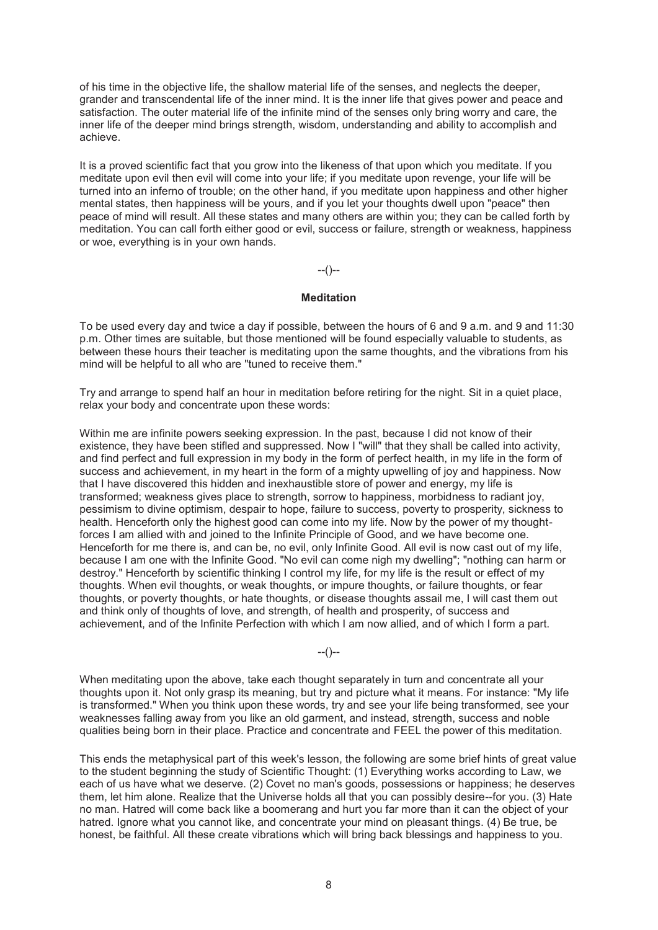of his time in the objective life, the shallow material life of the senses, and neglects the deeper, grander and transcendental life of the inner mind. It is the inner life that gives power and peace and satisfaction. The outer material life of the infinite mind of the senses only bring worry and care, the inner life of the deeper mind brings strength, wisdom, understanding and ability to accomplish and achieve.

It is a proved scientific fact that you grow into the likeness of that upon which you meditate. If you meditate upon evil then evil will come into your life; if you meditate upon revenge, your life will be turned into an inferno of trouble; on the other hand, if you meditate upon happiness and other higher mental states, then happiness will be yours, and if you let your thoughts dwell upon "peace" then peace of mind will result. All these states and many others are within you; they can be called forth by meditation. You can call forth either good or evil, success or failure, strength or weakness, happiness or woe, everything is in your own hands.

# --()--

### **Meditation**

To be used every day and twice a day if possible, between the hours of 6 and 9 a.m. and 9 and 11:30 p.m. Other times are suitable, but those mentioned will be found especially valuable to students, as between these hours their teacher is meditating upon the same thoughts, and the vibrations from his mind will be helpful to all who are "tuned to receive them."

Try and arrange to spend half an hour in meditation before retiring for the night. Sit in a quiet place, relax your body and concentrate upon these words:

Within me are infinite powers seeking expression. In the past, because I did not know of their existence, they have been stifled and suppressed. Now I "will" that they shall be called into activity, and find perfect and full expression in my body in the form of perfect health, in my life in the form of success and achievement, in my heart in the form of a mighty upwelling of joy and happiness. Now that I have discovered this hidden and inexhaustible store of power and energy, my life is transformed; weakness gives place to strength, sorrow to happiness, morbidness to radiant joy, pessimism to divine optimism, despair to hope, failure to success, poverty to prosperity, sickness to health. Henceforth only the highest good can come into my life. Now by the power of my thoughtforces I am allied with and joined to the Infinite Principle of Good, and we have become one. Henceforth for me there is, and can be, no evil, only Infinite Good. All evil is now cast out of my life, because I am one with the Infinite Good. "No evil can come nigh my dwelling"; "nothing can harm or destroy." Henceforth by scientific thinking I control my life, for my life is the result or effect of my thoughts. When evil thoughts, or weak thoughts, or impure thoughts, or failure thoughts, or fear thoughts, or poverty thoughts, or hate thoughts, or disease thoughts assail me, I will cast them out and think only of thoughts of love, and strength, of health and prosperity, of success and achievement, and of the Infinite Perfection with which I am now allied, and of which I form a part.

--()--

When meditating upon the above, take each thought separately in turn and concentrate all your thoughts upon it. Not only grasp its meaning, but try and picture what it means. For instance: "My life is transformed." When you think upon these words, try and see your life being transformed, see your weaknesses falling away from you like an old garment, and instead, strength, success and noble qualities being born in their place. Practice and concentrate and FEEL the power of this meditation.

This ends the metaphysical part of this week's lesson, the following are some brief hints of great value to the student beginning the study of Scientific Thought: (1) Everything works according to Law, we each of us have what we deserve. (2) Covet no man's goods, possessions or happiness; he deserves them, let him alone. Realize that the Universe holds all that you can possibly desire--for you. (3) Hate no man. Hatred will come back like a boomerang and hurt you far more than it can the object of your hatred. Ignore what you cannot like, and concentrate your mind on pleasant things. (4) Be true, be honest, be faithful. All these create vibrations which will bring back blessings and happiness to you.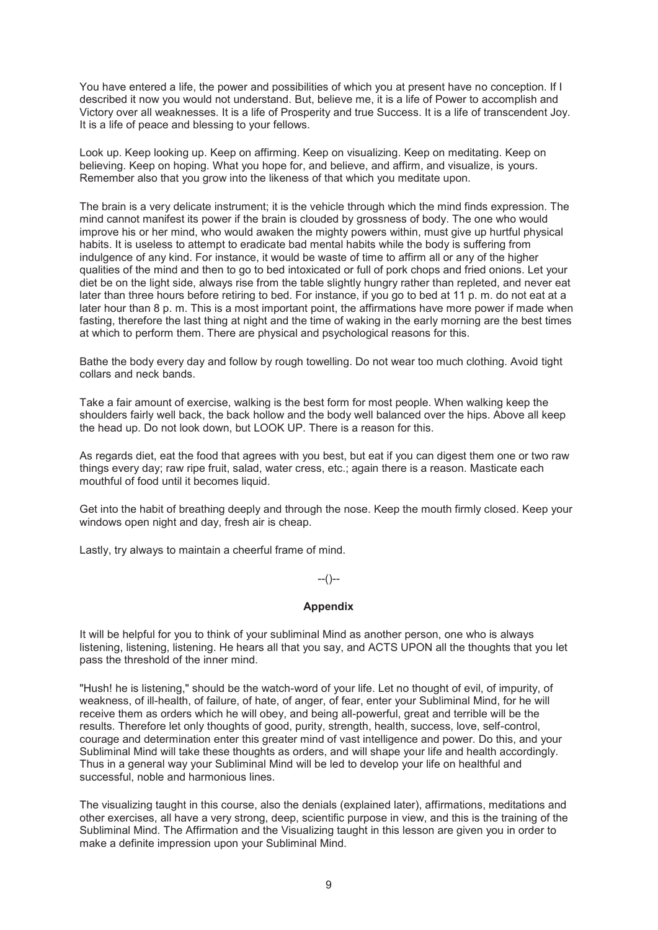You have entered a life, the power and possibilities of which you at present have no conception. If I described it now you would not understand. But, believe me, it is a life of Power to accomplish and Victory over all weaknesses. It is a life of Prosperity and true Success. It is a life of transcendent Joy. It is a life of peace and blessing to your fellows.

Look up. Keep looking up. Keep on affirming. Keep on visualizing. Keep on meditating. Keep on believing. Keep on hoping. What you hope for, and believe, and affirm, and visualize, is yours. Remember also that you grow into the likeness of that which you meditate upon.

The brain is a very delicate instrument; it is the vehicle through which the mind finds expression. The mind cannot manifest its power if the brain is clouded by grossness of body. The one who would improve his or her mind, who would awaken the mighty powers within, must give up hurtful physical habits. It is useless to attempt to eradicate bad mental habits while the body is suffering from indulgence of any kind. For instance, it would be waste of time to affirm all or any of the higher qualities of the mind and then to go to bed intoxicated or full of pork chops and fried onions. Let your diet be on the light side, always rise from the table slightly hungry rather than repleted, and never eat later than three hours before retiring to bed. For instance, if you go to bed at 11 p. m. do not eat at a later hour than 8 p. m. This is a most important point, the affirmations have more power if made when fasting, therefore the last thing at night and the time of waking in the early morning are the best times at which to perform them. There are physical and psychological reasons for this.

Bathe the body every day and follow by rough towelling. Do not wear too much clothing. Avoid tight collars and neck bands.

Take a fair amount of exercise, walking is the best form for most people. When walking keep the shoulders fairly well back, the back hollow and the body well balanced over the hips. Above all keep the head up. Do not look down, but LOOK UP. There is a reason for this.

As regards diet, eat the food that agrees with you best, but eat if you can digest them one or two raw things every day; raw ripe fruit, salad, water cress, etc.; again there is a reason. Masticate each mouthful of food until it becomes liquid.

Get into the habit of breathing deeply and through the nose. Keep the mouth firmly closed. Keep your windows open night and day, fresh air is cheap.

Lastly, try always to maintain a cheerful frame of mind.

# $-(-)$

# **Appendix**

It will be helpful for you to think of your subliminal Mind as another person, one who is always listening, listening, listening. He hears all that you say, and ACTS UPON all the thoughts that you let pass the threshold of the inner mind.

"Hush! he is listening," should be the watch-word of your life. Let no thought of evil, of impurity, of weakness, of ill-health, of failure, of hate, of anger, of fear, enter your Subliminal Mind, for he will receive them as orders which he will obey, and being all-powerful, great and terrible will be the results. Therefore let only thoughts of good, purity, strength, health, success, love, self-control, courage and determination enter this greater mind of vast intelligence and power. Do this, and your Subliminal Mind will take these thoughts as orders, and will shape your life and health accordingly. Thus in a general way your Subliminal Mind will be led to develop your life on healthful and successful, noble and harmonious lines.

The visualizing taught in this course, also the denials (explained later), affirmations, meditations and other exercises, all have a very strong, deep, scientific purpose in view, and this is the training of the Subliminal Mind. The Affirmation and the Visualizing taught in this lesson are given you in order to make a definite impression upon your Subliminal Mind.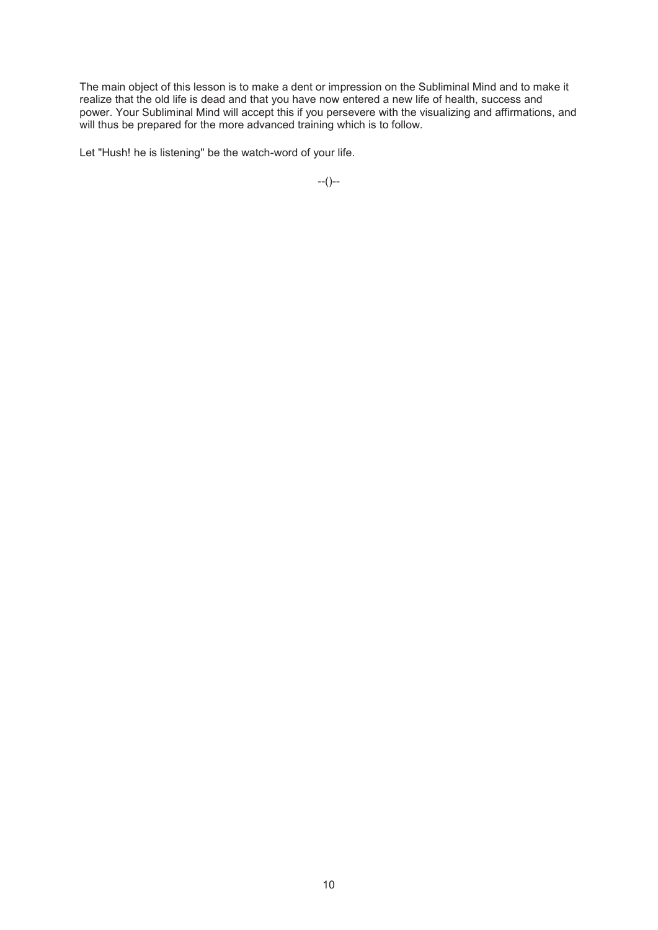The main object of this lesson is to make a dent or impression on the Subliminal Mind and to make it realize that the old life is dead and that you have now entered a new life of health, success and power. Your Subliminal Mind will accept this if you persevere with the visualizing and affirmations, and will thus be prepared for the more advanced training which is to follow.

Let "Hush! he is listening" be the watch-word of your life.

--()--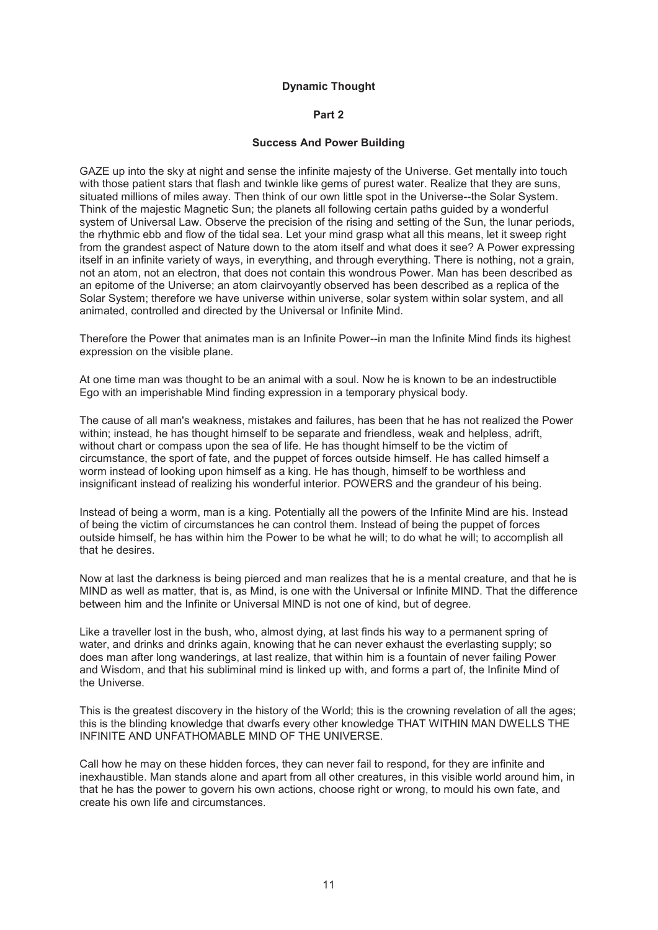# **Dynamic Thought**

# **Part 2**

#### **Success And Power Building**

GAZE up into the sky at night and sense the infinite majesty of the Universe. Get mentally into touch with those patient stars that flash and twinkle like gems of purest water. Realize that they are suns, situated millions of miles away. Then think of our own little spot in the Universe--the Solar System. Think of the majestic Magnetic Sun; the planets all following certain paths guided by a wonderful system of Universal Law. Observe the precision of the rising and setting of the Sun, the lunar periods, the rhythmic ebb and flow of the tidal sea. Let your mind grasp what all this means, let it sweep right from the grandest aspect of Nature down to the atom itself and what does it see? A Power expressing itself in an infinite variety of ways, in everything, and through everything. There is nothing, not a grain, not an atom, not an electron, that does not contain this wondrous Power. Man has been described as an epitome of the Universe; an atom clairvoyantly observed has been described as a replica of the Solar System; therefore we have universe within universe, solar system within solar system, and all animated, controlled and directed by the Universal or Infinite Mind.

Therefore the Power that animates man is an Infinite Power--in man the Infinite Mind finds its highest expression on the visible plane.

At one time man was thought to be an animal with a soul. Now he is known to be an indestructible Ego with an imperishable Mind finding expression in a temporary physical body.

The cause of all man's weakness, mistakes and failures, has been that he has not realized the Power within; instead, he has thought himself to be separate and friendless, weak and helpless, adrift, without chart or compass upon the sea of life. He has thought himself to be the victim of circumstance, the sport of fate, and the puppet of forces outside himself. He has called himself a worm instead of looking upon himself as a king. He has though, himself to be worthless and insignificant instead of realizing his wonderful interior. POWERS and the grandeur of his being.

Instead of being a worm, man is a king. Potentially all the powers of the Infinite Mind are his. Instead of being the victim of circumstances he can control them. Instead of being the puppet of forces outside himself, he has within him the Power to be what he will; to do what he will; to accomplish all that he desires.

Now at last the darkness is being pierced and man realizes that he is a mental creature, and that he is MIND as well as matter, that is, as Mind, is one with the Universal or Infinite MIND. That the difference between him and the Infinite or Universal MIND is not one of kind, but of degree.

Like a traveller lost in the bush, who, almost dying, at last finds his way to a permanent spring of water, and drinks and drinks again, knowing that he can never exhaust the everlasting supply; so does man after long wanderings, at last realize, that within him is a fountain of never failing Power and Wisdom, and that his subliminal mind is linked up with, and forms a part of, the Infinite Mind of the Universe.

This is the greatest discovery in the history of the World; this is the crowning revelation of all the ages; this is the blinding knowledge that dwarfs every other knowledge THAT WITHIN MAN DWELLS THE INFINITE AND UNFATHOMABLE MIND OF THE UNIVERSE.

Call how he may on these hidden forces, they can never fail to respond, for they are infinite and inexhaustible. Man stands alone and apart from all other creatures, in this visible world around him, in that he has the power to govern his own actions, choose right or wrong, to mould his own fate, and create his own life and circumstances.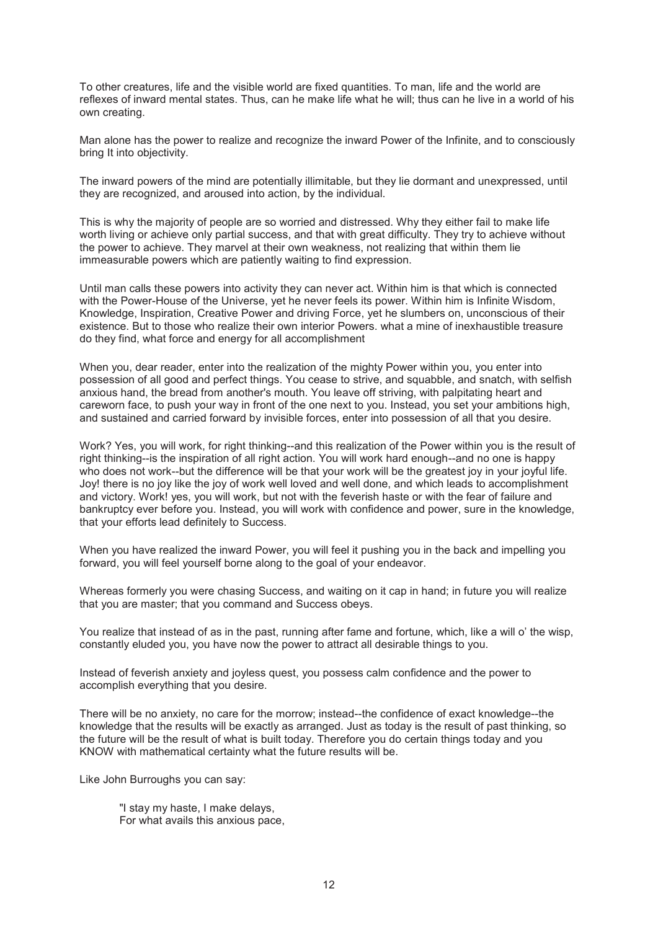To other creatures, life and the visible world are fixed quantities. To man, life and the world are reflexes of inward mental states. Thus, can he make life what he will; thus can he live in a world of his own creating.

Man alone has the power to realize and recognize the inward Power of the Infinite, and to consciously bring It into objectivity.

The inward powers of the mind are potentially illimitable, but they lie dormant and unexpressed, until they are recognized, and aroused into action, by the individual.

This is why the majority of people are so worried and distressed. Why they either fail to make life worth living or achieve only partial success, and that with great difficulty. They try to achieve without the power to achieve. They marvel at their own weakness, not realizing that within them lie immeasurable powers which are patiently waiting to find expression.

Until man calls these powers into activity they can never act. Within him is that which is connected with the Power-House of the Universe, yet he never feels its power. Within him is Infinite Wisdom, Knowledge, Inspiration, Creative Power and driving Force, yet he slumbers on, unconscious of their existence. But to those who realize their own interior Powers. what a mine of inexhaustible treasure do they find, what force and energy for all accomplishment

When you, dear reader, enter into the realization of the mighty Power within you, you enter into possession of all good and perfect things. You cease to strive, and squabble, and snatch, with selfish anxious hand, the bread from another's mouth. You leave off striving, with palpitating heart and careworn face, to push your way in front of the one next to you. Instead, you set your ambitions high, and sustained and carried forward by invisible forces, enter into possession of all that you desire.

Work? Yes, you will work, for right thinking--and this realization of the Power within you is the result of right thinking--is the inspiration of all right action. You will work hard enough--and no one is happy who does not work--but the difference will be that your work will be the greatest joy in your joyful life. Joy! there is no joy like the joy of work well loved and well done, and which leads to accomplishment and victory. Work! yes, you will work, but not with the feverish haste or with the fear of failure and bankruptcy ever before you. Instead, you will work with confidence and power, sure in the knowledge, that your efforts lead definitely to Success.

When you have realized the inward Power, you will feel it pushing you in the back and impelling you forward, you will feel yourself borne along to the goal of your endeavor.

Whereas formerly you were chasing Success, and waiting on it cap in hand; in future you will realize that you are master; that you command and Success obeys.

You realize that instead of as in the past, running after fame and fortune, which, like a will o' the wisp, constantly eluded you, you have now the power to attract all desirable things to you.

Instead of feverish anxiety and joyless quest, you possess calm confidence and the power to accomplish everything that you desire.

There will be no anxiety, no care for the morrow; instead--the confidence of exact knowledge--the knowledge that the results will be exactly as arranged. Just as today is the result of past thinking, so the future will be the result of what is built today. Therefore you do certain things today and you KNOW with mathematical certainty what the future results will be.

Like John Burroughs you can say:

"I stay my haste, I make delays, For what avails this anxious pace,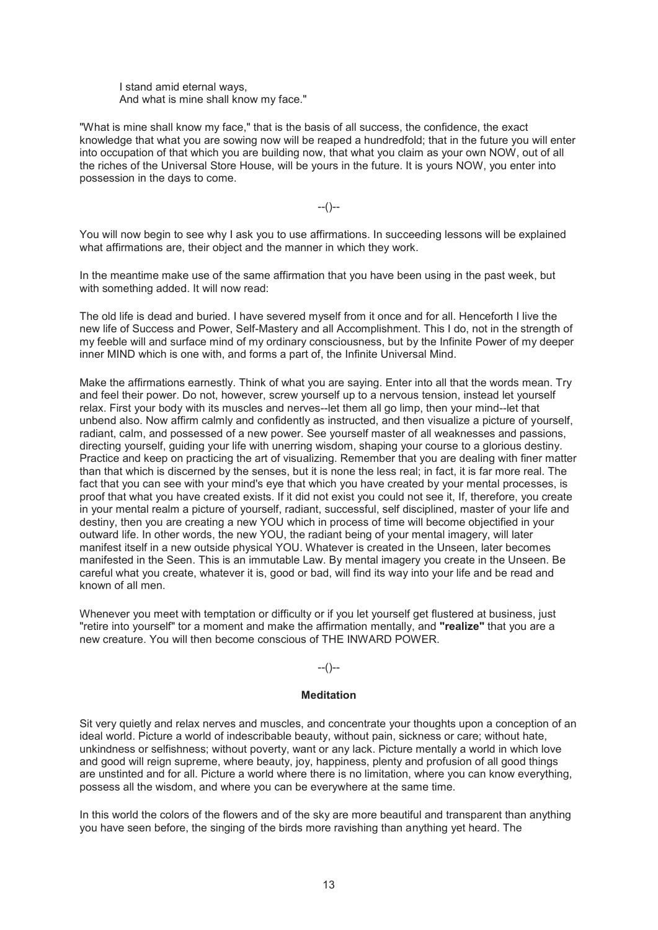I stand amid eternal ways, And what is mine shall know my face."

"What is mine shall know my face," that is the basis of all success, the confidence, the exact knowledge that what you are sowing now will be reaped a hundredfold; that in the future you will enter into occupation of that which you are building now, that what you claim as your own NOW, out of all the riches of the Universal Store House, will be yours in the future. It is yours NOW, you enter into possession in the days to come.

--()--

You will now begin to see why I ask you to use affirmations. In succeeding lessons will be explained what affirmations are, their object and the manner in which they work.

In the meantime make use of the same affirmation that you have been using in the past week, but with something added. It will now read:

The old life is dead and buried. I have severed myself from it once and for all. Henceforth I live the new life of Success and Power, Self-Mastery and all Accomplishment. This I do, not in the strength of my feeble will and surface mind of my ordinary consciousness, but by the Infinite Power of my deeper inner MIND which is one with, and forms a part of, the Infinite Universal Mind.

Make the affirmations earnestly. Think of what you are saying. Enter into all that the words mean. Try and feel their power. Do not, however, screw yourself up to a nervous tension, instead let yourself relax. First your body with its muscles and nerves--let them all go limp, then your mind--let that unbend also. Now affirm calmly and confidently as instructed, and then visualize a picture of yourself, radiant, calm, and possessed of a new power. See yourself master of all weaknesses and passions, directing yourself, guiding your life with unerring wisdom, shaping your course to a glorious destiny. Practice and keep on practicing the art of visualizing. Remember that you are dealing with finer matter than that which is discerned by the senses, but it is none the less real; in fact, it is far more real. The fact that you can see with your mind's eye that which you have created by your mental processes, is proof that what you have created exists. If it did not exist you could not see it, If, therefore, you create in your mental realm a picture of yourself, radiant, successful, self disciplined, master of your life and destiny, then you are creating a new YOU which in process of time will become objectified in your outward life. In other words, the new YOU, the radiant being of your mental imagery, will later manifest itself in a new outside physical YOU. Whatever is created in the Unseen, later becomes manifested in the Seen. This is an immutable Law. By mental imagery you create in the Unseen. Be careful what you create, whatever it is, good or bad, will find its way into your life and be read and known of all men.

Whenever you meet with temptation or difficulty or if you let yourself get flustered at business, just "retire into yourself" tor a moment and make the affirmation mentally, and **"realize"** that you are a new creature. You will then become conscious of THE INWARD POWER.

#### --()--

#### **Meditation**

Sit very quietly and relax nerves and muscles, and concentrate your thoughts upon a conception of an ideal world. Picture a world of indescribable beauty, without pain, sickness or care; without hate, unkindness or selfishness; without poverty, want or any lack. Picture mentally a world in which love and good will reign supreme, where beauty, joy, happiness, plenty and profusion of all good things are unstinted and for all. Picture a world where there is no limitation, where you can know everything, possess all the wisdom, and where you can be everywhere at the same time.

In this world the colors of the flowers and of the sky are more beautiful and transparent than anything you have seen before, the singing of the birds more ravishing than anything yet heard. The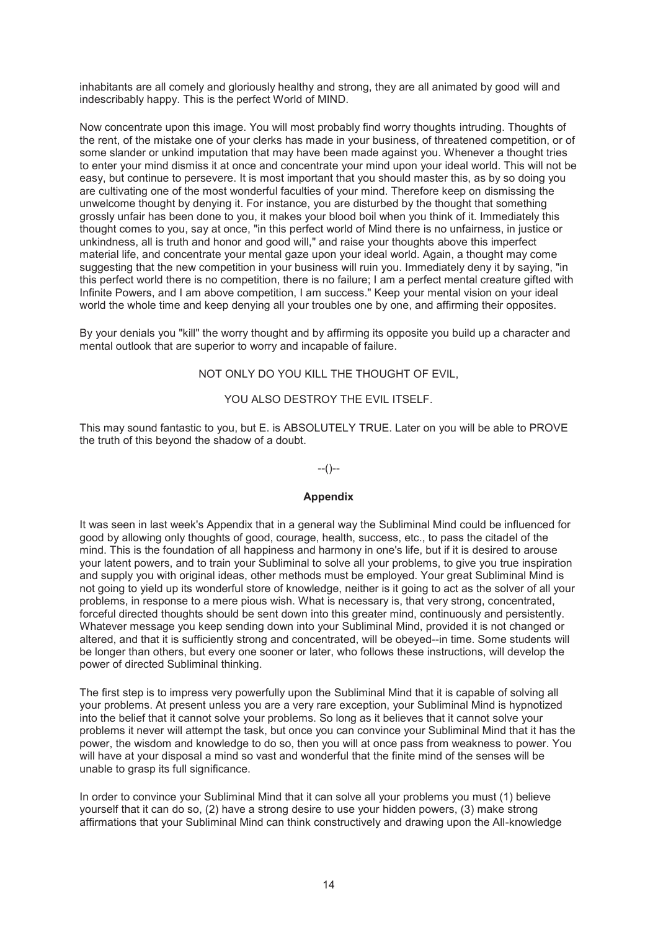inhabitants are all comely and gloriously healthy and strong, they are all animated by good will and indescribably happy. This is the perfect World of MIND.

Now concentrate upon this image. You will most probably find worry thoughts intruding. Thoughts of the rent, of the mistake one of your clerks has made in your business, of threatened competition, or of some slander or unkind imputation that may have been made against you. Whenever a thought tries to enter your mind dismiss it at once and concentrate your mind upon your ideal world. This will not be easy, but continue to persevere. It is most important that you should master this, as by so doing you are cultivating one of the most wonderful faculties of your mind. Therefore keep on dismissing the unwelcome thought by denying it. For instance, you are disturbed by the thought that something grossly unfair has been done to you, it makes your blood boil when you think of it. Immediately this thought comes to you, say at once, "in this perfect world of Mind there is no unfairness, in justice or unkindness, all is truth and honor and good will," and raise your thoughts above this imperfect material life, and concentrate your mental gaze upon your ideal world. Again, a thought may come suggesting that the new competition in your business will ruin you. Immediately deny it by saying, "in this perfect world there is no competition, there is no failure; I am a perfect mental creature gifted with Infinite Powers, and I am above competition, I am success." Keep your mental vision on your ideal world the whole time and keep denying all your troubles one by one, and affirming their opposites.

By your denials you "kill" the worry thought and by affirming its opposite you build up a character and mental outlook that are superior to worry and incapable of failure.

# NOT ONLY DO YOU KILL THE THOUGHT OF EVIL,

# YOU ALSO DESTROY THE EVIL ITSELF.

This may sound fantastic to you, but E. is ABSOLUTELY TRUE. Later on you will be able to PROVE the truth of this beyond the shadow of a doubt.

#### $-(-)$

#### **Appendix**

It was seen in last week's Appendix that in a general way the Subliminal Mind could be influenced for good by allowing only thoughts of good, courage, health, success, etc., to pass the citadel of the mind. This is the foundation of all happiness and harmony in one's life, but if it is desired to arouse your latent powers, and to train your Subliminal to solve all your problems, to give you true inspiration and supply you with original ideas, other methods must be employed. Your great Subliminal Mind is not going to yield up its wonderful store of knowledge, neither is it going to act as the solver of all your problems, in response to a mere pious wish. What is necessary is, that very strong, concentrated, forceful directed thoughts should be sent down into this greater mind, continuously and persistently. Whatever message you keep sending down into your Subliminal Mind, provided it is not changed or altered, and that it is sufficiently strong and concentrated, will be obeyed--in time. Some students will be longer than others, but every one sooner or later, who follows these instructions, will develop the power of directed Subliminal thinking.

The first step is to impress very powerfully upon the Subliminal Mind that it is capable of solving all your problems. At present unless you are a very rare exception, your Subliminal Mind is hypnotized into the belief that it cannot solve your problems. So long as it believes that it cannot solve your problems it never will attempt the task, but once you can convince your Subliminal Mind that it has the power, the wisdom and knowledge to do so, then you will at once pass from weakness to power. You will have at your disposal a mind so vast and wonderful that the finite mind of the senses will be unable to grasp its full significance.

In order to convince your Subliminal Mind that it can solve all your problems you must (1) believe yourself that it can do so, (2) have a strong desire to use your hidden powers, (3) make strong affirmations that your Subliminal Mind can think constructively and drawing upon the All-knowledge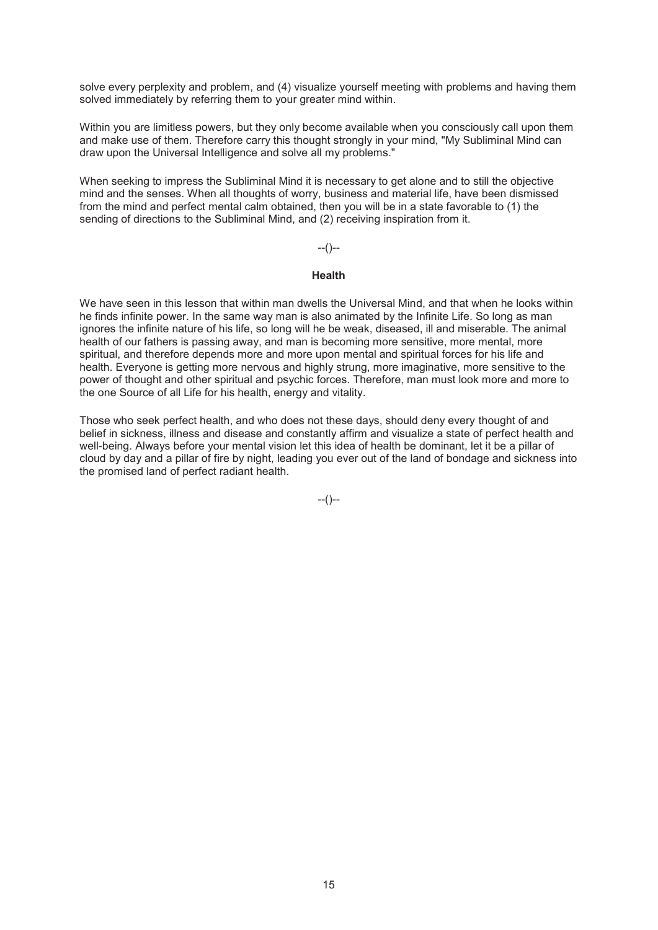solve every perplexity and problem, and (4) visualize yourself meeting with problems and having them solved immediately by referring them to your greater mind within.

Within you are limitless powers, but they only become available when you consciously call upon them and make use of them. Therefore carry this thought strongly in your mind, "My Subliminal Mind can draw upon the Universal Intelligence and solve all my problems."

When seeking to impress the Subliminal Mind it is necessary to get alone and to still the objective mind and the senses. When all thoughts of worry, business and material life, have been dismissed from the mind and perfect mental calm obtained, then you will be in a state favorable to (1) the sending of directions to the Subliminal Mind, and (2) receiving inspiration from it.

#### $-(-)$

#### **Health**

We have seen in this lesson that within man dwells the Universal Mind, and that when he looks within he finds infinite power. In the same way man is also animated by the Infinite Life. So long as man ignores the infinite nature of his life, so long will he be weak, diseased, ill and miserable. The animal health of our fathers is passing away, and man is becoming more sensitive, more mental, more spiritual, and therefore depends more and more upon mental and spiritual forces for his life and health. Everyone is getting more nervous and highly strung, more imaginative, more sensitive to the power of thought and other spiritual and psychic forces. Therefore, man must look more and more to the one Source of all Life for his health, energy and vitality.

Those who seek perfect health, and who does not these days, should deny every thought of and belief in sickness, illness and disease and constantly affirm and visualize a state of perfect health and well-being. Always before your mental vision let this idea of health be dominant, let it be a pillar of cloud by day and a pillar of fire by night, leading you ever out of the land of bondage and sickness into the promised land of perfect radiant health.

--()--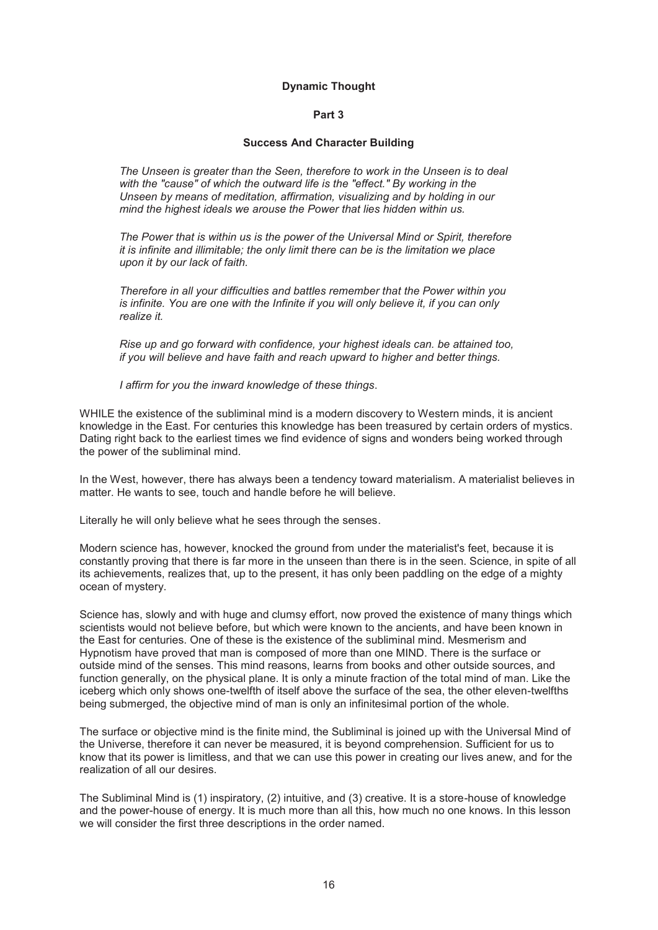# **Dynamic Thought**

# **Part 3**

#### **Success And Character Building**

*The Unseen is greater than the Seen, therefore to work in the Unseen is to deal with the "cause" of which the outward life is the "effect." By working in the Unseen by means of meditation, affirmation, visualizing and by holding in our mind the highest ideals we arouse the Power that lies hidden within us.*

*The Power that is within us is the power of the Universal Mind or Spirit, therefore it is infinite and illimitable; the only limit there can be is the limitation we place upon it by our lack of faith.*

*Therefore in all your difficulties and battles remember that the Power within you is infinite. You are one with the Infinite if you will only believe it, if you can only realize it.*

*Rise up and go forward with confidence, your highest ideals can. be attained too, if you will believe and have faith and reach upward to higher and better things.*

*I affirm for you the inward knowledge of these things*.

WHILE the existence of the subliminal mind is a modern discovery to Western minds, it is ancient knowledge in the East. For centuries this knowledge has been treasured by certain orders of mystics. Dating right back to the earliest times we find evidence of signs and wonders being worked through the power of the subliminal mind.

In the West, however, there has always been a tendency toward materialism. A materialist believes in matter. He wants to see, touch and handle before he will believe.

Literally he will only believe what he sees through the senses.

Modern science has, however, knocked the ground from under the materialist's feet, because it is constantly proving that there is far more in the unseen than there is in the seen. Science, in spite of all its achievements, realizes that, up to the present, it has only been paddling on the edge of a mighty ocean of mystery.

Science has, slowly and with huge and clumsy effort, now proved the existence of many things which scientists would not believe before, but which were known to the ancients, and have been known in the East for centuries. One of these is the existence of the subliminal mind. Mesmerism and Hypnotism have proved that man is composed of more than one MIND. There is the surface or outside mind of the senses. This mind reasons, learns from books and other outside sources, and function generally, on the physical plane. It is only a minute fraction of the total mind of man. Like the iceberg which only shows one-twelfth of itself above the surface of the sea, the other eleven-twelfths being submerged, the objective mind of man is only an infinitesimal portion of the whole.

The surface or objective mind is the finite mind, the Subliminal is joined up with the Universal Mind of the Universe, therefore it can never be measured, it is beyond comprehension. Sufficient for us to know that its power is limitless, and that we can use this power in creating our lives anew, and for the realization of all our desires.

The Subliminal Mind is (1) inspiratory, (2) intuitive, and (3) creative. It is a store-house of knowledge and the power-house of energy. It is much more than all this, how much no one knows. In this lesson we will consider the first three descriptions in the order named.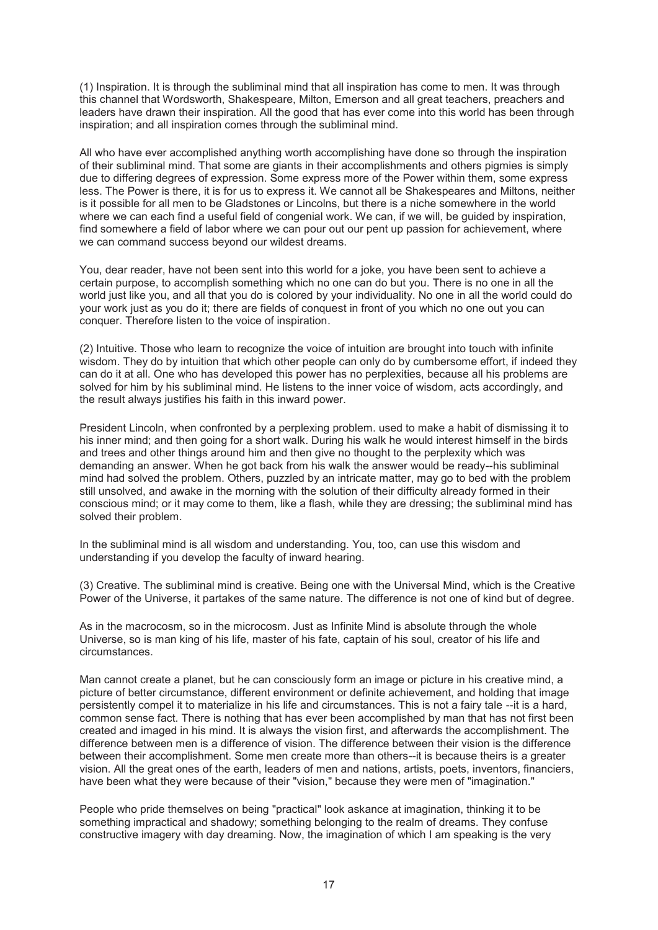(1) Inspiration. It is through the subliminal mind that all inspiration has come to men. It was through this channel that Wordsworth, Shakespeare, Milton, Emerson and all great teachers, preachers and leaders have drawn their inspiration. All the good that has ever come into this world has been through inspiration; and all inspiration comes through the subliminal mind.

All who have ever accomplished anything worth accomplishing have done so through the inspiration of their subliminal mind. That some are giants in their accomplishments and others pigmies is simply due to differing degrees of expression. Some express more of the Power within them, some express less. The Power is there, it is for us to express it. We cannot all be Shakespeares and Miltons, neither is it possible for all men to be Gladstones or Lincolns, but there is a niche somewhere in the world where we can each find a useful field of congenial work. We can, if we will, be guided by inspiration, find somewhere a field of labor where we can pour out our pent up passion for achievement, where we can command success beyond our wildest dreams.

You, dear reader, have not been sent into this world for a joke, you have been sent to achieve a certain purpose, to accomplish something which no one can do but you. There is no one in all the world just like you, and all that you do is colored by your individuality. No one in all the world could do your work just as you do it; there are fields of conquest in front of you which no one out you can conquer. Therefore listen to the voice of inspiration.

(2) Intuitive. Those who learn to recognize the voice of intuition are brought into touch with infinite wisdom. They do by intuition that which other people can only do by cumbersome effort, if indeed they can do it at all. One who has developed this power has no perplexities, because all his problems are solved for him by his subliminal mind. He listens to the inner voice of wisdom, acts accordingly, and the result always justifies his faith in this inward power.

President Lincoln, when confronted by a perplexing problem. used to make a habit of dismissing it to his inner mind; and then going for a short walk. During his walk he would interest himself in the birds and trees and other things around him and then give no thought to the perplexity which was demanding an answer. When he got back from his walk the answer would be ready--his subliminal mind had solved the problem. Others, puzzled by an intricate matter, may go to bed with the problem still unsolved, and awake in the morning with the solution of their difficulty already formed in their conscious mind; or it may come to them, like a flash, while they are dressing; the subliminal mind has solved their problem.

In the subliminal mind is all wisdom and understanding. You, too, can use this wisdom and understanding if you develop the faculty of inward hearing.

(3) Creative. The subliminal mind is creative. Being one with the Universal Mind, which is the Creative Power of the Universe, it partakes of the same nature. The difference is not one of kind but of degree.

As in the macrocosm, so in the microcosm. Just as Infinite Mind is absolute through the whole Universe, so is man king of his life, master of his fate, captain of his soul, creator of his life and circumstances.

Man cannot create a planet, but he can consciously form an image or picture in his creative mind, a picture of better circumstance, different environment or definite achievement, and holding that image persistently compel it to materialize in his life and circumstances. This is not a fairy tale --it is a hard, common sense fact. There is nothing that has ever been accomplished by man that has not first been created and imaged in his mind. It is always the vision first, and afterwards the accomplishment. The difference between men is a difference of vision. The difference between their vision is the difference between their accomplishment. Some men create more than others--it is because theirs is a greater vision. All the great ones of the earth, leaders of men and nations, artists, poets, inventors, financiers, have been what they were because of their "vision," because they were men of "imagination."

People who pride themselves on being "practical" look askance at imagination, thinking it to be something impractical and shadowy; something belonging to the realm of dreams. They confuse constructive imagery with day dreaming. Now, the imagination of which I am speaking is the very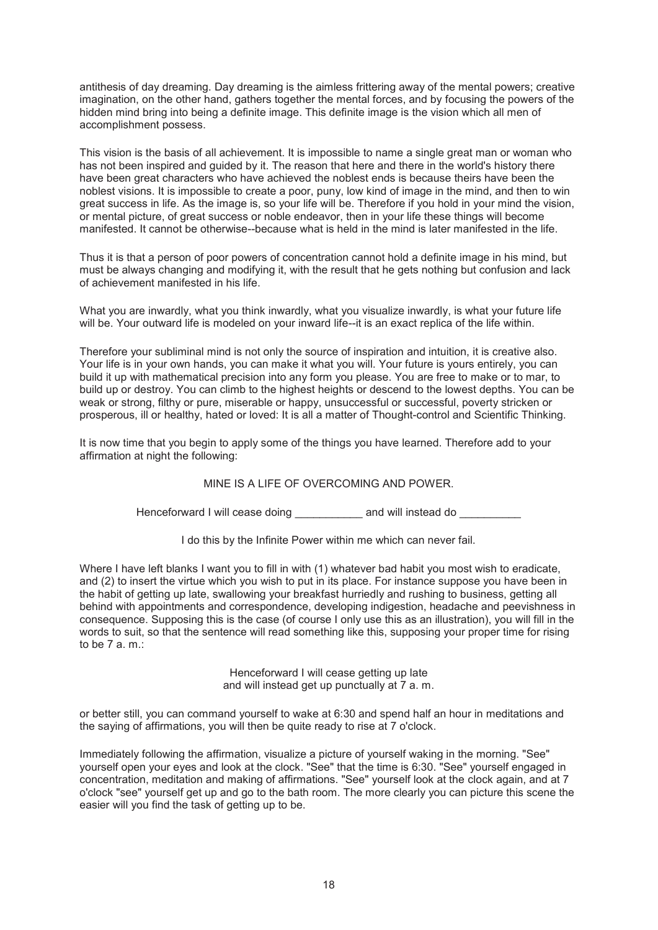antithesis of day dreaming. Day dreaming is the aimless frittering away of the mental powers; creative imagination, on the other hand, gathers together the mental forces, and by focusing the powers of the hidden mind bring into being a definite image. This definite image is the vision which all men of accomplishment possess.

This vision is the basis of all achievement. It is impossible to name a single great man or woman who has not been inspired and guided by it. The reason that here and there in the world's history there have been great characters who have achieved the noblest ends is because theirs have been the noblest visions. It is impossible to create a poor, puny, low kind of image in the mind, and then to win great success in life. As the image is, so your life will be. Therefore if you hold in your mind the vision, or mental picture, of great success or noble endeavor, then in your life these things will become manifested. It cannot be otherwise--because what is held in the mind is later manifested in the life.

Thus it is that a person of poor powers of concentration cannot hold a definite image in his mind, but must be always changing and modifying it, with the result that he gets nothing but confusion and lack of achievement manifested in his life.

What you are inwardly, what you think inwardly, what you visualize inwardly, is what your future life will be. Your outward life is modeled on your inward life--it is an exact replica of the life within.

Therefore your subliminal mind is not only the source of inspiration and intuition, it is creative also. Your life is in your own hands, you can make it what you will. Your future is yours entirely, you can build it up with mathematical precision into any form you please. You are free to make or to mar, to build up or destroy. You can climb to the highest heights or descend to the lowest depths. You can be weak or strong, filthy or pure, miserable or happy, unsuccessful or successful, poverty stricken or prosperous, ill or healthy, hated or loved: It is all a matter of Thought-control and Scientific Thinking.

It is now time that you begin to apply some of the things you have learned. Therefore add to your affirmation at night the following:

MINE IS A LIFE OF OVERCOMING AND POWER.

Henceforward I will cease doing \_\_\_\_\_\_\_\_\_\_\_\_ and will instead do \_\_\_\_\_\_\_\_\_\_\_

I do this by the Infinite Power within me which can never fail.

Where I have left blanks I want you to fill in with (1) whatever bad habit you most wish to eradicate, and (2) to insert the virtue which you wish to put in its place. For instance suppose you have been in the habit of getting up late, swallowing your breakfast hurriedly and rushing to business, getting all behind with appointments and correspondence, developing indigestion, headache and peevishness in consequence. Supposing this is the case (of course I only use this as an illustration), you will fill in the words to suit, so that the sentence will read something like this, supposing your proper time for rising to be 7 a. m.:

> Henceforward I will cease getting up late and will instead get up punctually at 7 a. m.

or better still, you can command yourself to wake at 6:30 and spend half an hour in meditations and the saying of affirmations, you will then be quite ready to rise at 7 o'clock.

Immediately following the affirmation, visualize a picture of yourself waking in the morning. "See" yourself open your eyes and look at the clock. "See" that the time is 6:30. "See" yourself engaged in concentration, meditation and making of affirmations. "See" yourself look at the clock again, and at 7 o'clock "see" yourself get up and go to the bath room. The more clearly you can picture this scene the easier will you find the task of getting up to be.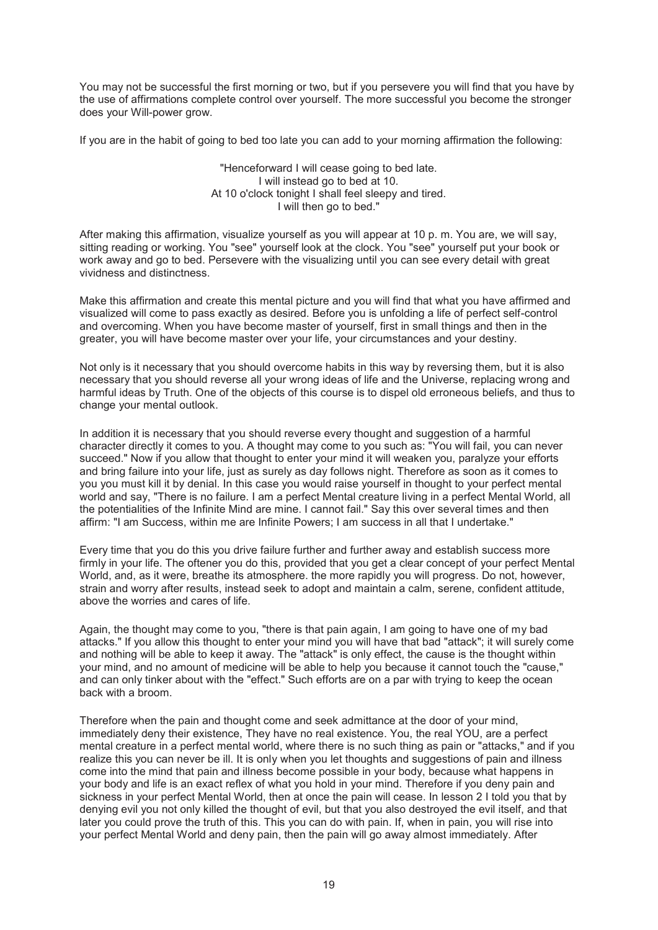You may not be successful the first morning or two, but if you persevere you will find that you have by the use of affirmations complete control over yourself. The more successful you become the stronger does your Will-power grow.

If you are in the habit of going to bed too late you can add to your morning affirmation the following:

#### "Henceforward I will cease going to bed late. I will instead go to bed at 10. At 10 o'clock tonight I shall feel sleepy and tired. I will then go to bed."

After making this affirmation, visualize yourself as you will appear at 10 p. m. You are, we will say, sitting reading or working. You "see" yourself look at the clock. You "see" yourself put your book or work away and go to bed. Persevere with the visualizing until you can see every detail with great vividness and distinctness.

Make this affirmation and create this mental picture and you will find that what you have affirmed and visualized will come to pass exactly as desired. Before you is unfolding a life of perfect self-control and overcoming. When you have become master of yourself, first in small things and then in the greater, you will have become master over your life, your circumstances and your destiny.

Not only is it necessary that you should overcome habits in this way by reversing them, but it is also necessary that you should reverse all your wrong ideas of life and the Universe, replacing wrong and harmful ideas by Truth. One of the objects of this course is to dispel old erroneous beliefs, and thus to change your mental outlook.

In addition it is necessary that you should reverse every thought and suggestion of a harmful character directly it comes to you. A thought may come to you such as: "You will fail, you can never succeed." Now if you allow that thought to enter your mind it will weaken you, paralyze your efforts and bring failure into your life, just as surely as day follows night. Therefore as soon as it comes to you you must kill it by denial. In this case you would raise yourself in thought to your perfect mental world and say, "There is no failure. I am a perfect Mental creature living in a perfect Mental World, all the potentialities of the Infinite Mind are mine. I cannot fail." Say this over several times and then affirm: "I am Success, within me are Infinite Powers; I am success in all that I undertake."

Every time that you do this you drive failure further and further away and establish success more firmly in your life. The oftener you do this, provided that you get a clear concept of your perfect Mental World, and, as it were, breathe its atmosphere. the more rapidly you will progress. Do not, however, strain and worry after results, instead seek to adopt and maintain a calm, serene, confident attitude, above the worries and cares of life.

Again, the thought may come to you, "there is that pain again, I am going to have one of my bad attacks." If you allow this thought to enter your mind you will have that bad "attack"; it will surely come and nothing will be able to keep it away. The "attack" is only effect, the cause is the thought within your mind, and no amount of medicine will be able to help you because it cannot touch the "cause," and can only tinker about with the "effect." Such efforts are on a par with trying to keep the ocean back with a broom.

Therefore when the pain and thought come and seek admittance at the door of your mind, immediately deny their existence, They have no real existence. You, the real YOU, are a perfect mental creature in a perfect mental world, where there is no such thing as pain or "attacks," and if you realize this you can never be ill. It is only when you let thoughts and suggestions of pain and illness come into the mind that pain and illness become possible in your body, because what happens in your body and life is an exact reflex of what you hold in your mind. Therefore if you deny pain and sickness in your perfect Mental World, then at once the pain will cease. In lesson 2 I told you that by denying evil you not only killed the thought of evil, but that you also destroyed the evil itself, and that later you could prove the truth of this. This you can do with pain. If, when in pain, you will rise into your perfect Mental World and deny pain, then the pain will go away almost immediately. After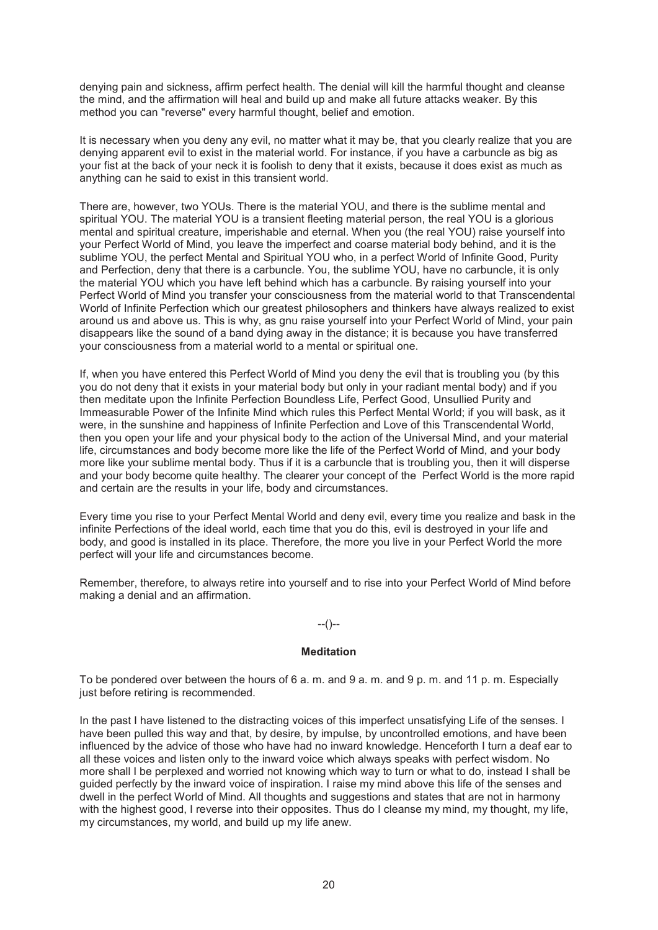denying pain and sickness, affirm perfect health. The denial will kill the harmful thought and cleanse the mind, and the affirmation will heal and build up and make all future attacks weaker. By this method you can "reverse" every harmful thought, belief and emotion.

It is necessary when you deny any evil, no matter what it may be, that you clearly realize that you are denying apparent evil to exist in the material world. For instance, if you have a carbuncle as big as your fist at the back of your neck it is foolish to deny that it exists, because it does exist as much as anything can he said to exist in this transient world.

There are, however, two YOUs. There is the material YOU, and there is the sublime mental and spiritual YOU. The material YOU is a transient fleeting material person, the real YOU is a glorious mental and spiritual creature, imperishable and eternal. When you (the real YOU) raise yourself into your Perfect World of Mind, you leave the imperfect and coarse material body behind, and it is the sublime YOU, the perfect Mental and Spiritual YOU who, in a perfect World of Infinite Good, Purity and Perfection, deny that there is a carbuncle. You, the sublime YOU, have no carbuncle, it is only the material YOU which you have left behind which has a carbuncle. By raising yourself into your Perfect World of Mind you transfer your consciousness from the material world to that Transcendental World of Infinite Perfection which our greatest philosophers and thinkers have always realized to exist around us and above us. This is why, as gnu raise yourself into your Perfect World of Mind, your pain disappears like the sound of a band dying away in the distance; it is because you have transferred your consciousness from a material world to a mental or spiritual one.

If, when you have entered this Perfect World of Mind you deny the evil that is troubling you (by this you do not deny that it exists in your material body but only in your radiant mental body) and if you then meditate upon the Infinite Perfection Boundless Life, Perfect Good, Unsullied Purity and Immeasurable Power of the Infinite Mind which rules this Perfect Mental World; if you will bask, as it were, in the sunshine and happiness of Infinite Perfection and Love of this Transcendental World, then you open your life and your physical body to the action of the Universal Mind, and your material life, circumstances and body become more like the life of the Perfect World of Mind, and your body more like your sublime mental body. Thus if it is a carbuncle that is troubling you, then it will disperse and your body become quite healthy. The clearer your concept of the Perfect World is the more rapid and certain are the results in your life, body and circumstances.

Every time you rise to your Perfect Mental World and deny evil, every time you realize and bask in the infinite Perfections of the ideal world, each time that you do this, evil is destroyed in your life and body, and good is installed in its place. Therefore, the more you live in your Perfect World the more perfect will your life and circumstances become.

Remember, therefore, to always retire into yourself and to rise into your Perfect World of Mind before making a denial and an affirmation.

#### --()--

#### **Meditation**

To be pondered over between the hours of 6 a.m. and 9 a.m. and 9 p.m. and 11 p.m. Especially just before retiring is recommended.

In the past I have listened to the distracting voices of this imperfect unsatisfying Life of the senses. I have been pulled this way and that, by desire, by impulse, by uncontrolled emotions, and have been influenced by the advice of those who have had no inward knowledge. Henceforth I turn a deaf ear to all these voices and listen only to the inward voice which always speaks with perfect wisdom. No more shall I be perplexed and worried not knowing which way to turn or what to do, instead I shall be guided perfectly by the inward voice of inspiration. I raise my mind above this life of the senses and dwell in the perfect World of Mind. All thoughts and suggestions and states that are not in harmony with the highest good, I reverse into their opposites. Thus do I cleanse my mind, my thought, my life, my circumstances, my world, and build up my life anew.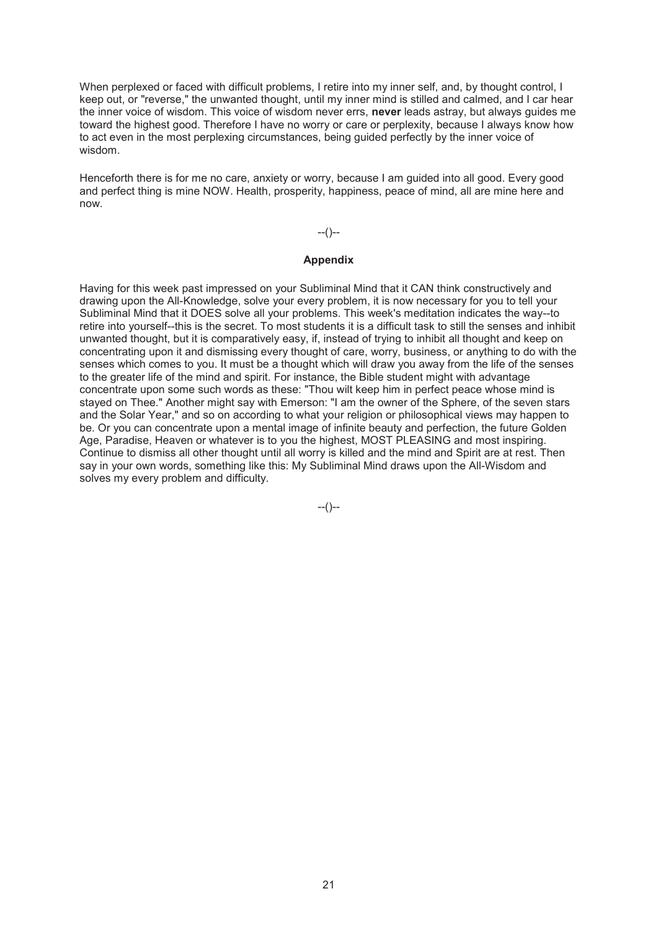When perplexed or faced with difficult problems, I retire into my inner self, and, by thought control, I keep out, or "reverse," the unwanted thought, until my inner mind is stilled and calmed, and I car hear the inner voice of wisdom. This voice of wisdom never errs, **never** leads astray, but always guides me toward the highest good. Therefore I have no worry or care or perplexity, because I always know how to act even in the most perplexing circumstances, being guided perfectly by the inner voice of wisdom.

Henceforth there is for me no care, anxiety or worry, because I am guided into all good. Every good and perfect thing is mine NOW. Health, prosperity, happiness, peace of mind, all are mine here and now.

#### --()--

# **Appendix**

Having for this week past impressed on your Subliminal Mind that it CAN think constructively and drawing upon the All-Knowledge, solve your every problem, it is now necessary for you to tell your Subliminal Mind that it DOES solve all your problems. This week's meditation indicates the way--to retire into yourself--this is the secret. To most students it is a difficult task to still the senses and inhibit unwanted thought, but it is comparatively easy, if, instead of trying to inhibit all thought and keep on concentrating upon it and dismissing every thought of care, worry, business, or anything to do with the senses which comes to you. It must be a thought which will draw you away from the life of the senses to the greater life of the mind and spirit. For instance, the Bible student might with advantage concentrate upon some such words as these: "Thou wilt keep him in perfect peace whose mind is stayed on Thee." Another might say with Emerson: "I am the owner of the Sphere, of the seven stars and the Solar Year," and so on according to what your religion or philosophical views may happen to be. Or you can concentrate upon a mental image of infinite beauty and perfection, the future Golden Age, Paradise, Heaven or whatever is to you the highest, MOST PLEASING and most inspiring. Continue to dismiss all other thought until all worry is killed and the mind and Spirit are at rest. Then say in your own words, something like this: My Subliminal Mind draws upon the All-Wisdom and solves my every problem and difficulty.

 $-(-)$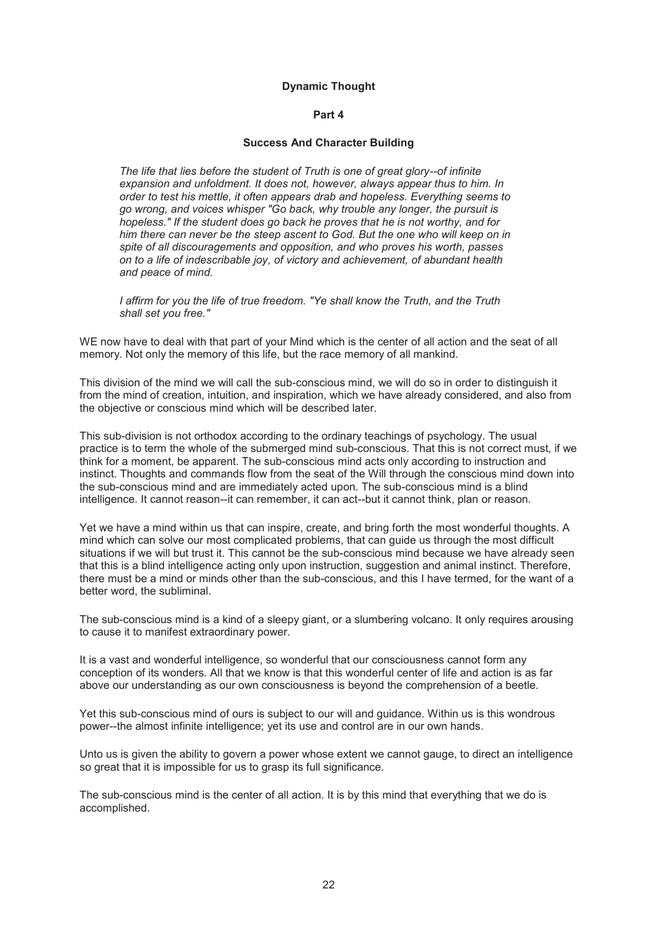# **Dynamic Thought**

# **Part 4**

#### **Success And Character Building**

*The life that lies before the student of Truth is one of great glory--of infinite expansion and unfoldment. It does not, however, always appear thus to him. In order to test his mettle, it often appears drab and hopeless. Everything seems to go wrong, and voices whisper "Go back, why trouble any longer, the pursuit is hopeless." If the student does go back he proves that he is not worthy, and for him there can never be the steep ascent to God. But the one who will keep on in spite of all discouragements and opposition, and who proves his worth, passes on to a life of indescribable joy, of victory and achievement, of abundant health and peace of mind.*

*I affirm for you the life of true freedom. "Ye shall know the Truth, and the Truth shall set you free."* 

WE now have to deal with that part of your Mind which is the center of all action and the seat of all memory. Not only the memory of this life, but the race memory of all mankind.

This division of the mind we will call the sub-conscious mind, we will do so in order to distinguish it from the mind of creation, intuition, and inspiration, which we have already considered, and also from the objective or conscious mind which will be described later.

This sub-division is not orthodox according to the ordinary teachings of psychology. The usual practice is to term the whole of the submerged mind sub-conscious. That this is not correct must, if we think for a moment, be apparent. The sub-conscious mind acts only according to instruction and instinct. Thoughts and commands flow from the seat of the Will through the conscious mind down into the sub-conscious mind and are immediately acted upon. The sub-conscious mind is a blind intelligence. It cannot reason--it can remember, it can act--but it cannot think, plan or reason.

Yet we have a mind within us that can inspire, create, and bring forth the most wonderful thoughts. A mind which can solve our most complicated problems, that can guide us through the most difficult situations if we will but trust it. This cannot be the sub-conscious mind because we have already seen that this is a blind intelligence acting only upon instruction, suggestion and animal instinct. Therefore, there must be a mind or minds other than the sub-conscious, and this I have termed, for the want of a better word, the subliminal.

The sub-conscious mind is a kind of a sleepy giant, or a slumbering volcano. It only requires arousing to cause it to manifest extraordinary power.

It is a vast and wonderful intelligence, so wonderful that our consciousness cannot form any conception of its wonders. All that we know is that this wonderful center of life and action is as far above our understanding as our own consciousness is beyond the comprehension of a beetle.

Yet this sub-conscious mind of ours is subject to our will and guidance. Within us is this wondrous power--the almost infinite intelligence; yet its use and control are in our own hands.

Unto us is given the ability to govern a power whose extent we cannot gauge, to direct an intelligence so great that it is impossible for us to grasp its full significance.

The sub-conscious mind is the center of all action. It is by this mind that everything that we do is accomplished.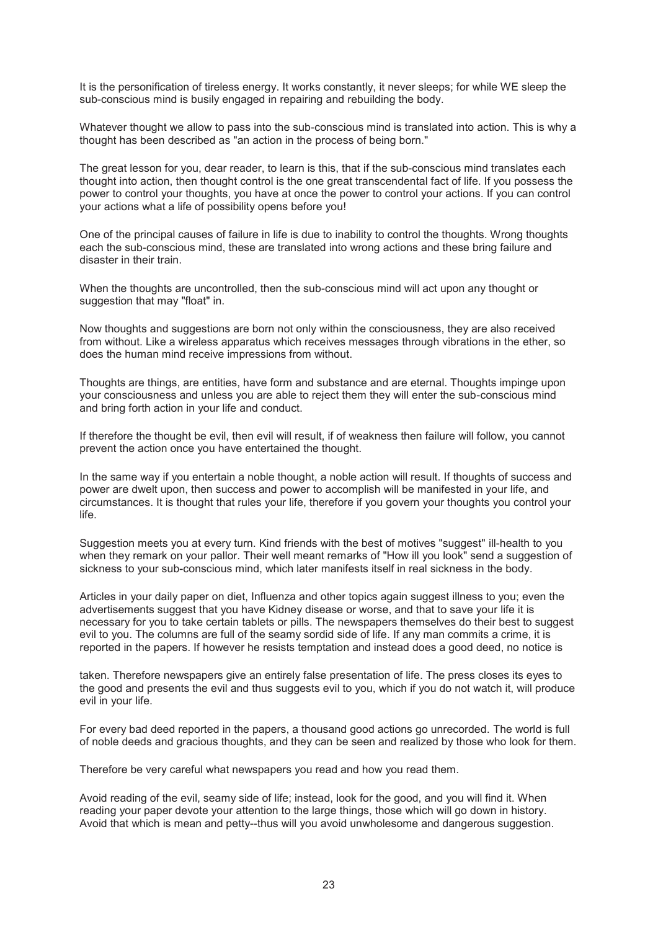It is the personification of tireless energy. It works constantly, it never sleeps; for while WE sleep the sub-conscious mind is busily engaged in repairing and rebuilding the body.

Whatever thought we allow to pass into the sub-conscious mind is translated into action. This is why a thought has been described as "an action in the process of being born."

The great lesson for you, dear reader, to learn is this, that if the sub-conscious mind translates each thought into action, then thought control is the one great transcendental fact of life. If you possess the power to control your thoughts, you have at once the power to control your actions. If you can control your actions what a life of possibility opens before you!

One of the principal causes of failure in life is due to inability to control the thoughts. Wrong thoughts each the sub-conscious mind, these are translated into wrong actions and these bring failure and disaster in their train.

When the thoughts are uncontrolled, then the sub-conscious mind will act upon any thought or suggestion that may "float" in.

Now thoughts and suggestions are born not only within the consciousness, they are also received from without. Like a wireless apparatus which receives messages through vibrations in the ether, so does the human mind receive impressions from without.

Thoughts are things, are entities, have form and substance and are eternal. Thoughts impinge upon your consciousness and unless you are able to reject them they will enter the sub-conscious mind and bring forth action in your life and conduct.

If therefore the thought be evil, then evil will result, if of weakness then failure will follow, you cannot prevent the action once you have entertained the thought.

In the same way if you entertain a noble thought, a noble action will result. If thoughts of success and power are dwelt upon, then success and power to accomplish will be manifested in your life, and circumstances. It is thought that rules your life, therefore if you govern your thoughts you control your life.

Suggestion meets you at every turn. Kind friends with the best of motives "suggest" ill-health to you when they remark on your pallor. Their well meant remarks of "How ill you look" send a suggestion of sickness to your sub-conscious mind, which later manifests itself in real sickness in the body.

Articles in your daily paper on diet, Influenza and other topics again suggest illness to you; even the advertisements suggest that you have Kidney disease or worse, and that to save your life it is necessary for you to take certain tablets or pills. The newspapers themselves do their best to suggest evil to you. The columns are full of the seamy sordid side of life. If any man commits a crime, it is reported in the papers. If however he resists temptation and instead does a good deed, no notice is

taken. Therefore newspapers give an entirely false presentation of life. The press closes its eyes to the good and presents the evil and thus suggests evil to you, which if you do not watch it, will produce evil in your life.

For every bad deed reported in the papers, a thousand good actions go unrecorded. The world is full of noble deeds and gracious thoughts, and they can be seen and realized by those who look for them.

Therefore be very careful what newspapers you read and how you read them.

Avoid reading of the evil, seamy side of life; instead, look for the good, and you will find it. When reading your paper devote your attention to the large things, those which will go down in history. Avoid that which is mean and petty--thus will you avoid unwholesome and dangerous suggestion.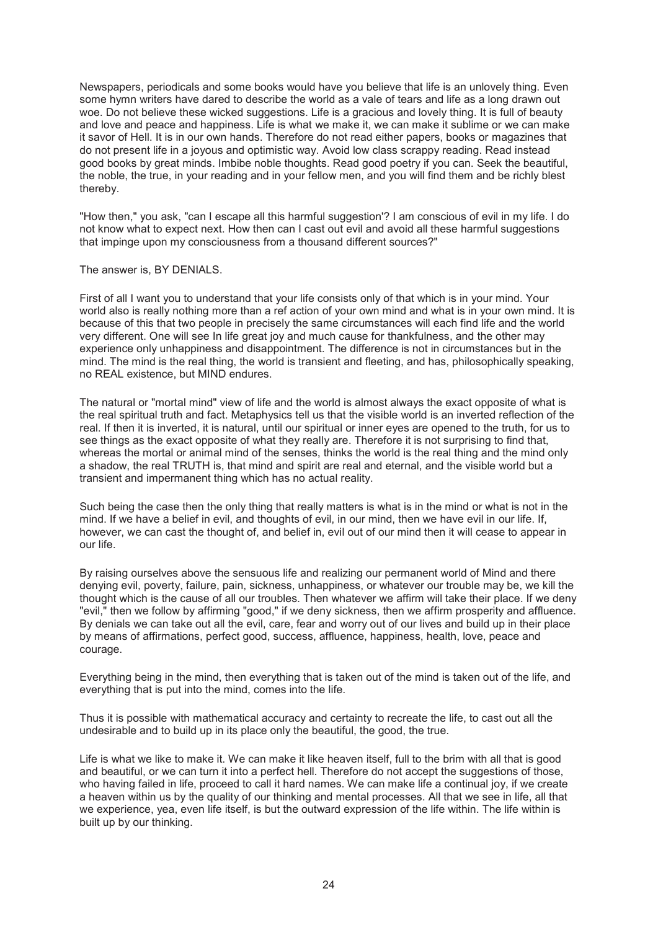Newspapers, periodicals and some books would have you believe that life is an unlovely thing. Even some hymn writers have dared to describe the world as a vale of tears and life as a long drawn out woe. Do not believe these wicked suggestions. Life is a gracious and lovely thing. It is full of beauty and love and peace and happiness. Life is what we make it, we can make it sublime or we can make it savor of Hell. It is in our own hands. Therefore do not read either papers, books or magazines that do not present life in a joyous and optimistic way. Avoid low class scrappy reading. Read instead good books by great minds. Imbibe noble thoughts. Read good poetry if you can. Seek the beautiful, the noble, the true, in your reading and in your fellow men, and you will find them and be richly blest thereby.

"How then," you ask, "can I escape all this harmful suggestion'? I am conscious of evil in my life. I do not know what to expect next. How then can I cast out evil and avoid all these harmful suggestions that impinge upon my consciousness from a thousand different sources?"

The answer is, BY DENIALS.

First of all I want you to understand that your life consists only of that which is in your mind. Your world also is really nothing more than a ref action of your own mind and what is in your own mind. It is because of this that two people in precisely the same circumstances will each find life and the world very different. One will see In life great joy and much cause for thankfulness, and the other may experience only unhappiness and disappointment. The difference is not in circumstances but in the mind. The mind is the real thing, the world is transient and fleeting, and has, philosophically speaking, no REAL existence, but MIND endures.

The natural or "mortal mind" view of life and the world is almost always the exact opposite of what is the real spiritual truth and fact. Metaphysics tell us that the visible world is an inverted reflection of the real. If then it is inverted, it is natural, until our spiritual or inner eyes are opened to the truth, for us to see things as the exact opposite of what they really are. Therefore it is not surprising to find that, whereas the mortal or animal mind of the senses, thinks the world is the real thing and the mind only a shadow, the real TRUTH is, that mind and spirit are real and eternal, and the visible world but a transient and impermanent thing which has no actual reality.

Such being the case then the only thing that really matters is what is in the mind or what is not in the mind. If we have a belief in evil, and thoughts of evil, in our mind, then we have evil in our life. If, however, we can cast the thought of, and belief in, evil out of our mind then it will cease to appear in our life.

By raising ourselves above the sensuous life and realizing our permanent world of Mind and there denying evil, poverty, failure, pain, sickness, unhappiness, or whatever our trouble may be, we kill the thought which is the cause of all our troubles. Then whatever we affirm will take their place. If we deny "evil," then we follow by affirming "good," if we deny sickness, then we affirm prosperity and affluence. By denials we can take out all the evil, care, fear and worry out of our lives and build up in their place by means of affirmations, perfect good, success, affluence, happiness, health, love, peace and courage.

Everything being in the mind, then everything that is taken out of the mind is taken out of the life, and everything that is put into the mind, comes into the life.

Thus it is possible with mathematical accuracy and certainty to recreate the life, to cast out all the undesirable and to build up in its place only the beautiful, the good, the true.

Life is what we like to make it. We can make it like heaven itself, full to the brim with all that is good and beautiful, or we can turn it into a perfect hell. Therefore do not accept the suggestions of those, who having failed in life, proceed to call it hard names. We can make life a continual joy, if we create a heaven within us by the quality of our thinking and mental processes. All that we see in life, all that we experience, yea, even life itself, is but the outward expression of the life within. The life within is built up by our thinking.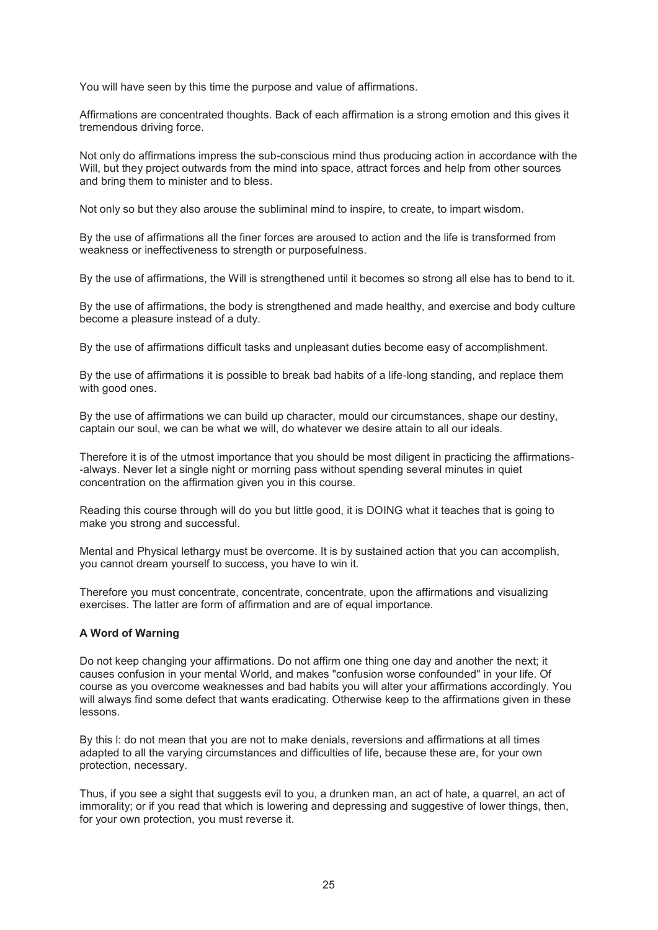You will have seen by this time the purpose and value of affirmations.

Affirmations are concentrated thoughts. Back of each affirmation is a strong emotion and this gives it tremendous driving force.

Not only do affirmations impress the sub-conscious mind thus producing action in accordance with the Will, but they project outwards from the mind into space, attract forces and help from other sources and bring them to minister and to bless.

Not only so but they also arouse the subliminal mind to inspire, to create, to impart wisdom.

By the use of affirmations all the finer forces are aroused to action and the life is transformed from weakness or ineffectiveness to strength or purposefulness.

By the use of affirmations, the Will is strengthened until it becomes so strong all else has to bend to it.

By the use of affirmations, the body is strengthened and made healthy, and exercise and body culture become a pleasure instead of a duty.

By the use of affirmations difficult tasks and unpleasant duties become easy of accomplishment.

By the use of affirmations it is possible to break bad habits of a life-long standing, and replace them with good ones.

By the use of affirmations we can build up character, mould our circumstances, shape our destiny, captain our soul, we can be what we will, do whatever we desire attain to all our ideals.

Therefore it is of the utmost importance that you should be most diligent in practicing the affirmations- -always. Never let a single night or morning pass without spending several minutes in quiet concentration on the affirmation given you in this course.

Reading this course through will do you but little good, it is DOING what it teaches that is going to make you strong and successful.

Mental and Physical lethargy must be overcome. It is by sustained action that you can accomplish, you cannot dream yourself to success, you have to win it.

Therefore you must concentrate, concentrate, concentrate, upon the affirmations and visualizing exercises. The latter are form of affirmation and are of equal importance.

# **A Word of Warning**

Do not keep changing your affirmations. Do not affirm one thing one day and another the next; it causes confusion in your mental World, and makes "confusion worse confounded" in your life. Of course as you overcome weaknesses and bad habits you will alter your affirmations accordingly. You will always find some defect that wants eradicating. Otherwise keep to the affirmations given in these lessons.

By this l: do not mean that you are not to make denials, reversions and affirmations at all times adapted to all the varying circumstances and difficulties of life, because these are, for your own protection, necessary.

Thus, if you see a sight that suggests evil to you, a drunken man, an act of hate, a quarrel, an act of immorality; or if you read that which is lowering and depressing and suggestive of lower things, then, for your own protection, you must reverse it.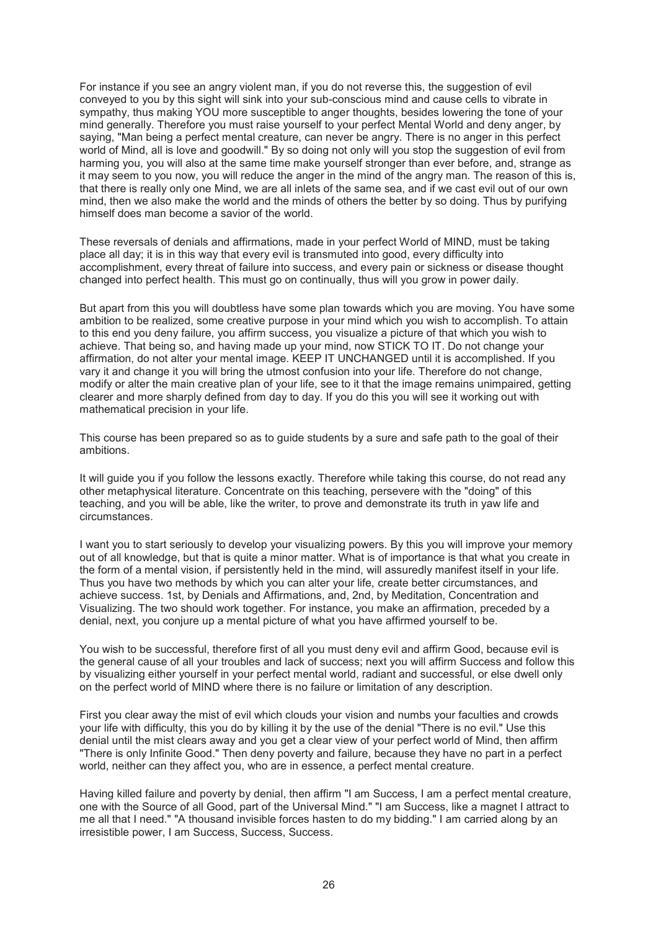For instance if you see an angry violent man, if you do not reverse this, the suggestion of evil conveyed to you by this sight will sink into your sub-conscious mind and cause cells to vibrate in sympathy, thus making YOU more susceptible to anger thoughts, besides lowering the tone of your mind generally. Therefore you must raise yourself to your perfect Mental World and deny anger, by saying, "Man being a perfect mental creature, can never be angry. There is no anger in this perfect world of Mind, all is love and goodwill." By so doing not only will you stop the suggestion of evil from harming you, you will also at the same time make yourself stronger than ever before, and, strange as it may seem to you now, you will reduce the anger in the mind of the angry man. The reason of this is, that there is really only one Mind, we are all inlets of the same sea, and if we cast evil out of our own mind, then we also make the world and the minds of others the better by so doing. Thus by purifying himself does man become a savior of the world.

These reversals of denials and affirmations, made in your perfect World of MIND, must be taking place all day; it is in this way that every evil is transmuted into good, every difficulty into accomplishment, every threat of failure into success, and every pain or sickness or disease thought changed into perfect health. This must go on continually, thus will you grow in power daily.

But apart from this you will doubtless have some plan towards which you are moving. You have some ambition to be realized, some creative purpose in your mind which you wish to accomplish. To attain to this end you deny failure, you affirm success, you visualize a picture of that which you wish to achieve. That being so, and having made up your mind, now STICK TO IT. Do not change your affirmation, do not alter your mental image. KEEP IT UNCHANGED until it is accomplished. If you vary it and change it you will bring the utmost confusion into your life. Therefore do not change, modify or alter the main creative plan of your life, see to it that the image remains unimpaired, getting clearer and more sharply defined from day to day. If you do this you will see it working out with mathematical precision in your life.

This course has been prepared so as to guide students by a sure and safe path to the goal of their ambitions.

It will guide you if you follow the lessons exactly. Therefore while taking this course, do not read any other metaphysical literature. Concentrate on this teaching, persevere with the "doing" of this teaching, and you will be able, like the writer, to prove and demonstrate its truth in yaw life and circumstances.

I want you to start seriously to develop your visualizing powers. By this you will improve your memory out of all knowledge, but that is quite a minor matter. What is of importance is that what you create in the form of a mental vision, if persistently held in the mind, will assuredly manifest itself in your life. Thus you have two methods by which you can alter your life, create better circumstances, and achieve success. 1st, by Denials and Affirmations, and, 2nd, by Meditation, Concentration and Visualizing. The two should work together. For instance, you make an affirmation, preceded by a denial, next, you conjure up a mental picture of what you have affirmed yourself to be.

You wish to be successful, therefore first of all you must deny evil and affirm Good, because evil is the general cause of all your troubles and lack of success; next you will affirm Success and follow this by visualizing either yourself in your perfect mental world, radiant and successful, or else dwell only on the perfect world of MIND where there is no failure or limitation of any description.

First you clear away the mist of evil which clouds your vision and numbs your faculties and crowds your life with difficulty, this you do by killing it by the use of the denial "There is no evil." Use this denial until the mist clears away and you get a clear view of your perfect world of Mind, then affirm "There is only Infinite Good." Then deny poverty and failure, because they have no part in a perfect world, neither can they affect you, who are in essence, a perfect mental creature.

Having killed failure and poverty by denial, then affirm "I am Success, I am a perfect mental creature, one with the Source of all Good, part of the Universal Mind." "I am Success, like a magnet I attract to me all that I need." "A thousand invisible forces hasten to do my bidding." I am carried along by an irresistible power, I am Success, Success, Success.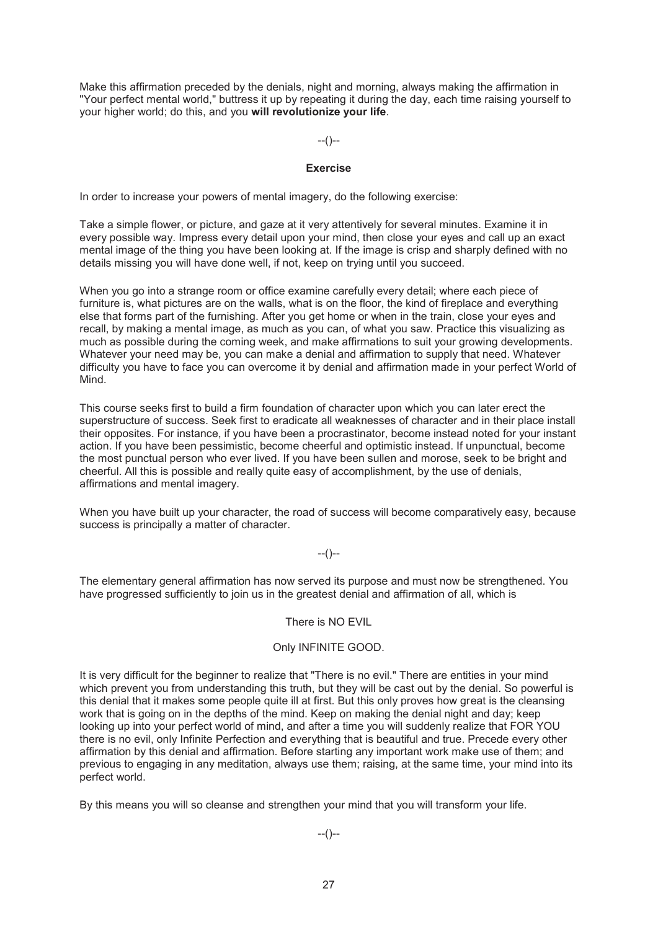Make this affirmation preceded by the denials, night and morning, always making the affirmation in "Your perfect mental world," buttress it up by repeating it during the day, each time raising yourself to your higher world; do this, and you **will revolutionize your life**.

 $-(-)$ 

# **Exercise**

In order to increase your powers of mental imagery, do the following exercise:

Take a simple flower, or picture, and gaze at it very attentively for several minutes. Examine it in every possible way. Impress every detail upon your mind, then close your eyes and call up an exact mental image of the thing you have been looking at. If the image is crisp and sharply defined with no details missing you will have done well, if not, keep on trying until you succeed.

When you go into a strange room or office examine carefully every detail; where each piece of furniture is, what pictures are on the walls, what is on the floor, the kind of fireplace and everything else that forms part of the furnishing. After you get home or when in the train, close your eyes and recall, by making a mental image, as much as you can, of what you saw. Practice this visualizing as much as possible during the coming week, and make affirmations to suit your growing developments. Whatever your need may be, you can make a denial and affirmation to supply that need. Whatever difficulty you have to face you can overcome it by denial and affirmation made in your perfect World of Mind.

This course seeks first to build a firm foundation of character upon which you can later erect the superstructure of success. Seek first to eradicate all weaknesses of character and in their place install their opposites. For instance, if you have been a procrastinator, become instead noted for your instant action. If you have been pessimistic, become cheerful and optimistic instead. If unpunctual, become the most punctual person who ever lived. If you have been sullen and morose, seek to be bright and cheerful. All this is possible and really quite easy of accomplishment, by the use of denials, affirmations and mental imagery.

When you have built up your character, the road of success will become comparatively easy, because success is principally a matter of character.

 $-(-)$ 

The elementary general affirmation has now served its purpose and must now be strengthened. You have progressed sufficiently to join us in the greatest denial and affirmation of all, which is

# There is NO EVIL

#### Only INFINITE GOOD.

It is very difficult for the beginner to realize that "There is no evil." There are entities in your mind which prevent you from understanding this truth, but they will be cast out by the denial. So powerful is this denial that it makes some people quite ill at first. But this only proves how great is the cleansing work that is going on in the depths of the mind. Keep on making the denial night and day; keep looking up into your perfect world of mind, and after a time you will suddenly realize that FOR YOU there is no evil, only Infinite Perfection and everything that is beautiful and true. Precede every other affirmation by this denial and affirmation. Before starting any important work make use of them; and previous to engaging in any meditation, always use them; raising, at the same time, your mind into its perfect world.

By this means you will so cleanse and strengthen your mind that you will transform your life.

--()--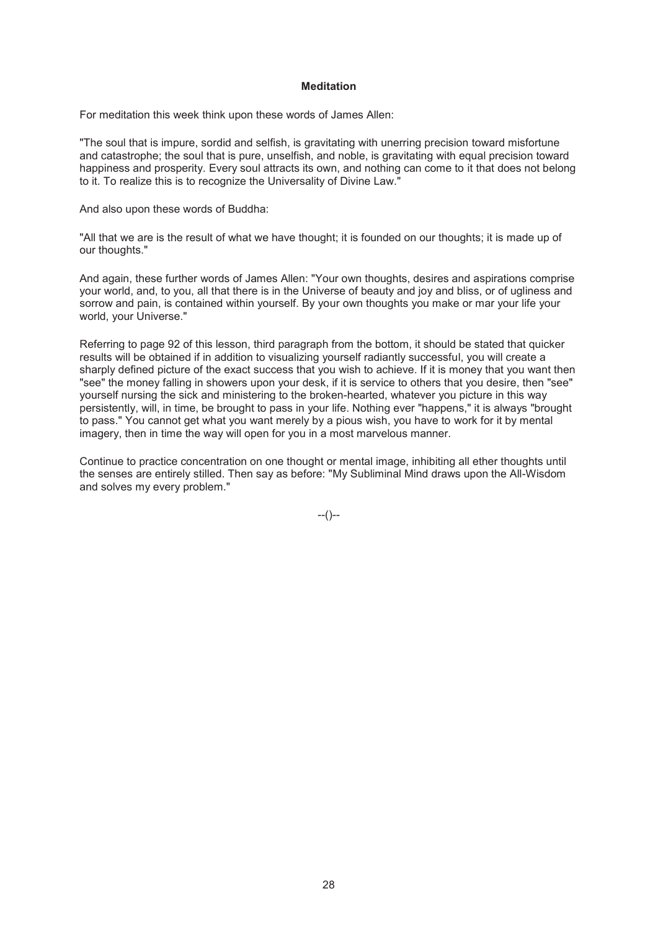#### **Meditation**

For meditation this week think upon these words of James Allen:

"The soul that is impure, sordid and selfish, is gravitating with unerring precision toward misfortune and catastrophe; the soul that is pure, unselfish, and noble, is gravitating with equal precision toward happiness and prosperity. Every soul attracts its own, and nothing can come to it that does not belong to it. To realize this is to recognize the Universality of Divine Law."

And also upon these words of Buddha:

"All that we are is the result of what we have thought; it is founded on our thoughts; it is made up of our thoughts."

And again, these further words of James Allen: "Your own thoughts, desires and aspirations comprise your world, and, to you, all that there is in the Universe of beauty and joy and bliss, or of ugliness and sorrow and pain, is contained within yourself. By your own thoughts you make or mar your life your world, your Universe."

Referring to page 92 of this lesson, third paragraph from the bottom, it should be stated that quicker results will be obtained if in addition to visualizing yourself radiantly successful, you will create a sharply defined picture of the exact success that you wish to achieve. If it is money that you want then "see" the money falling in showers upon your desk, if it is service to others that you desire, then "see" yourself nursing the sick and ministering to the broken-hearted, whatever you picture in this way persistently, will, in time, be brought to pass in your life. Nothing ever "happens," it is always "brought to pass." You cannot get what you want merely by a pious wish, you have to work for it by mental imagery, then in time the way will open for you in a most marvelous manner.

Continue to practice concentration on one thought or mental image, inhibiting all ether thoughts until the senses are entirely stilled. Then say as before: "My Subliminal Mind draws upon the All-Wisdom and solves my every problem."

 $-(-)$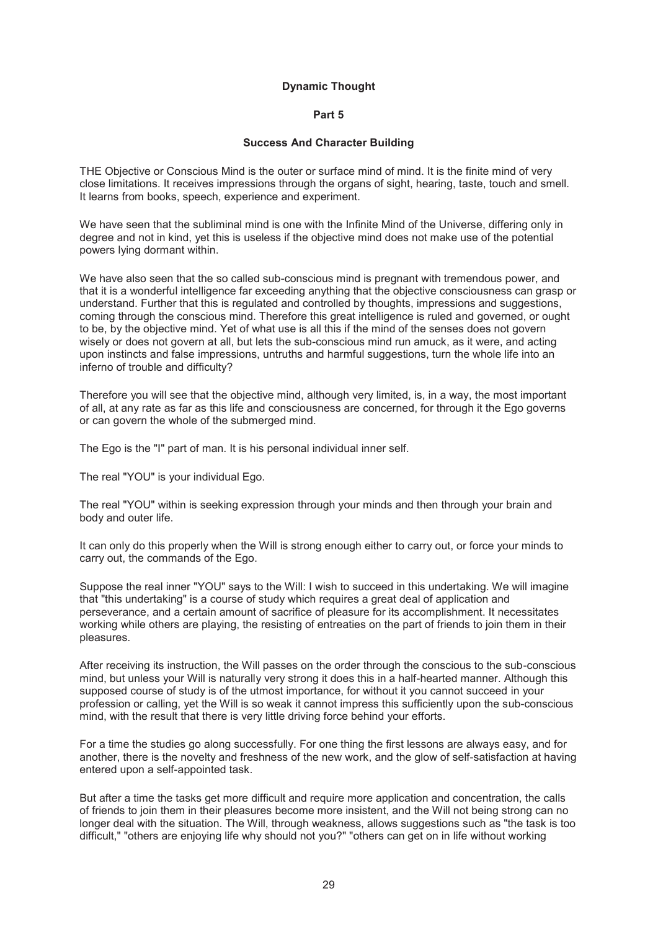# **Dynamic Thought**

# **Part 5**

#### **Success And Character Building**

THE Objective or Conscious Mind is the outer or surface mind of mind. It is the finite mind of very close limitations. It receives impressions through the organs of sight, hearing, taste, touch and smell. It learns from books, speech, experience and experiment.

We have seen that the subliminal mind is one with the Infinite Mind of the Universe, differing only in degree and not in kind, yet this is useless if the objective mind does not make use of the potential powers lying dormant within.

We have also seen that the so called sub-conscious mind is pregnant with tremendous power, and that it is a wonderful intelligence far exceeding anything that the objective consciousness can grasp or understand. Further that this is regulated and controlled by thoughts, impressions and suggestions, coming through the conscious mind. Therefore this great intelligence is ruled and governed, or ought to be, by the objective mind. Yet of what use is all this if the mind of the senses does not govern wisely or does not govern at all, but lets the sub-conscious mind run amuck, as it were, and acting upon instincts and false impressions, untruths and harmful suggestions, turn the whole life into an inferno of trouble and difficulty?

Therefore you will see that the objective mind, although very limited, is, in a way, the most important of all, at any rate as far as this life and consciousness are concerned, for through it the Ego governs or can govern the whole of the submerged mind.

The Ego is the "I" part of man. It is his personal individual inner self.

The real "YOU" is your individual Ego.

The real "YOU" within is seeking expression through your minds and then through your brain and body and outer life.

It can only do this properly when the Will is strong enough either to carry out, or force your minds to carry out, the commands of the Ego.

Suppose the real inner "YOU" says to the Will: I wish to succeed in this undertaking. We will imagine that "this undertaking" is a course of study which requires a great deal of application and perseverance, and a certain amount of sacrifice of pleasure for its accomplishment. It necessitates working while others are playing, the resisting of entreaties on the part of friends to join them in their pleasures.

After receiving its instruction, the Will passes on the order through the conscious to the sub-conscious mind, but unless your Will is naturally very strong it does this in a half-hearted manner. Although this supposed course of study is of the utmost importance, for without it you cannot succeed in your profession or calling, yet the Will is so weak it cannot impress this sufficiently upon the sub-conscious mind, with the result that there is very little driving force behind your efforts.

For a time the studies go along successfully. For one thing the first lessons are always easy, and for another, there is the novelty and freshness of the new work, and the glow of self-satisfaction at having entered upon a self-appointed task.

But after a time the tasks get more difficult and require more application and concentration, the calls of friends to join them in their pleasures become more insistent, and the Will not being strong can no longer deal with the situation. The Will, through weakness, allows suggestions such as "the task is too difficult," "others are enjoying life why should not you?" "others can get on in life without working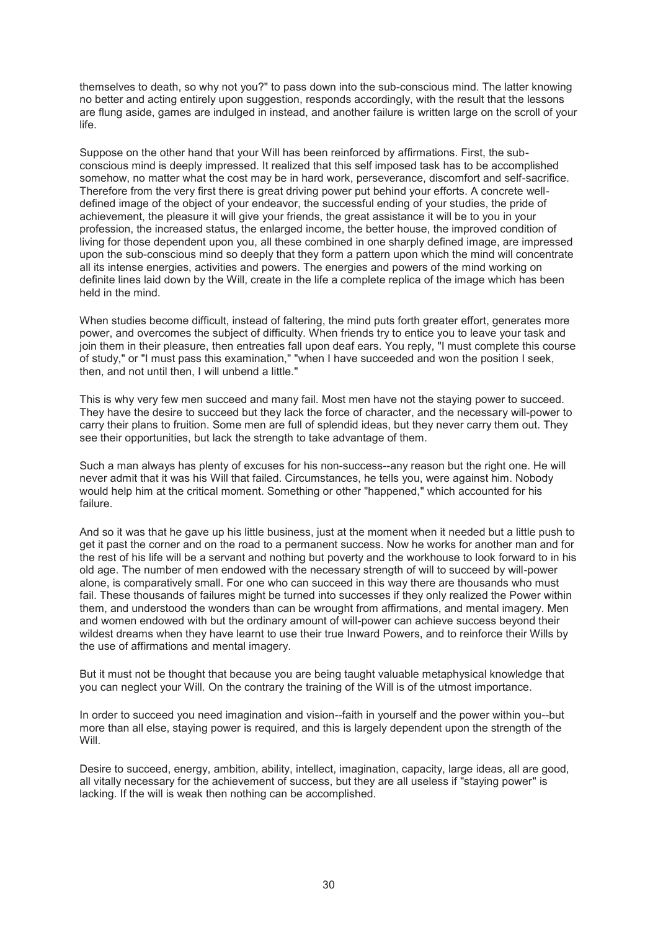themselves to death, so why not you?" to pass down into the sub-conscious mind. The latter knowing no better and acting entirely upon suggestion, responds accordingly, with the result that the lessons are flung aside, games are indulged in instead, and another failure is written large on the scroll of your life.

Suppose on the other hand that your Will has been reinforced by affirmations. First, the subconscious mind is deeply impressed. It realized that this self imposed task has to be accomplished somehow, no matter what the cost may be in hard work, perseverance, discomfort and self-sacrifice. Therefore from the very first there is great driving power put behind your efforts. A concrete welldefined image of the object of your endeavor, the successful ending of your studies, the pride of achievement, the pleasure it will give your friends, the great assistance it will be to you in your profession, the increased status, the enlarged income, the better house, the improved condition of living for those dependent upon you, all these combined in one sharply defined image, are impressed upon the sub-conscious mind so deeply that they form a pattern upon which the mind will concentrate all its intense energies, activities and powers. The energies and powers of the mind working on definite lines laid down by the Will, create in the life a complete replica of the image which has been held in the mind.

When studies become difficult, instead of faltering, the mind puts forth greater effort, generates more power, and overcomes the subject of difficulty. When friends try to entice you to leave your task and join them in their pleasure, then entreaties fall upon deaf ears. You reply, "I must complete this course of study," or "I must pass this examination," "when I have succeeded and won the position I seek, then, and not until then, I will unbend a little."

This is why very few men succeed and many fail. Most men have not the staying power to succeed. They have the desire to succeed but they lack the force of character, and the necessary will-power to carry their plans to fruition. Some men are full of splendid ideas, but they never carry them out. They see their opportunities, but lack the strength to take advantage of them.

Such a man always has plenty of excuses for his non-success--any reason but the right one. He will never admit that it was his Will that failed. Circumstances, he tells you, were against him. Nobody would help him at the critical moment. Something or other "happened," which accounted for his failure.

And so it was that he gave up his little business, just at the moment when it needed but a little push to get it past the corner and on the road to a permanent success. Now he works for another man and for the rest of his life will be a servant and nothing but poverty and the workhouse to look forward to in his old age. The number of men endowed with the necessary strength of will to succeed by will-power alone, is comparatively small. For one who can succeed in this way there are thousands who must fail. These thousands of failures might be turned into successes if they only realized the Power within them, and understood the wonders than can be wrought from affirmations, and mental imagery. Men and women endowed with but the ordinary amount of will-power can achieve success beyond their wildest dreams when they have learnt to use their true Inward Powers, and to reinforce their Wills by the use of affirmations and mental imagery.

But it must not be thought that because you are being taught valuable metaphysical knowledge that you can neglect your Will. On the contrary the training of the Will is of the utmost importance.

In order to succeed you need imagination and vision--faith in yourself and the power within you--but more than all else, staying power is required, and this is largely dependent upon the strength of the Will.

Desire to succeed, energy, ambition, ability, intellect, imagination, capacity, large ideas, all are good, all vitally necessary for the achievement of success, but they are all useless if "staying power" is lacking. If the will is weak then nothing can be accomplished.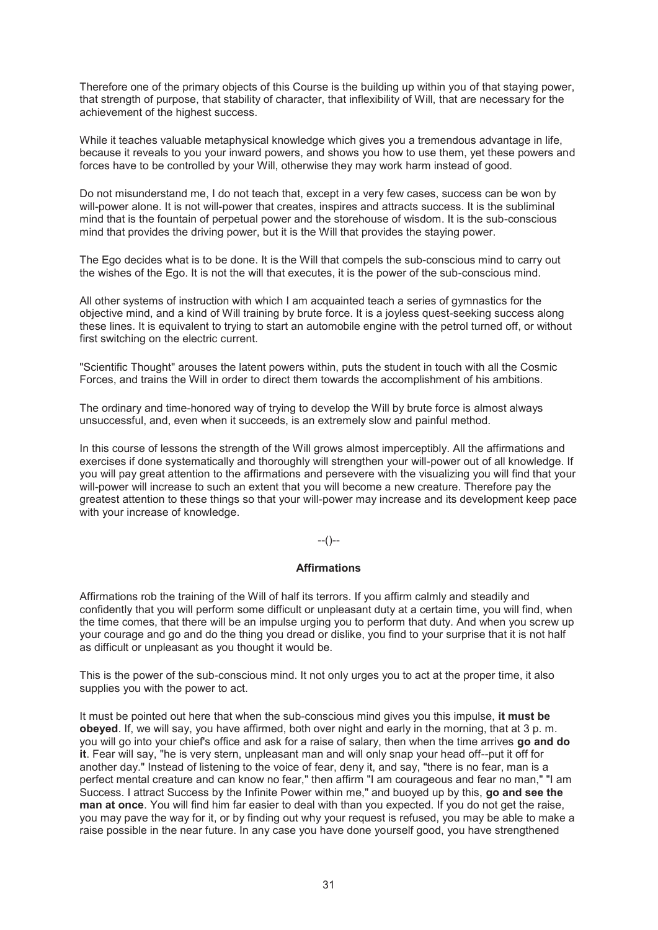Therefore one of the primary objects of this Course is the building up within you of that staying power, that strength of purpose, that stability of character, that inflexibility of Will, that are necessary for the achievement of the highest success.

While it teaches valuable metaphysical knowledge which gives you a tremendous advantage in life, because it reveals to you your inward powers, and shows you how to use them, yet these powers and forces have to be controlled by your Will, otherwise they may work harm instead of good.

Do not misunderstand me, I do not teach that, except in a very few cases, success can be won by will-power alone. It is not will-power that creates, inspires and attracts success. It is the subliminal mind that is the fountain of perpetual power and the storehouse of wisdom. It is the sub-conscious mind that provides the driving power, but it is the Will that provides the staying power.

The Ego decides what is to be done. It is the Will that compels the sub-conscious mind to carry out the wishes of the Ego. It is not the will that executes, it is the power of the sub-conscious mind.

All other systems of instruction with which I am acquainted teach a series of gymnastics for the objective mind, and a kind of Will training by brute force. It is a joyless quest-seeking success along these lines. It is equivalent to trying to start an automobile engine with the petrol turned off, or without first switching on the electric current.

"Scientific Thought" arouses the latent powers within, puts the student in touch with all the Cosmic Forces, and trains the Will in order to direct them towards the accomplishment of his ambitions.

The ordinary and time-honored way of trying to develop the Will by brute force is almost always unsuccessful, and, even when it succeeds, is an extremely slow and painful method.

In this course of lessons the strength of the Will grows almost imperceptibly. All the affirmations and exercises if done systematically and thoroughly will strengthen your will-power out of all knowledge. If you will pay great attention to the affirmations and persevere with the visualizing you will find that your will-power will increase to such an extent that you will become a new creature. Therefore pay the greatest attention to these things so that your will-power may increase and its development keep pace with your increase of knowledge.

 $-(-)$ 

# **Affirmations**

Affirmations rob the training of the Will of half its terrors. If you affirm calmly and steadily and confidently that you will perform some difficult or unpleasant duty at a certain time, you will find, when the time comes, that there will be an impulse urging you to perform that duty. And when you screw up your courage and go and do the thing you dread or dislike, you find to your surprise that it is not half as difficult or unpleasant as you thought it would be.

This is the power of the sub-conscious mind. It not only urges you to act at the proper time, it also supplies you with the power to act.

It must be pointed out here that when the sub-conscious mind gives you this impulse, **it must be obeyed**. If, we will say, you have affirmed, both over night and early in the morning, that at 3 p. m. you will go into your chief's office and ask for a raise of salary, then when the time arrives **go and do it**. Fear will say, "he is very stern, unpleasant man and will only snap your head off--put it off for another day." Instead of listening to the voice of fear, deny it, and say, "there is no fear, man is a perfect mental creature and can know no fear," then affirm "I am courageous and fear no man," "I am Success. I attract Success by the Infinite Power within me," and buoyed up by this, **go and see the man at once**. You will find him far easier to deal with than you expected. If you do not get the raise, you may pave the way for it, or by finding out why your request is refused, you may be able to make a raise possible in the near future. In any case you have done yourself good, you have strengthened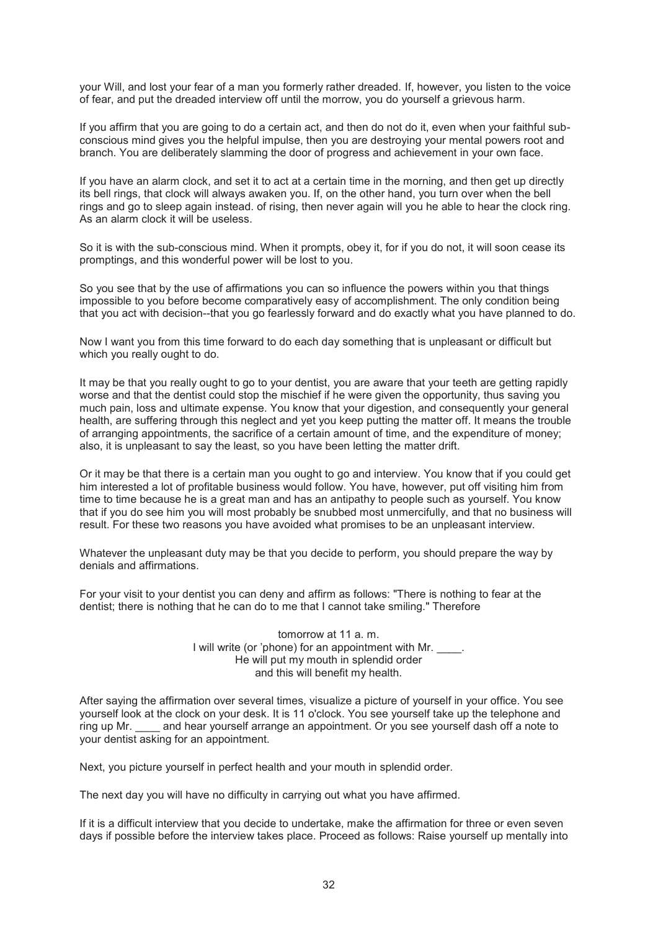your Will, and lost your fear of a man you formerly rather dreaded. If, however, you listen to the voice of fear, and put the dreaded interview off until the morrow, you do yourself a grievous harm.

If you affirm that you are going to do a certain act, and then do not do it, even when your faithful subconscious mind gives you the helpful impulse, then you are destroying your mental powers root and branch. You are deliberately slamming the door of progress and achievement in your own face.

If you have an alarm clock, and set it to act at a certain time in the morning, and then get up directly its bell rings, that clock will always awaken you. If, on the other hand, you turn over when the bell rings and go to sleep again instead. of rising, then never again will you he able to hear the clock ring. As an alarm clock it will be useless.

So it is with the sub-conscious mind. When it prompts, obey it, for if you do not, it will soon cease its promptings, and this wonderful power will be lost to you.

So you see that by the use of affirmations you can so influence the powers within you that things impossible to you before become comparatively easy of accomplishment. The only condition being that you act with decision--that you go fearlessly forward and do exactly what you have planned to do.

Now I want you from this time forward to do each day something that is unpleasant or difficult but which you really ought to do.

It may be that you really ought to go to your dentist, you are aware that your teeth are getting rapidly worse and that the dentist could stop the mischief if he were given the opportunity, thus saving you much pain, loss and ultimate expense. You know that your digestion, and consequently your general health, are suffering through this neglect and yet you keep putting the matter off. It means the trouble of arranging appointments, the sacrifice of a certain amount of time, and the expenditure of money; also, it is unpleasant to say the least, so you have been letting the matter drift.

Or it may be that there is a certain man you ought to go and interview. You know that if you could get him interested a lot of profitable business would follow. You have, however, put off visiting him from time to time because he is a great man and has an antipathy to people such as yourself. You know that if you do see him you will most probably be snubbed most unmercifully, and that no business will result. For these two reasons you have avoided what promises to be an unpleasant interview.

Whatever the unpleasant duty may be that you decide to perform, you should prepare the way by denials and affirmations.

For your visit to your dentist you can deny and affirm as follows: "There is nothing to fear at the dentist; there is nothing that he can do to me that I cannot take smiling." Therefore

> tomorrow at 11 a. m. I will write (or 'phone) for an appointment with Mr. He will put my mouth in splendid order and this will benefit my health.

After saying the affirmation over several times, visualize a picture of yourself in your office. You see yourself look at the clock on your desk. It is 11 o'clock. You see yourself take up the telephone and ring up Mr. \_\_\_\_ and hear yourself arrange an appointment. Or you see yourself dash off a note to your dentist asking for an appointment.

Next, you picture yourself in perfect health and your mouth in splendid order.

The next day you will have no difficulty in carrying out what you have affirmed.

If it is a difficult interview that you decide to undertake, make the affirmation for three or even seven days if possible before the interview takes place. Proceed as follows: Raise yourself up mentally into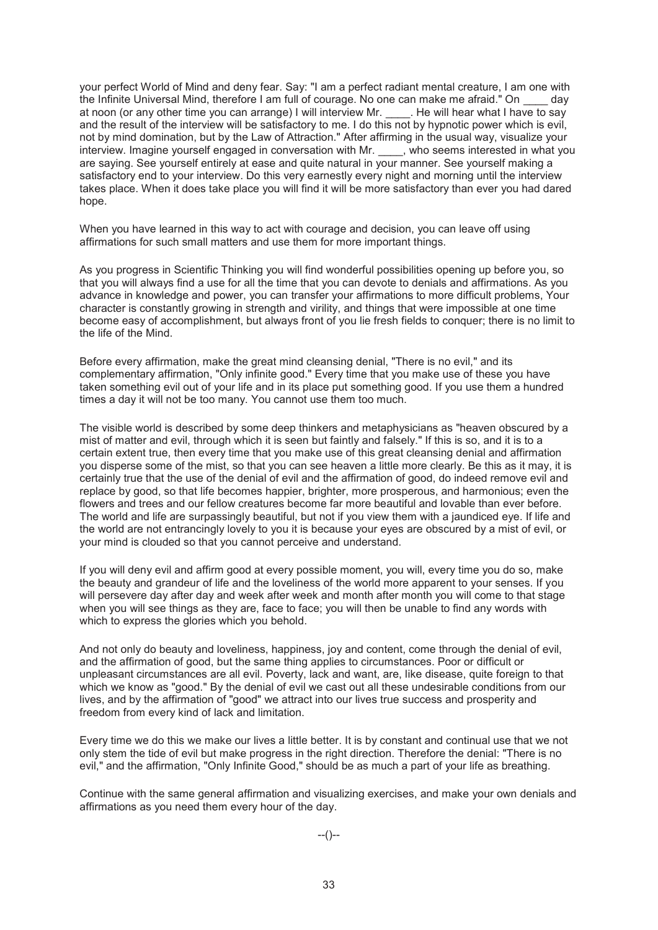your perfect World of Mind and deny fear. Say: "I am a perfect radiant mental creature, I am one with the Infinite Universal Mind, therefore I am full of courage. No one can make me afraid." On day at noon (or any other time you can arrange) I will interview Mr. \_\_\_\_\_. He will hear what I have to say and the result of the interview will be satisfactory to me. I do this not by hypnotic power which is evil, not by mind domination, but by the Law of Attraction." After affirming in the usual way, visualize your interview. Imagine yourself engaged in conversation with Mr. \_\_\_\_, who seems interested in what you are saying. See yourself entirely at ease and quite natural in your manner. See yourself making a satisfactory end to your interview. Do this very earnestly every night and morning until the interview takes place. When it does take place you will find it will be more satisfactory than ever you had dared hope.

When you have learned in this way to act with courage and decision, you can leave off using affirmations for such small matters and use them for more important things.

As you progress in Scientific Thinking you will find wonderful possibilities opening up before you, so that you will always find a use for all the time that you can devote to denials and affirmations. As you advance in knowledge and power, you can transfer your affirmations to more difficult problems, Your character is constantly growing in strength and virility, and things that were impossible at one time become easy of accomplishment, but always front of you lie fresh fields to conquer; there is no limit to the life of the Mind.

Before every affirmation, make the great mind cleansing denial, "There is no evil," and its complementary affirmation, "Only infinite good." Every time that you make use of these you have taken something evil out of your life and in its place put something good. If you use them a hundred times a day it will not be too many. You cannot use them too much.

The visible world is described by some deep thinkers and metaphysicians as "heaven obscured by a mist of matter and evil, through which it is seen but faintly and falsely." If this is so, and it is to a certain extent true, then every time that you make use of this great cleansing denial and affirmation you disperse some of the mist, so that you can see heaven a little more clearly. Be this as it may, it is certainly true that the use of the denial of evil and the affirmation of good, do indeed remove evil and replace by good, so that life becomes happier, brighter, more prosperous, and harmonious; even the flowers and trees and our fellow creatures become far more beautiful and lovable than ever before. The world and life are surpassingly beautiful, but not if you view them with a jaundiced eye. If life and the world are not entrancingly lovely to you it is because your eyes are obscured by a mist of evil, or your mind is clouded so that you cannot perceive and understand.

If you will deny evil and affirm good at every possible moment, you will, every time you do so, make the beauty and grandeur of life and the loveliness of the world more apparent to your senses. If you will persevere day after day and week after week and month after month you will come to that stage when you will see things as they are, face to face; you will then be unable to find any words with which to express the glories which you behold.

And not only do beauty and loveliness, happiness, joy and content, come through the denial of evil, and the affirmation of good, but the same thing applies to circumstances. Poor or difficult or unpleasant circumstances are all evil. Poverty, lack and want, are, like disease, quite foreign to that which we know as "good." By the denial of evil we cast out all these undesirable conditions from our lives, and by the affirmation of "good" we attract into our lives true success and prosperity and freedom from every kind of lack and limitation.

Every time we do this we make our lives a little better. It is by constant and continual use that we not only stem the tide of evil but make progress in the right direction. Therefore the denial: "There is no evil," and the affirmation, "Only Infinite Good," should be as much a part of your life as breathing.

Continue with the same general affirmation and visualizing exercises, and make your own denials and affirmations as you need them every hour of the day.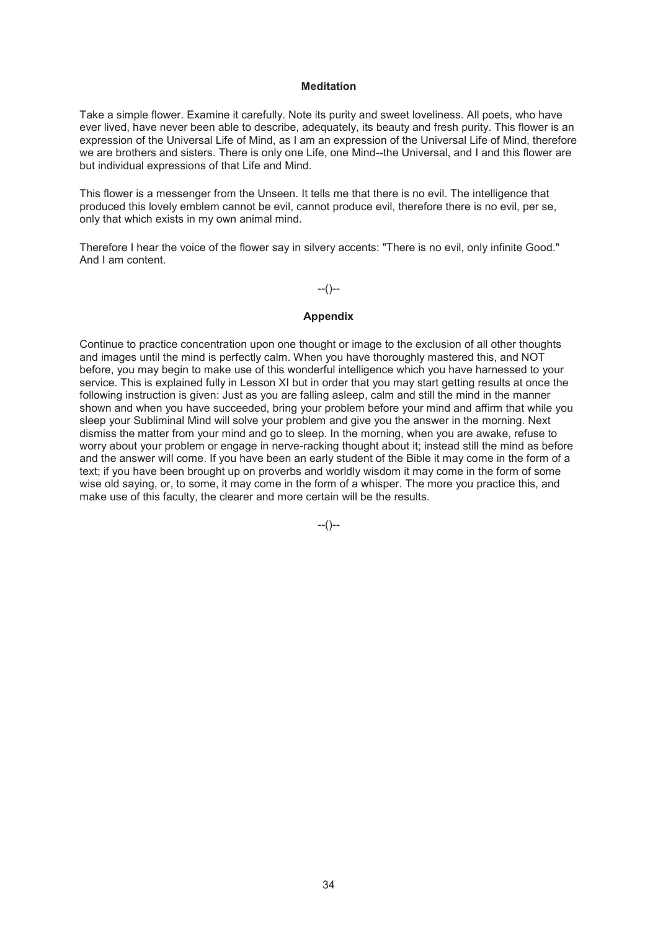#### **Meditation**

Take a simple flower. Examine it carefully. Note its purity and sweet loveliness. All poets, who have ever lived, have never been able to describe, adequately, its beauty and fresh purity. This flower is an expression of the Universal Life of Mind, as I am an expression of the Universal Life of Mind, therefore we are brothers and sisters. There is only one Life, one Mind--the Universal, and I and this flower are but individual expressions of that Life and Mind.

This flower is a messenger from the Unseen. It tells me that there is no evil. The intelligence that produced this lovely emblem cannot be evil, cannot produce evil, therefore there is no evil, per se, only that which exists in my own animal mind.

Therefore I hear the voice of the flower say in silvery accents: "There is no evil, only infinite Good." And I am content.

# $-(-)$

### **Appendix**

Continue to practice concentration upon one thought or image to the exclusion of all other thoughts and images until the mind is perfectly calm. When you have thoroughly mastered this, and NOT before, you may begin to make use of this wonderful intelligence which you have harnessed to your service. This is explained fully in Lesson XI but in order that you may start getting results at once the following instruction is given: Just as you are falling asleep, calm and still the mind in the manner shown and when you have succeeded, bring your problem before your mind and affirm that while you sleep your Subliminal Mind will solve your problem and give you the answer in the morning. Next dismiss the matter from your mind and go to sleep. In the morning, when you are awake, refuse to worry about your problem or engage in nerve-racking thought about it; instead still the mind as before and the answer will come. If you have been an early student of the Bible it may come in the form of a text; if you have been brought up on proverbs and worldly wisdom it may come in the form of some wise old saying, or, to some, it may come in the form of a whisper. The more you practice this, and make use of this faculty, the clearer and more certain will be the results.

 $-(-)$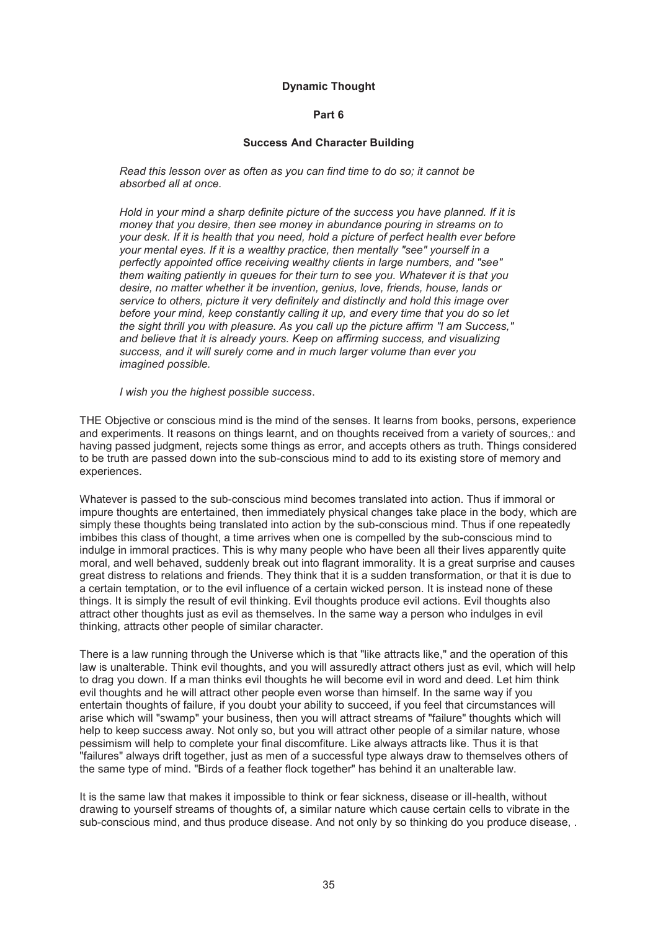# **Dynamic Thought**

# **Part 6**

#### **Success And Character Building**

*Read this lesson over as often as you can find time to do so; it cannot be absorbed all at once.*

*Hold in your mind a sharp definite picture of the success you have planned. If it is money that you desire, then see money in abundance pouring in streams on to your desk. If it is health that you need, hold a picture of perfect health ever before your mental eyes. If it is a wealthy practice, then mentally "see" yourself in a perfectly appointed office receiving wealthy clients in large numbers, and "see" them waiting patiently in queues for their turn to see you. Whatever it is that you desire, no matter whether it be invention, genius, love, friends, house, lands or service to others, picture it very definitely and distinctly and hold this image over before your mind, keep constantly calling it up, and every time that you do so let the sight thrill you with pleasure. As you call up the picture affirm "I am Success," and believe that it is already yours. Keep on affirming success, and visualizing success, and it will surely come and in much larger volume than ever you imagined possible.*

*I wish you the highest possible success*.

THE Objective or conscious mind is the mind of the senses. It learns from books, persons, experience and experiments. It reasons on things learnt, and on thoughts received from a variety of sources,: and having passed judgment, rejects some things as error, and accepts others as truth. Things considered to be truth are passed down into the sub-conscious mind to add to its existing store of memory and experiences.

Whatever is passed to the sub-conscious mind becomes translated into action. Thus if immoral or impure thoughts are entertained, then immediately physical changes take place in the body, which are simply these thoughts being translated into action by the sub-conscious mind. Thus if one repeatedly imbibes this class of thought, a time arrives when one is compelled by the sub-conscious mind to indulge in immoral practices. This is why many people who have been all their lives apparently quite moral, and well behaved, suddenly break out into flagrant immorality. It is a great surprise and causes great distress to relations and friends. They think that it is a sudden transformation, or that it is due to a certain temptation, or to the evil influence of a certain wicked person. It is instead none of these things. It is simply the result of evil thinking. Evil thoughts produce evil actions. Evil thoughts also attract other thoughts just as evil as themselves. In the same way a person who indulges in evil thinking, attracts other people of similar character.

There is a law running through the Universe which is that "like attracts like," and the operation of this law is unalterable. Think evil thoughts, and you will assuredly attract others just as evil, which will help to drag you down. If a man thinks evil thoughts he will become evil in word and deed. Let him think evil thoughts and he will attract other people even worse than himself. In the same way if you entertain thoughts of failure, if you doubt your ability to succeed, if you feel that circumstances will arise which will "swamp" your business, then you will attract streams of "failure" thoughts which will help to keep success away. Not only so, but you will attract other people of a similar nature, whose pessimism will help to complete your final discomfiture. Like always attracts like. Thus it is that "failures" always drift together, just as men of a successful type always draw to themselves others of the same type of mind. "Birds of a feather flock together" has behind it an unalterable law.

It is the same law that makes it impossible to think or fear sickness, disease or ill-health, without drawing to yourself streams of thoughts of, a similar nature which cause certain cells to vibrate in the sub-conscious mind, and thus produce disease. And not only by so thinking do you produce disease, .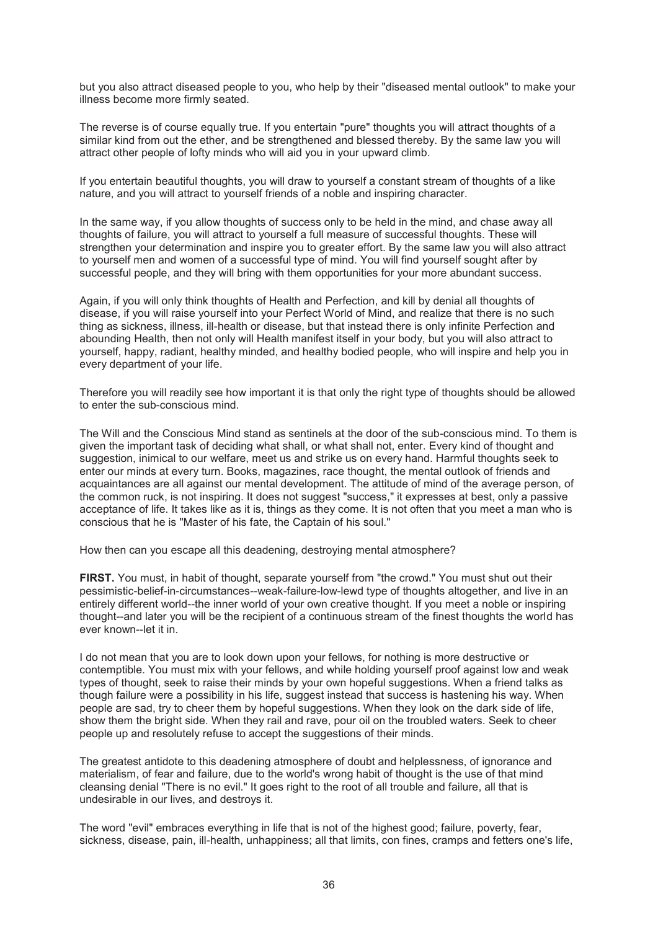but you also attract diseased people to you, who help by their "diseased mental outlook" to make your illness become more firmly seated.

The reverse is of course equally true. If you entertain "pure" thoughts you will attract thoughts of a similar kind from out the ether, and be strengthened and blessed thereby. By the same law you will attract other people of lofty minds who will aid you in your upward climb.

If you entertain beautiful thoughts, you will draw to yourself a constant stream of thoughts of a like nature, and you will attract to yourself friends of a noble and inspiring character.

In the same way, if you allow thoughts of success only to be held in the mind, and chase away all thoughts of failure, you will attract to yourself a full measure of successful thoughts. These will strengthen your determination and inspire you to greater effort. By the same law you will also attract to yourself men and women of a successful type of mind. You will find yourself sought after by successful people, and they will bring with them opportunities for your more abundant success.

Again, if you will only think thoughts of Health and Perfection, and kill by denial all thoughts of disease, if you will raise yourself into your Perfect World of Mind, and realize that there is no such thing as sickness, illness, ill-health or disease, but that instead there is only infinite Perfection and abounding Health, then not only will Health manifest itself in your body, but you will also attract to yourself, happy, radiant, healthy minded, and healthy bodied people, who will inspire and help you in every department of your life.

Therefore you will readily see how important it is that only the right type of thoughts should be allowed to enter the sub-conscious mind.

The Will and the Conscious Mind stand as sentinels at the door of the sub-conscious mind. To them is given the important task of deciding what shall, or what shall not, enter. Every kind of thought and suggestion, inimical to our welfare, meet us and strike us on every hand. Harmful thoughts seek to enter our minds at every turn. Books, magazines, race thought, the mental outlook of friends and acquaintances are all against our mental development. The attitude of mind of the average person, of the common ruck, is not inspiring. It does not suggest "success," it expresses at best, only a passive acceptance of life. It takes like as it is, things as they come. It is not often that you meet a man who is conscious that he is "Master of his fate, the Captain of his soul."

How then can you escape all this deadening, destroying mental atmosphere?

**FIRST.** You must, in habit of thought, separate yourself from "the crowd." You must shut out their pessimistic-belief-in-circumstances--weak-failure-low-lewd type of thoughts altogether, and live in an entirely different world--the inner world of your own creative thought. If you meet a noble or inspiring thought--and later you will be the recipient of a continuous stream of the finest thoughts the world has ever known--let it in.

I do not mean that you are to look down upon your fellows, for nothing is more destructive or contemptible. You must mix with your fellows, and while holding yourself proof against low and weak types of thought, seek to raise their minds by your own hopeful suggestions. When a friend talks as though failure were a possibility in his life, suggest instead that success is hastening his way. When people are sad, try to cheer them by hopeful suggestions. When they look on the dark side of life, show them the bright side. When they rail and rave, pour oil on the troubled waters. Seek to cheer people up and resolutely refuse to accept the suggestions of their minds.

The greatest antidote to this deadening atmosphere of doubt and helplessness, of ignorance and materialism, of fear and failure, due to the world's wrong habit of thought is the use of that mind cleansing denial "There is no evil." It goes right to the root of all trouble and failure, all that is undesirable in our lives, and destroys it.

The word "evil" embraces everything in life that is not of the highest good; failure, poverty, fear, sickness, disease, pain, ill-health, unhappiness; all that limits, con fines, cramps and fetters one's life,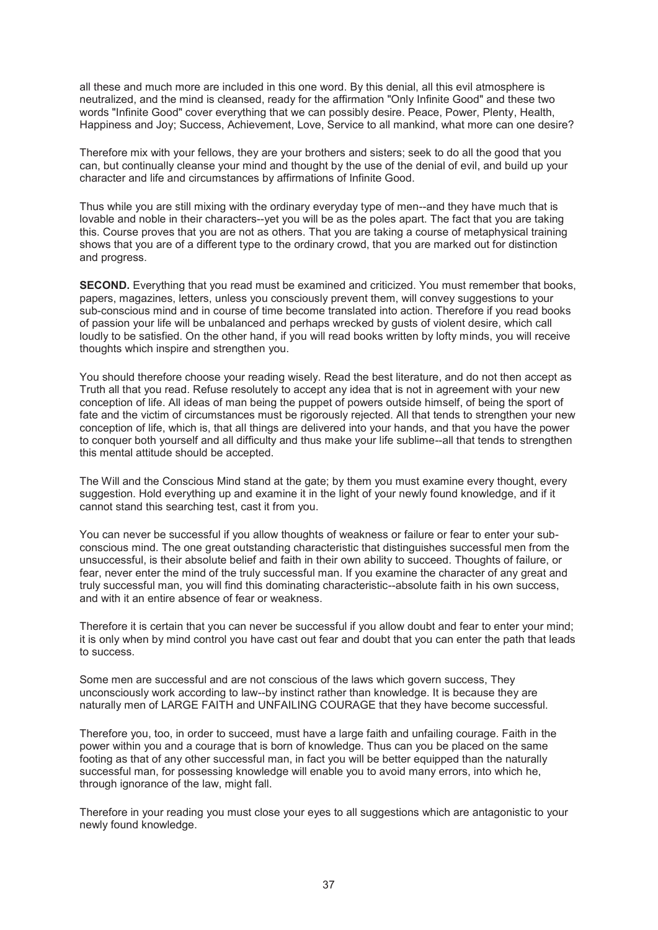all these and much more are included in this one word. By this denial, all this evil atmosphere is neutralized, and the mind is cleansed, ready for the affirmation "Only Infinite Good" and these two words "Infinite Good" cover everything that we can possibly desire. Peace, Power, Plenty, Health, Happiness and Joy; Success, Achievement, Love, Service to all mankind, what more can one desire?

Therefore mix with your fellows, they are your brothers and sisters; seek to do all the good that you can, but continually cleanse your mind and thought by the use of the denial of evil, and build up your character and life and circumstances by affirmations of Infinite Good.

Thus while you are still mixing with the ordinary everyday type of men--and they have much that is lovable and noble in their characters--yet you will be as the poles apart. The fact that you are taking this. Course proves that you are not as others. That you are taking a course of metaphysical training shows that you are of a different type to the ordinary crowd, that you are marked out for distinction and progress.

**SECOND.** Everything that you read must be examined and criticized. You must remember that books, papers, magazines, letters, unless you consciously prevent them, will convey suggestions to your sub-conscious mind and in course of time become translated into action. Therefore if you read books of passion your life will be unbalanced and perhaps wrecked by gusts of violent desire, which call loudly to be satisfied. On the other hand, if you will read books written by lofty minds, you will receive thoughts which inspire and strengthen you.

You should therefore choose your reading wisely. Read the best literature, and do not then accept as Truth all that you read. Refuse resolutely to accept any idea that is not in agreement with your new conception of life. All ideas of man being the puppet of powers outside himself, of being the sport of fate and the victim of circumstances must be rigorously rejected. All that tends to strengthen your new conception of life, which is, that all things are delivered into your hands, and that you have the power to conquer both yourself and all difficulty and thus make your life sublime--all that tends to strengthen this mental attitude should be accepted.

The Will and the Conscious Mind stand at the gate; by them you must examine every thought, every suggestion. Hold everything up and examine it in the light of your newly found knowledge, and if it cannot stand this searching test, cast it from you.

You can never be successful if you allow thoughts of weakness or failure or fear to enter your subconscious mind. The one great outstanding characteristic that distinguishes successful men from the unsuccessful, is their absolute belief and faith in their own ability to succeed. Thoughts of failure, or fear, never enter the mind of the truly successful man. If you examine the character of any great and truly successful man, you will find this dominating characteristic--absolute faith in his own success, and with it an entire absence of fear or weakness.

Therefore it is certain that you can never be successful if you allow doubt and fear to enter your mind; it is only when by mind control you have cast out fear and doubt that you can enter the path that leads to success.

Some men are successful and are not conscious of the laws which govern success, They unconsciously work according to law--by instinct rather than knowledge. It is because they are naturally men of LARGE FAITH and UNFAILING COURAGE that they have become successful.

Therefore you, too, in order to succeed, must have a large faith and unfailing courage. Faith in the power within you and a courage that is born of knowledge. Thus can you be placed on the same footing as that of any other successful man, in fact you will be better equipped than the naturally successful man, for possessing knowledge will enable you to avoid many errors, into which he, through ignorance of the law, might fall.

Therefore in your reading you must close your eyes to all suggestions which are antagonistic to your newly found knowledge.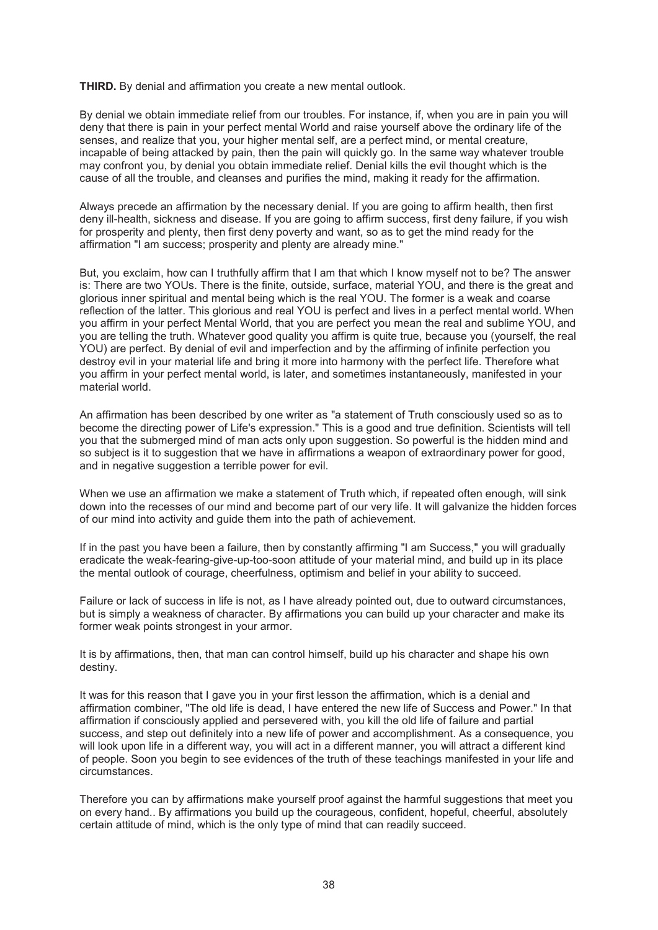**THIRD.** By denial and affirmation you create a new mental outlook.

By denial we obtain immediate relief from our troubles. For instance, if, when you are in pain you will deny that there is pain in your perfect mental World and raise yourself above the ordinary life of the senses, and realize that you, your higher mental self, are a perfect mind, or mental creature, incapable of being attacked by pain, then the pain will quickly go. In the same way whatever trouble may confront you, by denial you obtain immediate relief. Denial kills the evil thought which is the cause of all the trouble, and cleanses and purifies the mind, making it ready for the affirmation.

Always precede an affirmation by the necessary denial. If you are going to affirm health, then first deny ill-health, sickness and disease. If you are going to affirm success, first deny failure, if you wish for prosperity and plenty, then first deny poverty and want, so as to get the mind ready for the affirmation "I am success; prosperity and plenty are already mine."

But, you exclaim, how can I truthfully affirm that I am that which I know myself not to be? The answer is: There are two YOUs. There is the finite, outside, surface, material YOU, and there is the great and glorious inner spiritual and mental being which is the real YOU. The former is a weak and coarse reflection of the latter. This glorious and real YOU is perfect and lives in a perfect mental world. When you affirm in your perfect Mental World, that you are perfect you mean the real and sublime YOU, and you are telling the truth. Whatever good quality you affirm is quite true, because you (yourself, the real YOU) are perfect. By denial of evil and imperfection and by the affirming of infinite perfection you destroy evil in your material life and bring it more into harmony with the perfect life. Therefore what you affirm in your perfect mental world, is later, and sometimes instantaneously, manifested in your material world.

An affirmation has been described by one writer as "a statement of Truth consciously used so as to become the directing power of Life's expression." This is a good and true definition. Scientists will tell you that the submerged mind of man acts only upon suggestion. So powerful is the hidden mind and so subject is it to suggestion that we have in affirmations a weapon of extraordinary power for good, and in negative suggestion a terrible power for evil.

When we use an affirmation we make a statement of Truth which, if repeated often enough, will sink down into the recesses of our mind and become part of our very life. It will galvanize the hidden forces of our mind into activity and guide them into the path of achievement.

If in the past you have been a failure, then by constantly affirming "I am Success," you will gradually eradicate the weak-fearing-give-up-too-soon attitude of your material mind, and build up in its place the mental outlook of courage, cheerfulness, optimism and belief in your ability to succeed.

Failure or lack of success in life is not, as I have already pointed out, due to outward circumstances, but is simply a weakness of character. By affirmations you can build up your character and make its former weak points strongest in your armor.

It is by affirmations, then, that man can control himself, build up his character and shape his own destiny.

It was for this reason that I gave you in your first lesson the affirmation, which is a denial and affirmation combiner, "The old life is dead, I have entered the new life of Success and Power." In that affirmation if consciously applied and persevered with, you kill the old life of failure and partial success, and step out definitely into a new life of power and accomplishment. As a consequence, you will look upon life in a different way, you will act in a different manner, you will attract a different kind of people. Soon you begin to see evidences of the truth of these teachings manifested in your life and circumstances.

Therefore you can by affirmations make yourself proof against the harmful suggestions that meet you on every hand.. By affirmations you build up the courageous, confident, hopeful, cheerful, absolutely certain attitude of mind, which is the only type of mind that can readily succeed.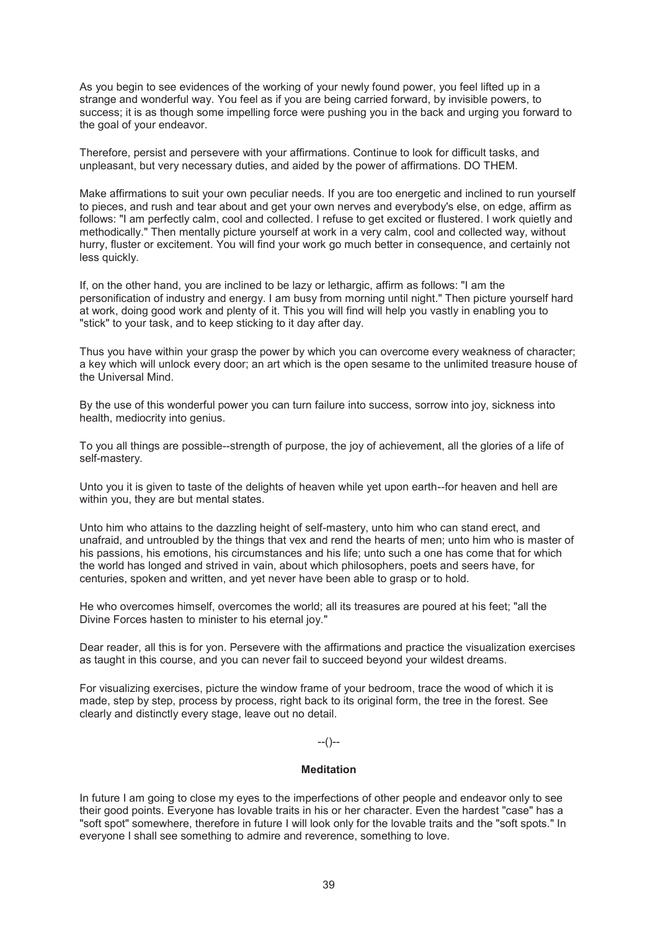As you begin to see evidences of the working of your newly found power, you feel lifted up in a strange and wonderful way. You feel as if you are being carried forward, by invisible powers, to success; it is as though some impelling force were pushing you in the back and urging you forward to the goal of your endeavor.

Therefore, persist and persevere with your affirmations. Continue to look for difficult tasks, and unpleasant, but very necessary duties, and aided by the power of affirmations. DO THEM.

Make affirmations to suit your own peculiar needs. If you are too energetic and inclined to run yourself to pieces, and rush and tear about and get your own nerves and everybody's else, on edge, affirm as follows: "I am perfectly calm, cool and collected. I refuse to get excited or flustered. I work quietly and methodically." Then mentally picture yourself at work in a very calm, cool and collected way, without hurry, fluster or excitement. You will find your work go much better in consequence, and certainly not less quickly.

If, on the other hand, you are inclined to be lazy or lethargic, affirm as follows: "I am the personification of industry and energy. I am busy from morning until night." Then picture yourself hard at work, doing good work and plenty of it. This you will find will help you vastly in enabling you to "stick" to your task, and to keep sticking to it day after day.

Thus you have within your grasp the power by which you can overcome every weakness of character; a key which will unlock every door; an art which is the open sesame to the unlimited treasure house of the Universal Mind.

By the use of this wonderful power you can turn failure into success, sorrow into joy, sickness into health, mediocrity into genius.

To you all things are possible--strength of purpose, the joy of achievement, all the glories of a life of self-mastery.

Unto you it is given to taste of the delights of heaven while yet upon earth--for heaven and hell are within you, they are but mental states.

Unto him who attains to the dazzling height of self-mastery, unto him who can stand erect, and unafraid, and untroubled by the things that vex and rend the hearts of men; unto him who is master of his passions, his emotions, his circumstances and his life; unto such a one has come that for which the world has longed and strived in vain, about which philosophers, poets and seers have, for centuries, spoken and written, and yet never have been able to grasp or to hold.

He who overcomes himself, overcomes the world; all its treasures are poured at his feet; "all the Divine Forces hasten to minister to his eternal joy."

Dear reader, all this is for yon. Persevere with the affirmations and practice the visualization exercises as taught in this course, and you can never fail to succeed beyond your wildest dreams.

For visualizing exercises, picture the window frame of your bedroom, trace the wood of which it is made, step by step, process by process, right back to its original form, the tree in the forest. See clearly and distinctly every stage, leave out no detail.

# --()--

# **Meditation**

In future I am going to close my eyes to the imperfections of other people and endeavor only to see their good points. Everyone has lovable traits in his or her character. Even the hardest "case" has a "soft spot" somewhere, therefore in future I will look only for the lovable traits and the "soft spots." In everyone I shall see something to admire and reverence, something to love.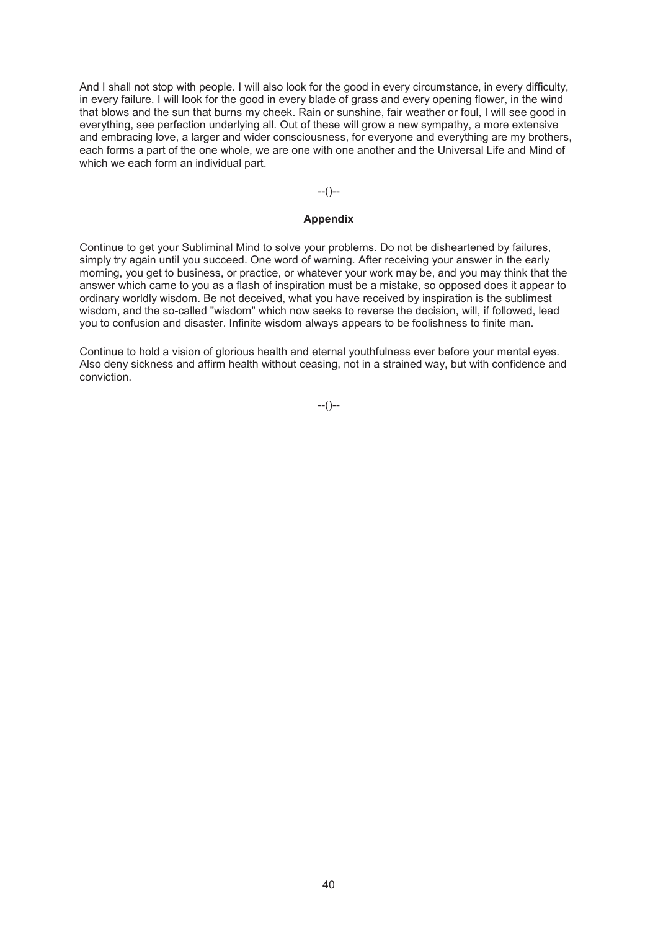And I shall not stop with people. I will also look for the good in every circumstance, in every difficulty, in every failure. I will look for the good in every blade of grass and every opening flower, in the wind that blows and the sun that burns my cheek. Rain or sunshine, fair weather or foul, I will see good in everything, see perfection underlying all. Out of these will grow a new sympathy, a more extensive and embracing love, a larger and wider consciousness, for everyone and everything are my brothers, each forms a part of the one whole, we are one with one another and the Universal Life and Mind of which we each form an individual part.

## $-(-)$

## **Appendix**

Continue to get your Subliminal Mind to solve your problems. Do not be disheartened by failures, simply try again until you succeed. One word of warning. After receiving your answer in the early morning, you get to business, or practice, or whatever your work may be, and you may think that the answer which came to you as a flash of inspiration must be a mistake, so opposed does it appear to ordinary worldly wisdom. Be not deceived, what you have received by inspiration is the sublimest wisdom, and the so-called "wisdom" which now seeks to reverse the decision, will, if followed, lead you to confusion and disaster. Infinite wisdom always appears to be foolishness to finite man.

Continue to hold a vision of glorious health and eternal youthfulness ever before your mental eyes. Also deny sickness and affirm health without ceasing, not in a strained way, but with confidence and conviction.

 $-(-)$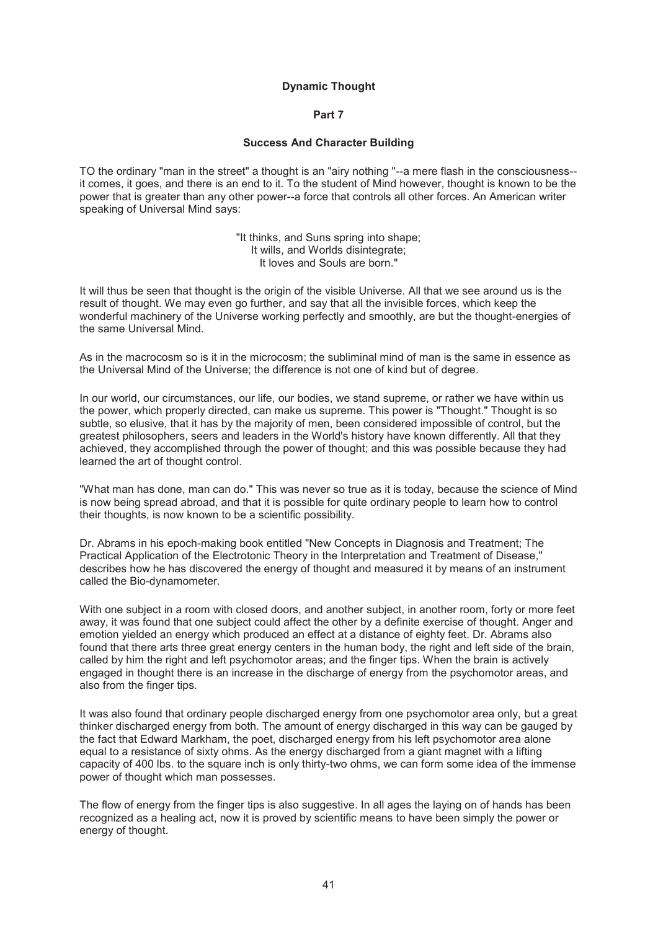## **Dynamic Thought**

# **Part 7**

#### **Success And Character Building**

TO the ordinary "man in the street" a thought is an "airy nothing "--a mere flash in the consciousness- it comes, it goes, and there is an end to it. To the student of Mind however, thought is known to be the power that is greater than any other power--a force that controls all other forces. An American writer speaking of Universal Mind says:

> "It thinks, and Suns spring into shape; It wills, and Worlds disintegrate; It loves and Souls are born."

It will thus be seen that thought is the origin of the visible Universe. All that we see around us is the result of thought. We may even go further, and say that all the invisible forces, which keep the wonderful machinery of the Universe working perfectly and smoothly, are but the thought-energies of the same Universal Mind.

As in the macrocosm so is it in the microcosm; the subliminal mind of man is the same in essence as the Universal Mind of the Universe; the difference is not one of kind but of degree.

In our world, our circumstances, our life, our bodies, we stand supreme, or rather we have within us the power, which properly directed, can make us supreme. This power is "Thought." Thought is so subtle, so elusive, that it has by the majority of men, been considered impossible of control, but the greatest philosophers, seers and leaders in the World's history have known differently. All that they achieved, they accomplished through the power of thought; and this was possible because they had learned the art of thought control.

"What man has done, man can do." This was never so true as it is today, because the science of Mind is now being spread abroad, and that it is possible for quite ordinary people to learn how to control their thoughts, is now known to be a scientific possibility.

Dr. Abrams in his epoch-making book entitled "New Concepts in Diagnosis and Treatment; The Practical Application of the Electrotonic Theory in the Interpretation and Treatment of Disease," describes how he has discovered the energy of thought and measured it by means of an instrument called the Bio-dynamometer.

With one subject in a room with closed doors, and another subject, in another room, forty or more feet away, it was found that one subject could affect the other by a definite exercise of thought. Anger and emotion yielded an energy which produced an effect at a distance of eighty feet. Dr. Abrams also found that there arts three great energy centers in the human body, the right and left side of the brain, called by him the right and left psychomotor areas; and the finger tips. When the brain is actively engaged in thought there is an increase in the discharge of energy from the psychomotor areas, and also from the finger tips.

It was also found that ordinary people discharged energy from one psychomotor area only, but a great thinker discharged energy from both. The amount of energy discharged in this way can be gauged by the fact that Edward Markham, the poet, discharged energy from his left psychomotor area alone equal to a resistance of sixty ohms. As the energy discharged from a giant magnet with a lifting capacity of 400 lbs. to the square inch is only thirty-two ohms, we can form some idea of the immense power of thought which man possesses.

The flow of energy from the finger tips is also suggestive. In all ages the laying on of hands has been recognized as a healing act, now it is proved by scientific means to have been simply the power or energy of thought.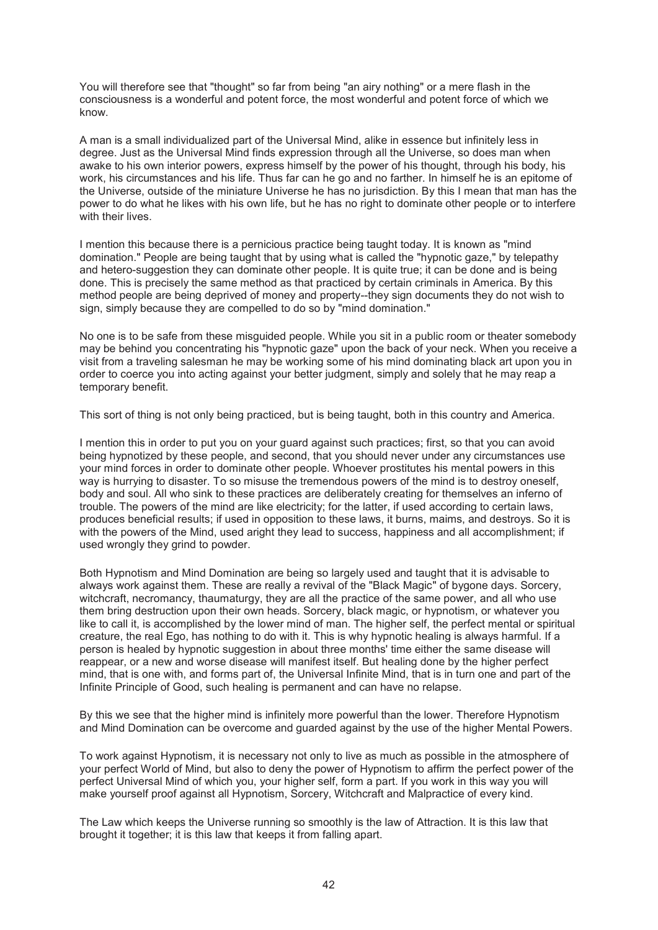You will therefore see that "thought" so far from being "an airy nothing" or a mere flash in the consciousness is a wonderful and potent force, the most wonderful and potent force of which we know.

A man is a small individualized part of the Universal Mind, alike in essence but infinitely less in degree. Just as the Universal Mind finds expression through all the Universe, so does man when awake to his own interior powers, express himself by the power of his thought, through his body, his work, his circumstances and his life. Thus far can he go and no farther. In himself he is an epitome of the Universe, outside of the miniature Universe he has no jurisdiction. By this I mean that man has the power to do what he likes with his own life, but he has no right to dominate other people or to interfere with their lives.

I mention this because there is a pernicious practice being taught today. It is known as "mind domination." People are being taught that by using what is called the "hypnotic gaze," by telepathy and hetero-suggestion they can dominate other people. It is quite true; it can be done and is being done. This is precisely the same method as that practiced by certain criminals in America. By this method people are being deprived of money and property--they sign documents they do not wish to sign, simply because they are compelled to do so by "mind domination."

No one is to be safe from these misguided people. While you sit in a public room or theater somebody may be behind you concentrating his "hypnotic gaze" upon the back of your neck. When you receive a visit from a traveling salesman he may be working some of his mind dominating black art upon you in order to coerce you into acting against your better judgment, simply and solely that he may reap a temporary benefit.

This sort of thing is not only being practiced, but is being taught, both in this country and America.

I mention this in order to put you on your guard against such practices; first, so that you can avoid being hypnotized by these people, and second, that you should never under any circumstances use your mind forces in order to dominate other people. Whoever prostitutes his mental powers in this way is hurrying to disaster. To so misuse the tremendous powers of the mind is to destroy oneself, body and soul. All who sink to these practices are deliberately creating for themselves an inferno of trouble. The powers of the mind are like electricity; for the latter, if used according to certain laws, produces beneficial results; if used in opposition to these laws, it burns, maims, and destroys. So it is with the powers of the Mind, used aright they lead to success, happiness and all accomplishment; if used wrongly they grind to powder.

Both Hypnotism and Mind Domination are being so largely used and taught that it is advisable to always work against them. These are really a revival of the "Black Magic" of bygone days. Sorcery, witchcraft, necromancy, thaumaturgy, they are all the practice of the same power, and all who use them bring destruction upon their own heads. Sorcery, black magic, or hypnotism, or whatever you like to call it, is accomplished by the lower mind of man. The higher self, the perfect mental or spiritual creature, the real Ego, has nothing to do with it. This is why hypnotic healing is always harmful. If a person is healed by hypnotic suggestion in about three months' time either the same disease will reappear, or a new and worse disease will manifest itself. But healing done by the higher perfect mind, that is one with, and forms part of, the Universal Infinite Mind, that is in turn one and part of the Infinite Principle of Good, such healing is permanent and can have no relapse.

By this we see that the higher mind is infinitely more powerful than the lower. Therefore Hypnotism and Mind Domination can be overcome and guarded against by the use of the higher Mental Powers.

To work against Hypnotism, it is necessary not only to live as much as possible in the atmosphere of your perfect World of Mind, but also to deny the power of Hypnotism to affirm the perfect power of the perfect Universal Mind of which you, your higher self, form a part. If you work in this way you will make yourself proof against all Hypnotism, Sorcery, Witchcraft and Malpractice of every kind.

The Law which keeps the Universe running so smoothly is the law of Attraction. It is this law that brought it together; it is this law that keeps it from falling apart.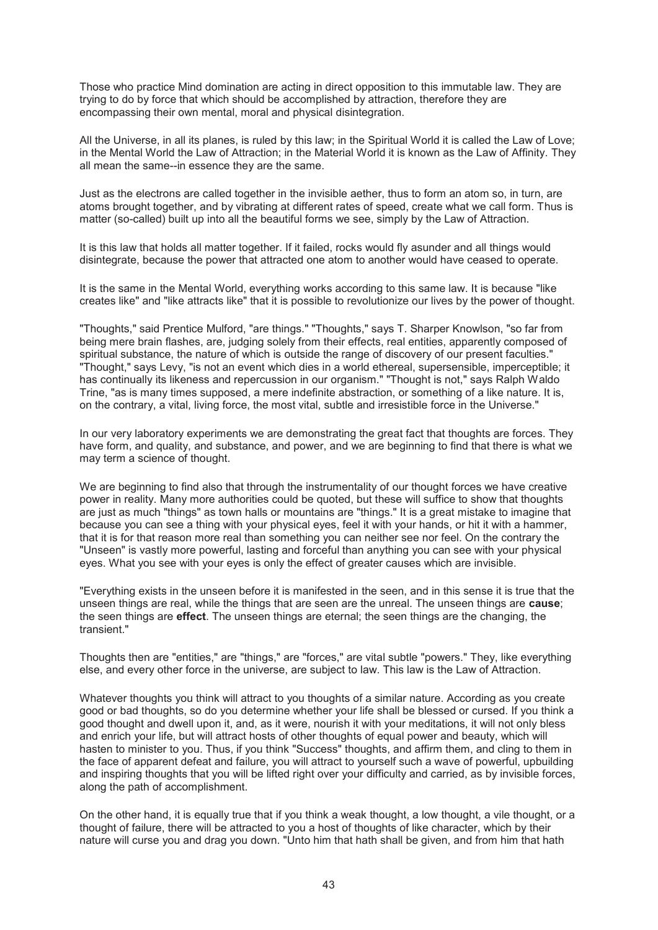Those who practice Mind domination are acting in direct opposition to this immutable law. They are trying to do by force that which should be accomplished by attraction, therefore they are encompassing their own mental, moral and physical disintegration.

All the Universe, in all its planes, is ruled by this law; in the Spiritual World it is called the Law of Love; in the Mental World the Law of Attraction; in the Material World it is known as the Law of Affinity. They all mean the same--in essence they are the same.

Just as the electrons are called together in the invisible aether, thus to form an atom so, in turn, are atoms brought together, and by vibrating at different rates of speed, create what we call form. Thus is matter (so-called) built up into all the beautiful forms we see, simply by the Law of Attraction.

It is this law that holds all matter together. If it failed, rocks would fly asunder and all things would disintegrate, because the power that attracted one atom to another would have ceased to operate.

It is the same in the Mental World, everything works according to this same law. It is because "like creates like" and "like attracts like" that it is possible to revolutionize our lives by the power of thought.

"Thoughts," said Prentice Mulford, "are things." "Thoughts," says T. Sharper Knowlson, "so far from being mere brain flashes, are, judging solely from their effects, real entities, apparently composed of spiritual substance, the nature of which is outside the range of discovery of our present faculties." "Thought," says Levy, "is not an event which dies in a world ethereal, supersensible, imperceptible; it has continually its likeness and repercussion in our organism." "Thought is not," says Ralph Waldo Trine, "as is many times supposed, a mere indefinite abstraction, or something of a like nature. It is, on the contrary, a vital, living force, the most vital, subtle and irresistible force in the Universe."

In our very laboratory experiments we are demonstrating the great fact that thoughts are forces. They have form, and quality, and substance, and power, and we are beginning to find that there is what we may term a science of thought.

We are beginning to find also that through the instrumentality of our thought forces we have creative power in reality. Many more authorities could be quoted, but these will suffice to show that thoughts are just as much "things" as town halls or mountains are "things." It is a great mistake to imagine that because you can see a thing with your physical eyes, feel it with your hands, or hit it with a hammer, that it is for that reason more real than something you can neither see nor feel. On the contrary the "Unseen" is vastly more powerful, lasting and forceful than anything you can see with your physical eyes. What you see with your eyes is only the effect of greater causes which are invisible.

"Everything exists in the unseen before it is manifested in the seen, and in this sense it is true that the unseen things are real, while the things that are seen are the unreal. The unseen things are **cause**; the seen things are **effect**. The unseen things are eternal; the seen things are the changing, the transient."

Thoughts then are "entities," are "things," are "forces," are vital subtle "powers." They, like everything else, and every other force in the universe, are subject to law. This law is the Law of Attraction.

Whatever thoughts you think will attract to you thoughts of a similar nature. According as you create good or bad thoughts, so do you determine whether your life shall be blessed or cursed. If you think a good thought and dwell upon it, and, as it were, nourish it with your meditations, it will not only bless and enrich your life, but will attract hosts of other thoughts of equal power and beauty, which will hasten to minister to you. Thus, if you think "Success" thoughts, and affirm them, and cling to them in the face of apparent defeat and failure, you will attract to yourself such a wave of powerful, upbuilding and inspiring thoughts that you will be lifted right over your difficulty and carried, as by invisible forces, along the path of accomplishment.

On the other hand, it is equally true that if you think a weak thought, a low thought, a vile thought, or a thought of failure, there will be attracted to you a host of thoughts of like character, which by their nature will curse you and drag you down. "Unto him that hath shall be given, and from him that hath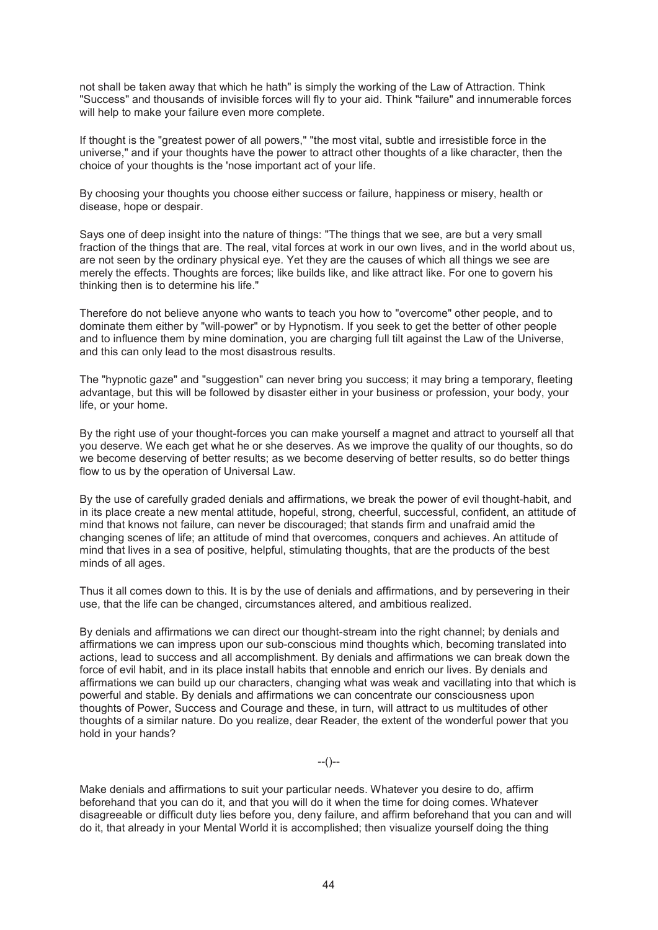not shall be taken away that which he hath" is simply the working of the Law of Attraction. Think "Success" and thousands of invisible forces will fly to your aid. Think "failure" and innumerable forces will help to make your failure even more complete.

If thought is the "greatest power of all powers," "the most vital, subtle and irresistible force in the universe," and if your thoughts have the power to attract other thoughts of a like character, then the choice of your thoughts is the 'nose important act of your life.

By choosing your thoughts you choose either success or failure, happiness or misery, health or disease, hope or despair.

Says one of deep insight into the nature of things: "The things that we see, are but a very small fraction of the things that are. The real, vital forces at work in our own lives, and in the world about us, are not seen by the ordinary physical eye. Yet they are the causes of which all things we see are merely the effects. Thoughts are forces; like builds like, and like attract like. For one to govern his thinking then is to determine his life."

Therefore do not believe anyone who wants to teach you how to "overcome" other people, and to dominate them either by "will-power" or by Hypnotism. If you seek to get the better of other people and to influence them by mine domination, you are charging full tilt against the Law of the Universe, and this can only lead to the most disastrous results.

The "hypnotic gaze" and "suggestion" can never bring you success; it may bring a temporary, fleeting advantage, but this will be followed by disaster either in your business or profession, your body, your life, or your home.

By the right use of your thought-forces you can make yourself a magnet and attract to yourself all that you deserve. We each get what he or she deserves. As we improve the quality of our thoughts, so do we become deserving of better results; as we become deserving of better results, so do better things flow to us by the operation of Universal Law.

By the use of carefully graded denials and affirmations, we break the power of evil thought-habit, and in its place create a new mental attitude, hopeful, strong, cheerful, successful, confident, an attitude of mind that knows not failure, can never be discouraged; that stands firm and unafraid amid the changing scenes of life; an attitude of mind that overcomes, conquers and achieves. An attitude of mind that lives in a sea of positive, helpful, stimulating thoughts, that are the products of the best minds of all ages.

Thus it all comes down to this. It is by the use of denials and affirmations, and by persevering in their use, that the life can be changed, circumstances altered, and ambitious realized.

By denials and affirmations we can direct our thought-stream into the right channel; by denials and affirmations we can impress upon our sub-conscious mind thoughts which, becoming translated into actions, lead to success and all accomplishment. By denials and affirmations we can break down the force of evil habit, and in its place install habits that ennoble and enrich our lives. By denials and affirmations we can build up our characters, changing what was weak and vacillating into that which is powerful and stable. By denials and affirmations we can concentrate our consciousness upon thoughts of Power, Success and Courage and these, in turn, will attract to us multitudes of other thoughts of a similar nature. Do you realize, dear Reader, the extent of the wonderful power that you hold in your hands?

 $-(-)$ 

Make denials and affirmations to suit your particular needs. Whatever you desire to do, affirm beforehand that you can do it, and that you will do it when the time for doing comes. Whatever disagreeable or difficult duty lies before you, deny failure, and affirm beforehand that you can and will do it, that already in your Mental World it is accomplished; then visualize yourself doing the thing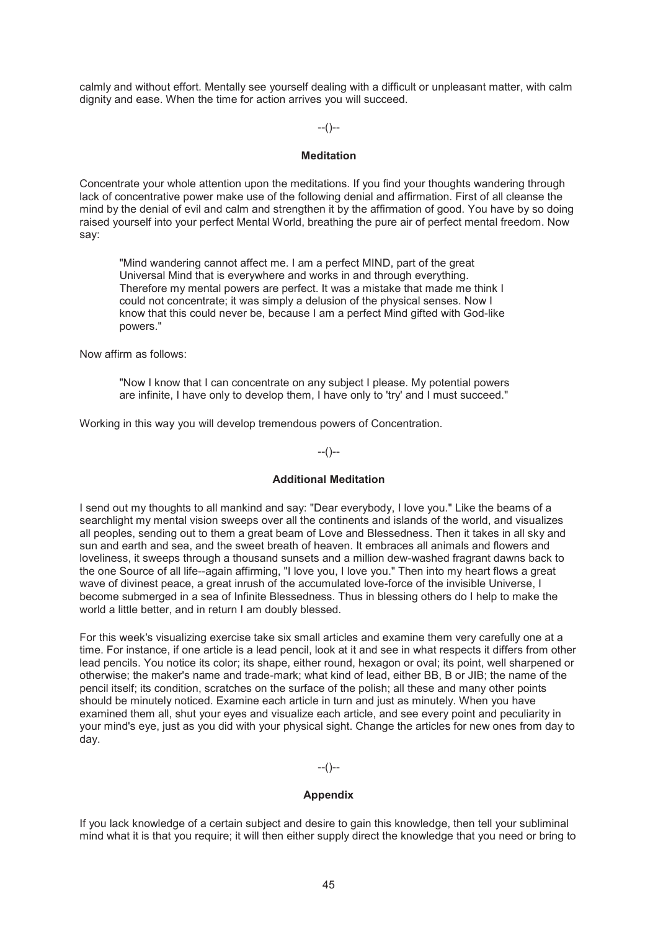calmly and without effort. Mentally see yourself dealing with a difficult or unpleasant matter, with calm dignity and ease. When the time for action arrives you will succeed.

--()--

### **Meditation**

Concentrate your whole attention upon the meditations. If you find your thoughts wandering through lack of concentrative power make use of the following denial and affirmation. First of all cleanse the mind by the denial of evil and calm and strengthen it by the affirmation of good. You have by so doing raised yourself into your perfect Mental World, breathing the pure air of perfect mental freedom. Now say:

"Mind wandering cannot affect me. I am a perfect MIND, part of the great Universal Mind that is everywhere and works in and through everything. Therefore my mental powers are perfect. It was a mistake that made me think I could not concentrate; it was simply a delusion of the physical senses. Now I know that this could never be, because I am a perfect Mind gifted with God-like powers."

Now affirm as follows:

"Now I know that I can concentrate on any subject I please. My potential powers are infinite, I have only to develop them, I have only to 'try' and I must succeed."

Working in this way you will develop tremendous powers of Concentration.

--()--

#### **Additional Meditation**

I send out my thoughts to all mankind and say: "Dear everybody, I love you." Like the beams of a searchlight my mental vision sweeps over all the continents and islands of the world, and visualizes all peoples, sending out to them a great beam of Love and Blessedness. Then it takes in all sky and sun and earth and sea, and the sweet breath of heaven. It embraces all animals and flowers and loveliness, it sweeps through a thousand sunsets and a million dew-washed fragrant dawns back to the one Source of all life--again affirming, "I love you, I love you." Then into my heart flows a great wave of divinest peace, a great inrush of the accumulated love-force of the invisible Universe, I become submerged in a sea of Infinite Blessedness. Thus in blessing others do I help to make the world a little better, and in return I am doubly blessed.

For this week's visualizing exercise take six small articles and examine them very carefully one at a time. For instance, if one article is a lead pencil, look at it and see in what respects it differs from other lead pencils. You notice its color; its shape, either round, hexagon or oval; its point, well sharpened or otherwise; the maker's name and trade-mark; what kind of lead, either BB, B or JIB; the name of the pencil itself; its condition, scratches on the surface of the polish; all these and many other points should be minutely noticed. Examine each article in turn and just as minutely. When you have examined them all, shut your eyes and visualize each article, and see every point and peculiarity in your mind's eye, just as you did with your physical sight. Change the articles for new ones from day to day.

## --()--

## **Appendix**

If you lack knowledge of a certain subject and desire to gain this knowledge, then tell your subliminal mind what it is that you require; it will then either supply direct the knowledge that you need or bring to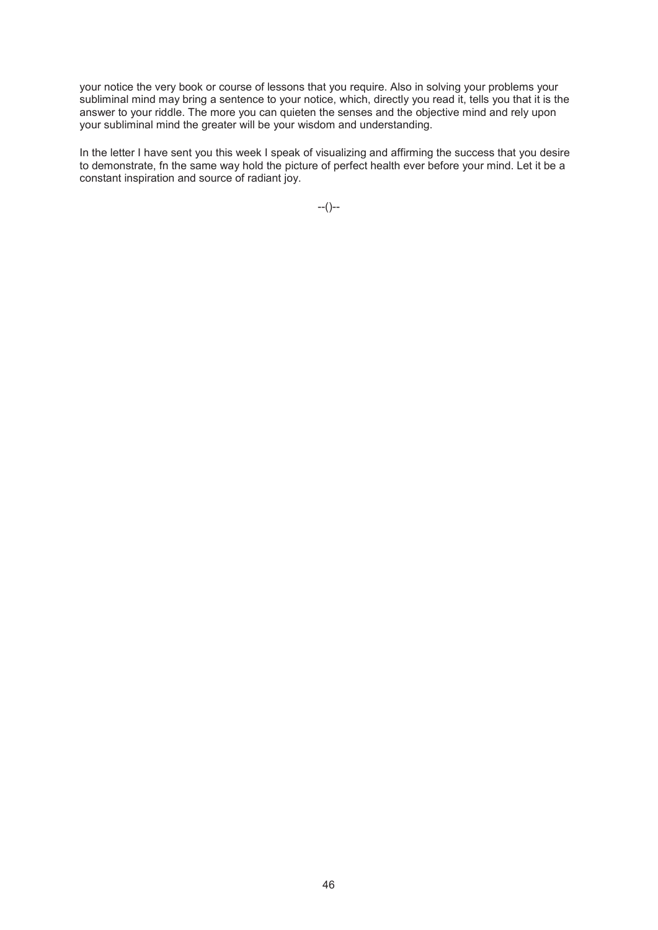your notice the very book or course of lessons that you require. Also in solving your problems your subliminal mind may bring a sentence to your notice, which, directly you read it, tells you that it is the answer to your riddle. The more you can quieten the senses and the objective mind and rely upon your subliminal mind the greater will be your wisdom and understanding.

In the letter I have sent you this week I speak of visualizing and affirming the success that you desire to demonstrate, fn the same way hold the picture of perfect health ever before your mind. Let it be a constant inspiration and source of radiant joy.

--()--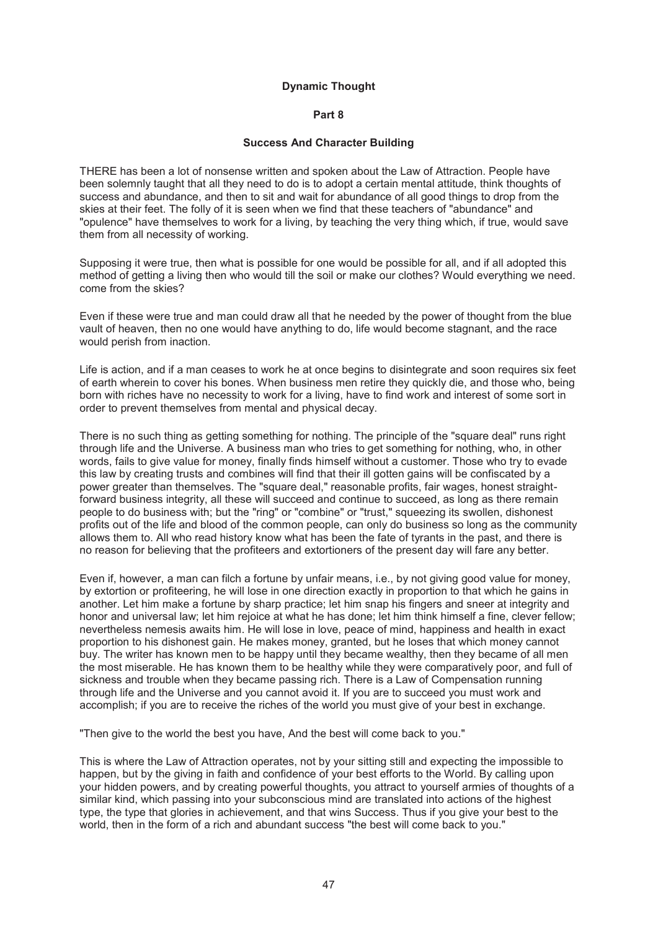## **Dynamic Thought**

# **Part 8**

### **Success And Character Building**

THERE has been a lot of nonsense written and spoken about the Law of Attraction. People have been solemnly taught that all they need to do is to adopt a certain mental attitude, think thoughts of success and abundance, and then to sit and wait for abundance of all good things to drop from the skies at their feet. The folly of it is seen when we find that these teachers of "abundance" and "opulence" have themselves to work for a living, by teaching the very thing which, if true, would save them from all necessity of working.

Supposing it were true, then what is possible for one would be possible for all, and if all adopted this method of getting a living then who would till the soil or make our clothes? Would everything we need. come from the skies?

Even if these were true and man could draw all that he needed by the power of thought from the blue vault of heaven, then no one would have anything to do, life would become stagnant, and the race would perish from inaction.

Life is action, and if a man ceases to work he at once begins to disintegrate and soon requires six feet of earth wherein to cover his bones. When business men retire they quickly die, and those who, being born with riches have no necessity to work for a living, have to find work and interest of some sort in order to prevent themselves from mental and physical decay.

There is no such thing as getting something for nothing. The principle of the "square deal" runs right through life and the Universe. A business man who tries to get something for nothing, who, in other words, fails to give value for money, finally finds himself without a customer. Those who try to evade this law by creating trusts and combines will find that their ill gotten gains will be confiscated by a power greater than themselves. The "square deal," reasonable profits, fair wages, honest straightforward business integrity, all these will succeed and continue to succeed, as long as there remain people to do business with; but the "ring" or "combine" or "trust," squeezing its swollen, dishonest profits out of the life and blood of the common people, can only do business so long as the community allows them to. All who read history know what has been the fate of tyrants in the past, and there is no reason for believing that the profiteers and extortioners of the present day will fare any better.

Even if, however, a man can filch a fortune by unfair means, i.e., by not giving good value for money, by extortion or profiteering, he will lose in one direction exactly in proportion to that which he gains in another. Let him make a fortune by sharp practice; let him snap his fingers and sneer at integrity and honor and universal law; let him rejoice at what he has done; let him think himself a fine, clever fellow; nevertheless nemesis awaits him. He will lose in love, peace of mind, happiness and health in exact proportion to his dishonest gain. He makes money, granted, but he loses that which money cannot buy. The writer has known men to be happy until they became wealthy, then they became of all men the most miserable. He has known them to be healthy while they were comparatively poor, and full of sickness and trouble when they became passing rich. There is a Law of Compensation running through life and the Universe and you cannot avoid it. If you are to succeed you must work and accomplish; if you are to receive the riches of the world you must give of your best in exchange.

"Then give to the world the best you have, And the best will come back to you."

This is where the Law of Attraction operates, not by your sitting still and expecting the impossible to happen, but by the giving in faith and confidence of your best efforts to the World. By calling upon your hidden powers, and by creating powerful thoughts, you attract to yourself armies of thoughts of a similar kind, which passing into your subconscious mind are translated into actions of the highest type, the type that glories in achievement, and that wins Success. Thus if you give your best to the world, then in the form of a rich and abundant success "the best will come back to you."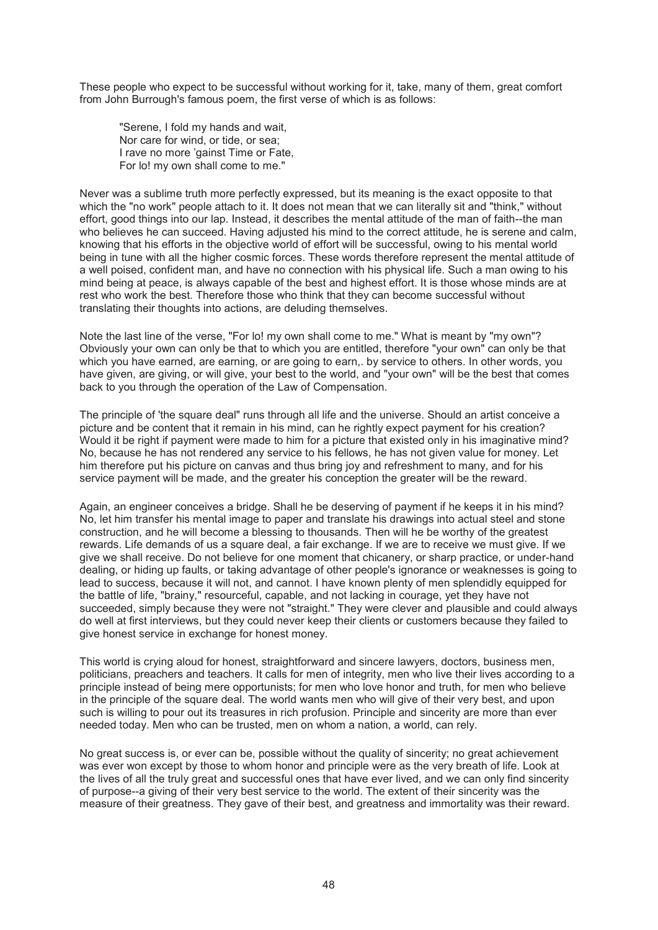These people who expect to be successful without working for it, take, many of them, great comfort from John Burrough's famous poem, the first verse of which is as follows:

"Serene, I fold my hands and wait, Nor care for wind, or tide, or sea; I rave no more 'gainst Time or Fate, For lo! my own shall come to me."

Never was a sublime truth more perfectly expressed, but its meaning is the exact opposite to that which the "no work" people attach to it. It does not mean that we can literally sit and "think," without effort, good things into our lap. Instead, it describes the mental attitude of the man of faith--the man who believes he can succeed. Having adjusted his mind to the correct attitude, he is serene and calm, knowing that his efforts in the objective world of effort will be successful, owing to his mental world being in tune with all the higher cosmic forces. These words therefore represent the mental attitude of a well poised, confident man, and have no connection with his physical life. Such a man owing to his mind being at peace, is always capable of the best and highest effort. It is those whose minds are at rest who work the best. Therefore those who think that they can become successful without translating their thoughts into actions, are deluding themselves.

Note the last line of the verse, "For lo! my own shall come to me." What is meant by "my own"? Obviously your own can only be that to which you are entitled, therefore "your own" can only be that which you have earned, are earning, or are going to earn,. by service to others. In other words, you have given, are giving, or will give, your best to the world, and "your own" will be the best that comes back to you through the operation of the Law of Compensation.

The principle of 'the square deal" runs through all life and the universe. Should an artist conceive a picture and be content that it remain in his mind, can he rightly expect payment for his creation? Would it be right if payment were made to him for a picture that existed only in his imaginative mind? No, because he has not rendered any service to his fellows, he has not given value for money. Let him therefore put his picture on canvas and thus bring joy and refreshment to many, and for his service payment will be made, and the greater his conception the greater will be the reward.

Again, an engineer conceives a bridge. Shall he be deserving of payment if he keeps it in his mind? No, let him transfer his mental image to paper and translate his drawings into actual steel and stone construction, and he will become a blessing to thousands. Then will he be worthy of the greatest rewards. Life demands of us a square deal, a fair exchange. If we are to receive we must give. If we give we shall receive. Do not believe for one moment that chicanery, or sharp practice, or under-hand dealing, or hiding up faults, or taking advantage of other people's ignorance or weaknesses is going to lead to success, because it will not, and cannot. I have known plenty of men splendidly equipped for the battle of life, "brainy," resourceful, capable, and not lacking in courage, yet they have not succeeded, simply because they were not "straight." They were clever and plausible and could always do well at first interviews, but they could never keep their clients or customers because they failed to give honest service in exchange for honest money.

This world is crying aloud for honest, straightforward and sincere lawyers, doctors, business men, politicians, preachers and teachers. It calls for men of integrity, men who live their lives according to a principle instead of being mere opportunists; for men who love honor and truth, for men who believe in the principle of the square deal. The world wants men who will give of their very best, and upon such is willing to pour out its treasures in rich profusion. Principle and sincerity are more than ever needed today. Men who can be trusted, men on whom a nation, a world, can rely.

No great success is, or ever can be, possible without the quality of sincerity; no great achievement was ever won except by those to whom honor and principle were as the very breath of life. Look at the lives of all the truly great and successful ones that have ever lived, and we can only find sincerity of purpose--a giving of their very best service to the world. The extent of their sincerity was the measure of their greatness. They gave of their best, and greatness and immortality was their reward.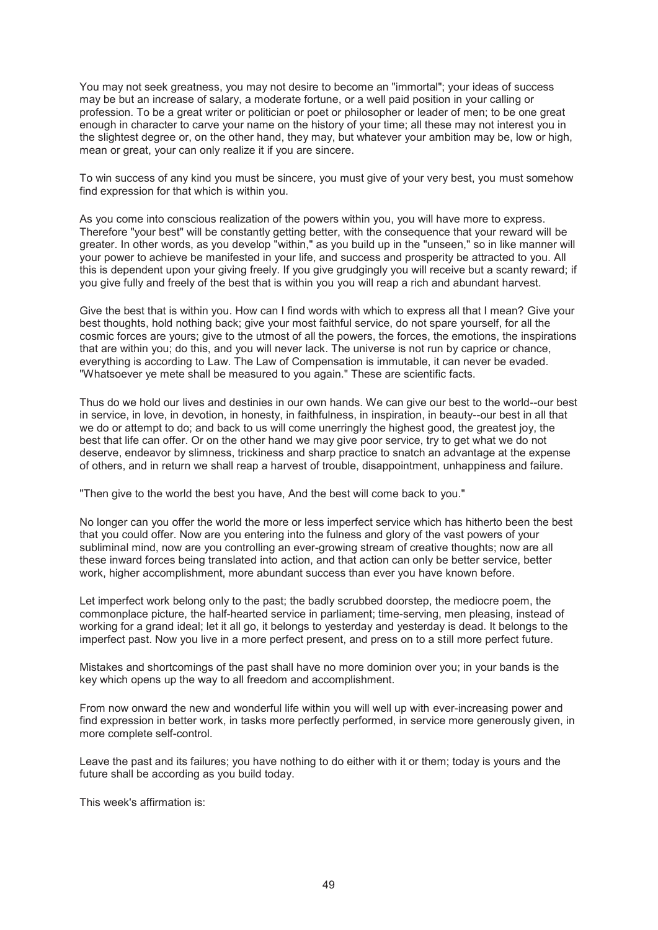You may not seek greatness, you may not desire to become an "immortal"; your ideas of success may be but an increase of salary, a moderate fortune, or a well paid position in your calling or profession. To be a great writer or politician or poet or philosopher or leader of men; to be one great enough in character to carve your name on the history of your time; all these may not interest you in the slightest degree or, on the other hand, they may, but whatever your ambition may be, low or high, mean or great, your can only realize it if you are sincere.

To win success of any kind you must be sincere, you must give of your very best, you must somehow find expression for that which is within you.

As you come into conscious realization of the powers within you, you will have more to express. Therefore "your best" will be constantly getting better, with the consequence that your reward will be greater. In other words, as you develop "within," as you build up in the "unseen," so in like manner will your power to achieve be manifested in your life, and success and prosperity be attracted to you. All this is dependent upon your giving freely. If you give grudgingly you will receive but a scanty reward; if you give fully and freely of the best that is within you you will reap a rich and abundant harvest.

Give the best that is within you. How can I find words with which to express all that I mean? Give your best thoughts, hold nothing back; give your most faithful service, do not spare yourself, for all the cosmic forces are yours; give to the utmost of all the powers, the forces, the emotions, the inspirations that are within you; do this, and you will never lack. The universe is not run by caprice or chance, everything is according to Law. The Law of Compensation is immutable, it can never be evaded. "Whatsoever ye mete shall be measured to you again." These are scientific facts.

Thus do we hold our lives and destinies in our own hands. We can give our best to the world--our best in service, in love, in devotion, in honesty, in faithfulness, in inspiration, in beauty--our best in all that we do or attempt to do; and back to us will come unerringly the highest good, the greatest joy, the best that life can offer. Or on the other hand we may give poor service, try to get what we do not deserve, endeavor by slimness, trickiness and sharp practice to snatch an advantage at the expense of others, and in return we shall reap a harvest of trouble, disappointment, unhappiness and failure.

"Then give to the world the best you have, And the best will come back to you."

No longer can you offer the world the more or less imperfect service which has hitherto been the best that you could offer. Now are you entering into the fulness and glory of the vast powers of your subliminal mind, now are you controlling an ever-growing stream of creative thoughts; now are all these inward forces being translated into action, and that action can only be better service, better work, higher accomplishment, more abundant success than ever you have known before.

Let imperfect work belong only to the past; the badly scrubbed doorstep, the mediocre poem, the commonplace picture, the half-hearted service in parliament; time-serving, men pleasing, instead of working for a grand ideal; let it all go, it belongs to yesterday and yesterday is dead. It belongs to the imperfect past. Now you live in a more perfect present, and press on to a still more perfect future.

Mistakes and shortcomings of the past shall have no more dominion over you; in your bands is the key which opens up the way to all freedom and accomplishment.

From now onward the new and wonderful life within you will well up with ever-increasing power and find expression in better work, in tasks more perfectly performed, in service more generously given, in more complete self-control.

Leave the past and its failures; you have nothing to do either with it or them; today is yours and the future shall be according as you build today.

This week's affirmation is: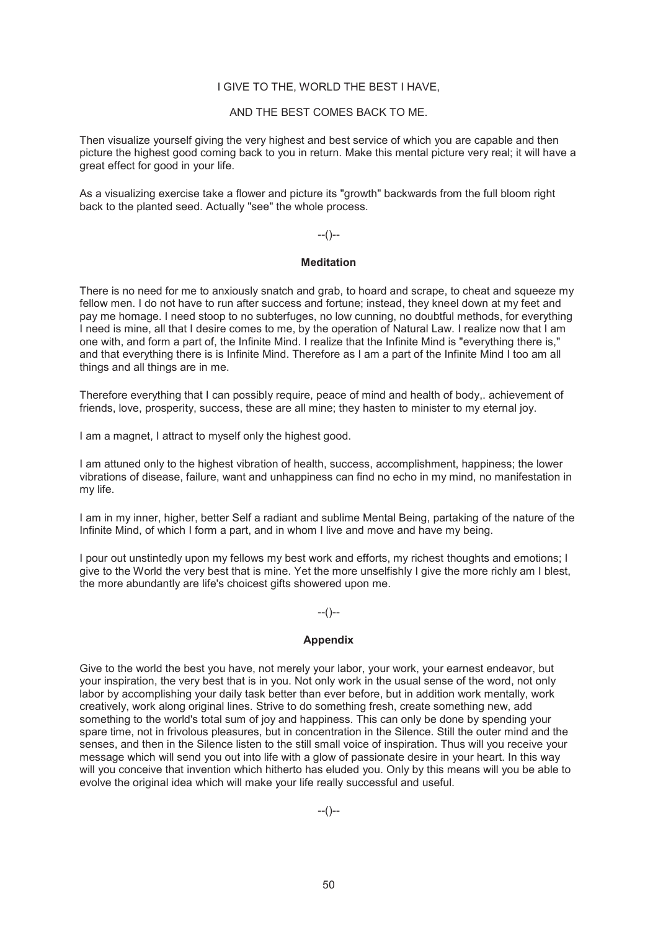### I GIVE TO THE, WORLD THE BEST I HAVE,

### AND THE BEST COMES BACK TO ME.

Then visualize yourself giving the very highest and best service of which you are capable and then picture the highest good coming back to you in return. Make this mental picture very real; it will have a great effect for good in your life.

As a visualizing exercise take a flower and picture its "growth" backwards from the full bloom right back to the planted seed. Actually "see" the whole process.

## --()--

### **Meditation**

There is no need for me to anxiously snatch and grab, to hoard and scrape, to cheat and squeeze my fellow men. I do not have to run after success and fortune; instead, they kneel down at my feet and pay me homage. I need stoop to no subterfuges, no low cunning, no doubtful methods, for everything I need is mine, all that I desire comes to me, by the operation of Natural Law. I realize now that I am one with, and form a part of, the Infinite Mind. I realize that the Infinite Mind is "everything there is," and that everything there is is Infinite Mind. Therefore as I am a part of the Infinite Mind I too am all things and all things are in me.

Therefore everything that I can possibly require, peace of mind and health of body,. achievement of friends, love, prosperity, success, these are all mine; they hasten to minister to my eternal joy.

I am a magnet, I attract to myself only the highest good.

I am attuned only to the highest vibration of health, success, accomplishment, happiness; the lower vibrations of disease, failure, want and unhappiness can find no echo in my mind, no manifestation in my life.

I am in my inner, higher, better Self a radiant and sublime Mental Being, partaking of the nature of the Infinite Mind, of which I form a part, and in whom I live and move and have my being.

I pour out unstintedly upon my fellows my best work and efforts, my richest thoughts and emotions; I give to the World the very best that is mine. Yet the more unselfishly I give the more richly am I blest, the more abundantly are life's choicest gifts showered upon me.

## --()--

## **Appendix**

Give to the world the best you have, not merely your labor, your work, your earnest endeavor, but your inspiration, the very best that is in you. Not only work in the usual sense of the word, not only labor by accomplishing your daily task better than ever before, but in addition work mentally, work creatively, work along original lines. Strive to do something fresh, create something new, add something to the world's total sum of joy and happiness. This can only be done by spending your spare time, not in frivolous pleasures, but in concentration in the Silence. Still the outer mind and the senses, and then in the Silence listen to the still small voice of inspiration. Thus will you receive your message which will send you out into life with a glow of passionate desire in your heart. In this way will you conceive that invention which hitherto has eluded you. Only by this means will you be able to evolve the original idea which will make your life really successful and useful.

 $-(-)$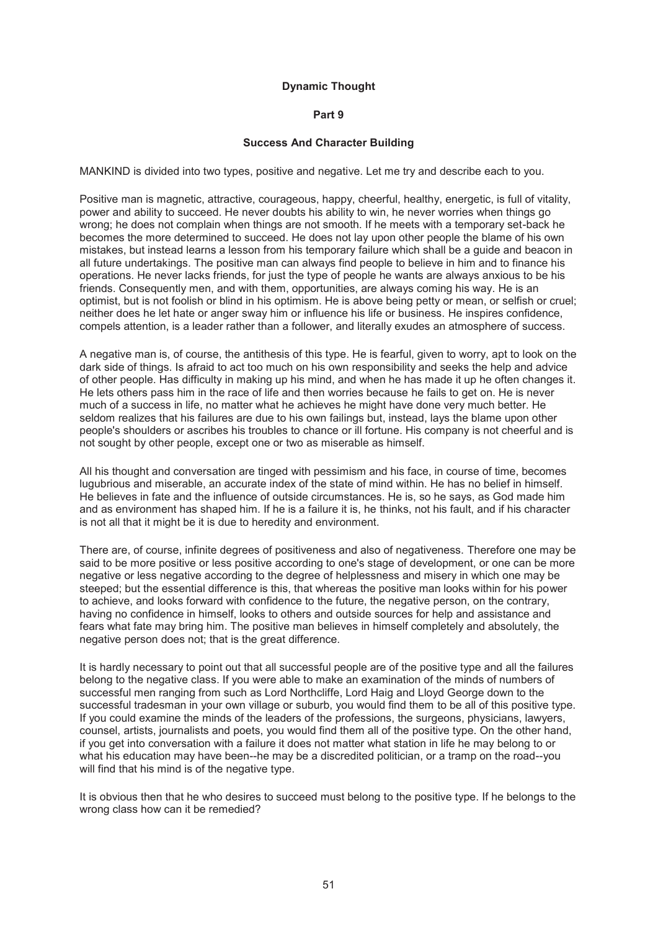## **Dynamic Thought**

# **Part 9**

### **Success And Character Building**

MANKIND is divided into two types, positive and negative. Let me try and describe each to you.

Positive man is magnetic, attractive, courageous, happy, cheerful, healthy, energetic, is full of vitality, power and ability to succeed. He never doubts his ability to win, he never worries when things go wrong; he does not complain when things are not smooth. If he meets with a temporary set-back he becomes the more determined to succeed. He does not lay upon other people the blame of his own mistakes, but instead learns a lesson from his temporary failure which shall be a guide and beacon in all future undertakings. The positive man can always find people to believe in him and to finance his operations. He never lacks friends, for just the type of people he wants are always anxious to be his friends. Consequently men, and with them, opportunities, are always coming his way. He is an optimist, but is not foolish or blind in his optimism. He is above being petty or mean, or selfish or cruel; neither does he let hate or anger sway him or influence his life or business. He inspires confidence, compels attention, is a leader rather than a follower, and literally exudes an atmosphere of success.

A negative man is, of course, the antithesis of this type. He is fearful, given to worry, apt to look on the dark side of things. Is afraid to act too much on his own responsibility and seeks the help and advice of other people. Has difficulty in making up his mind, and when he has made it up he often changes it. He lets others pass him in the race of life and then worries because he fails to get on. He is never much of a success in life, no matter what he achieves he might have done very much better. He seldom realizes that his failures are due to his own failings but, instead, lays the blame upon other people's shoulders or ascribes his troubles to chance or ill fortune. His company is not cheerful and is not sought by other people, except one or two as miserable as himself.

All his thought and conversation are tinged with pessimism and his face, in course of time, becomes lugubrious and miserable, an accurate index of the state of mind within. He has no belief in himself. He believes in fate and the influence of outside circumstances. He is, so he says, as God made him and as environment has shaped him. If he is a failure it is, he thinks, not his fault, and if his character is not all that it might be it is due to heredity and environment.

There are, of course, infinite degrees of positiveness and also of negativeness. Therefore one may be said to be more positive or less positive according to one's stage of development, or one can be more negative or less negative according to the degree of helplessness and misery in which one may be steeped; but the essential difference is this, that whereas the positive man looks within for his power to achieve, and looks forward with confidence to the future, the negative person, on the contrary, having no confidence in himself, looks to others and outside sources for help and assistance and fears what fate may bring him. The positive man believes in himself completely and absolutely, the negative person does not; that is the great difference.

It is hardly necessary to point out that all successful people are of the positive type and all the failures belong to the negative class. If you were able to make an examination of the minds of numbers of successful men ranging from such as Lord Northcliffe, Lord Haig and Lloyd George down to the successful tradesman in your own village or suburb, you would find them to be all of this positive type. If you could examine the minds of the leaders of the professions, the surgeons, physicians, lawyers, counsel, artists, journalists and poets, you would find them all of the positive type. On the other hand, if you get into conversation with a failure it does not matter what station in life he may belong to or what his education may have been--he may be a discredited politician, or a tramp on the road--you will find that his mind is of the negative type.

It is obvious then that he who desires to succeed must belong to the positive type. If he belongs to the wrong class how can it be remedied?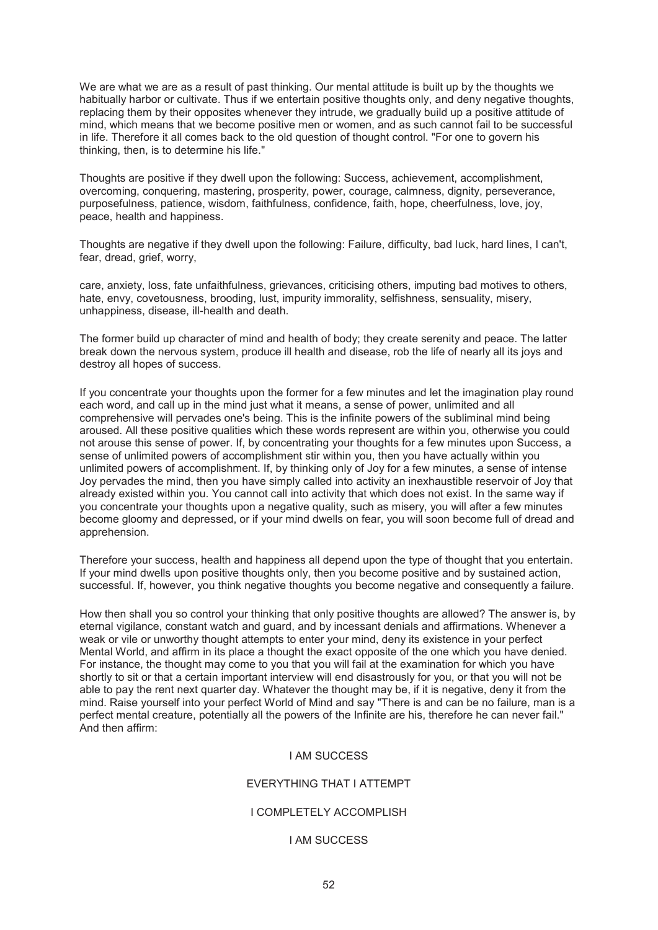We are what we are as a result of past thinking. Our mental attitude is built up by the thoughts we habitually harbor or cultivate. Thus if we entertain positive thoughts only, and deny negative thoughts, replacing them by their opposites whenever they intrude, we gradually build up a positive attitude of mind, which means that we become positive men or women, and as such cannot fail to be successful in life. Therefore it all comes back to the old question of thought control. "For one to govern his thinking, then, is to determine his life."

Thoughts are positive if they dwell upon the following: Success, achievement, accomplishment, overcoming, conquering, mastering, prosperity, power, courage, calmness, dignity, perseverance, purposefulness, patience, wisdom, faithfulness, confidence, faith, hope, cheerfulness, love, joy, peace, health and happiness.

Thoughts are negative if they dwell upon the following: Failure, difficulty, bad luck, hard lines, I can't, fear, dread, grief, worry,

care, anxiety, loss, fate unfaithfulness, grievances, criticising others, imputing bad motives to others, hate, envy, covetousness, brooding, lust, impurity immorality, selfishness, sensuality, misery, unhappiness, disease, ill-health and death.

The former build up character of mind and health of body; they create serenity and peace. The latter break down the nervous system, produce ill health and disease, rob the life of nearly all its joys and destroy all hopes of success.

If you concentrate your thoughts upon the former for a few minutes and let the imagination play round each word, and call up in the mind just what it means, a sense of power, unlimited and all comprehensive will pervades one's being. This is the infinite powers of the subliminal mind being aroused. All these positive qualities which these words represent are within you, otherwise you could not arouse this sense of power. If, by concentrating your thoughts for a few minutes upon Success, a sense of unlimited powers of accomplishment stir within you, then you have actually within you unlimited powers of accomplishment. If, by thinking only of Joy for a few minutes, a sense of intense Joy pervades the mind, then you have simply called into activity an inexhaustible reservoir of Joy that already existed within you. You cannot call into activity that which does not exist. In the same way if you concentrate your thoughts upon a negative quality, such as misery, you will after a few minutes become gloomy and depressed, or if your mind dwells on fear, you will soon become full of dread and apprehension.

Therefore your success, health and happiness all depend upon the type of thought that you entertain. If your mind dwells upon positive thoughts only, then you become positive and by sustained action, successful. If, however, you think negative thoughts you become negative and consequently a failure.

How then shall you so control your thinking that only positive thoughts are allowed? The answer is, by eternal vigilance, constant watch and guard, and by incessant denials and affirmations. Whenever a weak or vile or unworthy thought attempts to enter your mind, deny its existence in your perfect Mental World, and affirm in its place a thought the exact opposite of the one which you have denied. For instance, the thought may come to you that you will fail at the examination for which you have shortly to sit or that a certain important interview will end disastrously for you, or that you will not be able to pay the rent next quarter day. Whatever the thought may be, if it is negative, deny it from the mind. Raise yourself into your perfect World of Mind and say "There is and can be no failure, man is a perfect mental creature, potentially all the powers of the Infinite are his, therefore he can never fail." And then affirm:

#### I AM SUCCESS

#### EVERYTHING THAT I ATTEMPT

#### I COMPLETELY ACCOMPLISH

#### I AM SUCCESS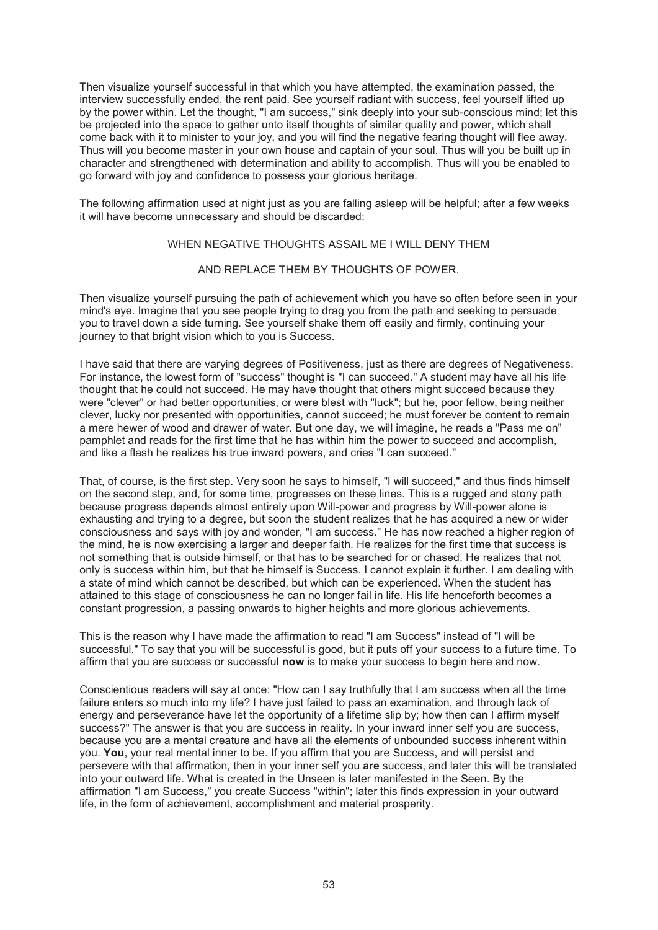Then visualize yourself successful in that which you have attempted, the examination passed, the interview successfully ended, the rent paid. See yourself radiant with success, feel yourself lifted up by the power within. Let the thought, "I am success," sink deeply into your sub-conscious mind; let this be projected into the space to gather unto itself thoughts of similar quality and power, which shall come back with it to minister to your joy, and you will find the negative fearing thought will flee away. Thus will you become master in your own house and captain of your soul. Thus will you be built up in character and strengthened with determination and ability to accomplish. Thus will you be enabled to go forward with joy and confidence to possess your glorious heritage.

The following affirmation used at night just as you are falling asleep will be helpful; after a few weeks it will have become unnecessary and should be discarded:

#### WHEN NEGATIVE THOUGHTS ASSAIL ME I WILL DENY THEM

#### AND REPLACE THEM BY THOUGHTS OF POWER.

Then visualize yourself pursuing the path of achievement which you have so often before seen in your mind's eye. Imagine that you see people trying to drag you from the path and seeking to persuade you to travel down a side turning. See yourself shake them off easily and firmly, continuing your journey to that bright vision which to you is Success.

I have said that there are varying degrees of Positiveness, just as there are degrees of Negativeness. For instance, the lowest form of "success" thought is "I can succeed." A student may have all his life thought that he could not succeed. He may have thought that others might succeed because they were "clever" or had better opportunities, or were blest with "luck"; but he, poor fellow, being neither clever, lucky nor presented with opportunities, cannot succeed; he must forever be content to remain a mere hewer of wood and drawer of water. But one day, we will imagine, he reads a "Pass me on" pamphlet and reads for the first time that he has within him the power to succeed and accomplish, and like a flash he realizes his true inward powers, and cries "I can succeed."

That, of course, is the first step. Very soon he says to himself, "I will succeed," and thus finds himself on the second step, and, for some time, progresses on these lines. This is a rugged and stony path because progress depends almost entirely upon Will-power and progress by Will-power alone is exhausting and trying to a degree, but soon the student realizes that he has acquired a new or wider consciousness and says with joy and wonder, "I am success." He has now reached a higher region of the mind, he is now exercising a larger and deeper faith. He realizes for the first time that success is not something that is outside himself, or that has to be searched for or chased. He realizes that not only is success within him, but that he himself is Success. I cannot explain it further. I am dealing with a state of mind which cannot be described, but which can be experienced. When the student has attained to this stage of consciousness he can no longer fail in life. His life henceforth becomes a constant progression, a passing onwards to higher heights and more glorious achievements.

This is the reason why I have made the affirmation to read "I am Success" instead of "I will be successful." To say that you will be successful is good, but it puts off your success to a future time. To affirm that you are success or successful **now** is to make your success to begin here and now.

Conscientious readers will say at once: "How can I say truthfully that I am success when all the time failure enters so much into my life? I have just failed to pass an examination, and through lack of energy and perseverance have let the opportunity of a lifetime slip by; how then can I affirm myself success?" The answer is that you are success in reality. In your inward inner self you are success, because you are a mental creature and have all the elements of unbounded success inherent within you. **You**, your real mental inner to be. If you affirm that you are Success, and will persist and persevere with that affirmation, then in your inner self you **are** success, and later this will be translated into your outward life. What is created in the Unseen is later manifested in the Seen. By the affirmation "I am Success," you create Success "within"; later this finds expression in your outward life, in the form of achievement, accomplishment and material prosperity.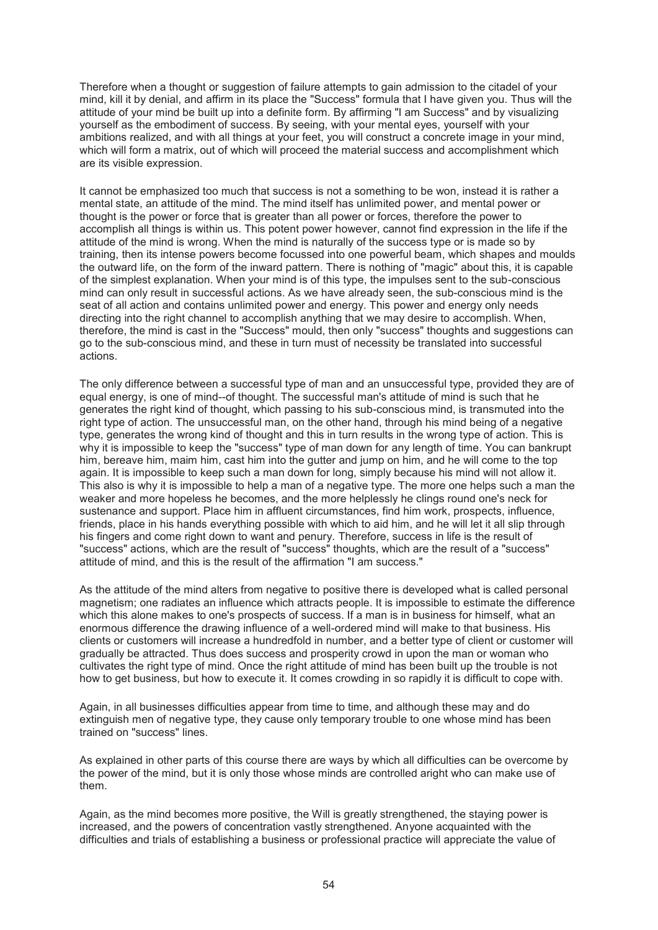Therefore when a thought or suggestion of failure attempts to gain admission to the citadel of your mind, kill it by denial, and affirm in its place the "Success" formula that I have given you. Thus will the attitude of your mind be built up into a definite form. By affirming "I am Success" and by visualizing yourself as the embodiment of success. By seeing, with your mental eyes, yourself with your ambitions realized, and with all things at your feet, you will construct a concrete image in your mind, which will form a matrix, out of which will proceed the material success and accomplishment which are its visible expression.

It cannot be emphasized too much that success is not a something to be won, instead it is rather a mental state, an attitude of the mind. The mind itself has unlimited power, and mental power or thought is the power or force that is greater than all power or forces, therefore the power to accomplish all things is within us. This potent power however, cannot find expression in the life if the attitude of the mind is wrong. When the mind is naturally of the success type or is made so by training, then its intense powers become focussed into one powerful beam, which shapes and moulds the outward life, on the form of the inward pattern. There is nothing of "magic" about this, it is capable of the simplest explanation. When your mind is of this type, the impulses sent to the sub-conscious mind can only result in successful actions. As we have already seen, the sub-conscious mind is the seat of all action and contains unlimited power and energy. This power and energy only needs directing into the right channel to accomplish anything that we may desire to accomplish. When, therefore, the mind is cast in the "Success" mould, then only "success" thoughts and suggestions can go to the sub-conscious mind, and these in turn must of necessity be translated into successful actions.

The only difference between a successful type of man and an unsuccessful type, provided they are of equal energy, is one of mind--of thought. The successful man's attitude of mind is such that he generates the right kind of thought, which passing to his sub-conscious mind, is transmuted into the right type of action. The unsuccessful man, on the other hand, through his mind being of a negative type, generates the wrong kind of thought and this in turn results in the wrong type of action. This is why it is impossible to keep the "success" type of man down for any length of time. You can bankrupt him, bereave him, maim him, cast him into the gutter and jump on him, and he will come to the top again. It is impossible to keep such a man down for long, simply because his mind will not allow it. This also is why it is impossible to help a man of a negative type. The more one helps such a man the weaker and more hopeless he becomes, and the more helplessly he clings round one's neck for sustenance and support. Place him in affluent circumstances, find him work, prospects, influence, friends, place in his hands everything possible with which to aid him, and he will let it all slip through his fingers and come right down to want and penury. Therefore, success in life is the result of "success" actions, which are the result of "success" thoughts, which are the result of a "success" attitude of mind, and this is the result of the affirmation "I am success."

As the attitude of the mind alters from negative to positive there is developed what is called personal magnetism; one radiates an influence which attracts people. It is impossible to estimate the difference which this alone makes to one's prospects of success. If a man is in business for himself, what an enormous difference the drawing influence of a well-ordered mind will make to that business. His clients or customers will increase a hundredfold in number, and a better type of client or customer will gradually be attracted. Thus does success and prosperity crowd in upon the man or woman who cultivates the right type of mind. Once the right attitude of mind has been built up the trouble is not how to get business, but how to execute it. It comes crowding in so rapidly it is difficult to cope with.

Again, in all businesses difficulties appear from time to time, and although these may and do extinguish men of negative type, they cause only temporary trouble to one whose mind has been trained on "success" lines.

As explained in other parts of this course there are ways by which all difficulties can be overcome by the power of the mind, but it is only those whose minds are controlled aright who can make use of them.

Again, as the mind becomes more positive, the Will is greatly strengthened, the staying power is increased, and the powers of concentration vastly strengthened. Anyone acquainted with the difficulties and trials of establishing a business or professional practice will appreciate the value of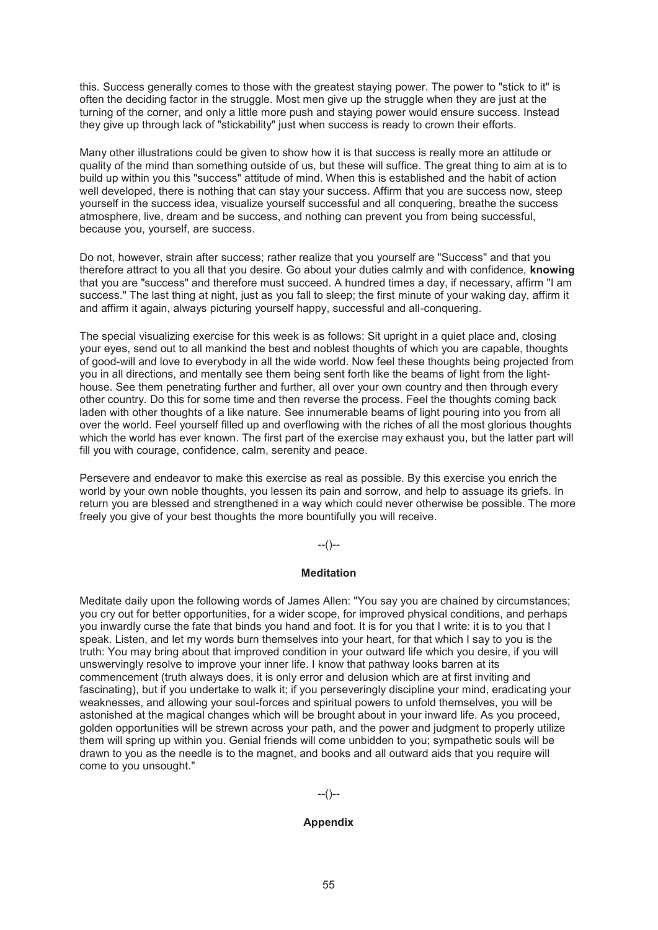this. Success generally comes to those with the greatest staying power. The power to "stick to it" is often the deciding factor in the struggle. Most men give up the struggle when they are just at the turning of the corner, and only a little more push and staying power would ensure success. Instead they give up through lack of "stickability" just when success is ready to crown their efforts.

Many other illustrations could be given to show how it is that success is really more an attitude or quality of the mind than something outside of us, but these will suffice. The great thing to aim at is to build up within you this "success" attitude of mind. When this is established and the habit of action well developed, there is nothing that can stay your success. Affirm that you are success now, steep yourself in the success idea, visualize yourself successful and all conquering, breathe the success atmosphere, live, dream and be success, and nothing can prevent you from being successful, because you, yourself, are success.

Do not, however, strain after success; rather realize that you yourself are "Success" and that you therefore attract to you all that you desire. Go about your duties calmly and with confidence, **knowing** that you are "success" and therefore must succeed. A hundred times a day, if necessary, affirm "I am success." The last thing at night, just as you fall to sleep; the first minute of your waking day, affirm it and affirm it again, always picturing yourself happy, successful and all-conquering.

The special visualizing exercise for this week is as follows: Sit upright in a quiet place and, closing your eyes, send out to all mankind the best and noblest thoughts of which you are capable, thoughts of good-will and love to everybody in all the wide world. Now feel these thoughts being projected from you in all directions, and mentally see them being sent forth like the beams of light from the lighthouse. See them penetrating further and further, all over your own country and then through every other country. Do this for some time and then reverse the process. Feel the thoughts coming back laden with other thoughts of a like nature. See innumerable beams of light pouring into you from all over the world. Feel yourself filled up and overflowing with the riches of all the most glorious thoughts which the world has ever known. The first part of the exercise may exhaust you, but the latter part will fill you with courage, confidence, calm, serenity and peace.

Persevere and endeavor to make this exercise as real as possible. By this exercise you enrich the world by your own noble thoughts, you lessen its pain and sorrow, and help to assuage its griefs. In return you are blessed and strengthened in a way which could never otherwise be possible. The more freely you give of your best thoughts the more bountifully you will receive.

#### --()--

#### **Meditation**

Meditate daily upon the following words of James Allen: "You say you are chained by circumstances; you cry out for better opportunities, for a wider scope, for improved physical conditions, and perhaps you inwardly curse the fate that binds you hand and foot. It is for you that I write: it is to you that I speak. Listen, and let my words burn themselves into your heart, for that which I say to you is the truth: You may bring about that improved condition in your outward life which you desire, if you will unswervingly resolve to improve your inner life. I know that pathway looks barren at its commencement (truth always does, it is only error and delusion which are at first inviting and fascinating), but if you undertake to walk it; if you perseveringly discipline your mind, eradicating your weaknesses, and allowing your soul-forces and spiritual powers to unfold themselves, you will be astonished at the magical changes which will be brought about in your inward life. As you proceed, golden opportunities will be strewn across your path, and the power and judgment to properly utilize them will spring up within you. Genial friends will come unbidden to you; sympathetic souls will be drawn to you as the needle is to the magnet, and books and all outward aids that you require will come to you unsought."

#### --()--

#### **Appendix**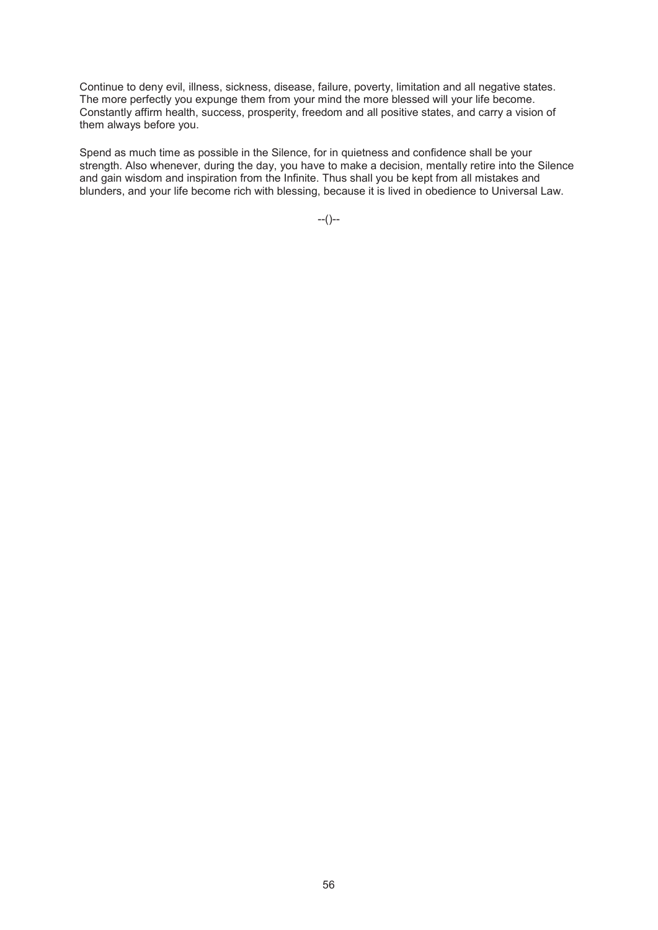Continue to deny evil, illness, sickness, disease, failure, poverty, limitation and all negative states. The more perfectly you expunge them from your mind the more blessed will your life become. Constantly affirm health, success, prosperity, freedom and all positive states, and carry a vision of them always before you.

Spend as much time as possible in the Silence, for in quietness and confidence shall be your strength. Also whenever, during the day, you have to make a decision, mentally retire into the Silence and gain wisdom and inspiration from the Infinite. Thus shall you be kept from all mistakes and blunders, and your life become rich with blessing, because it is lived in obedience to Universal Law.

--()--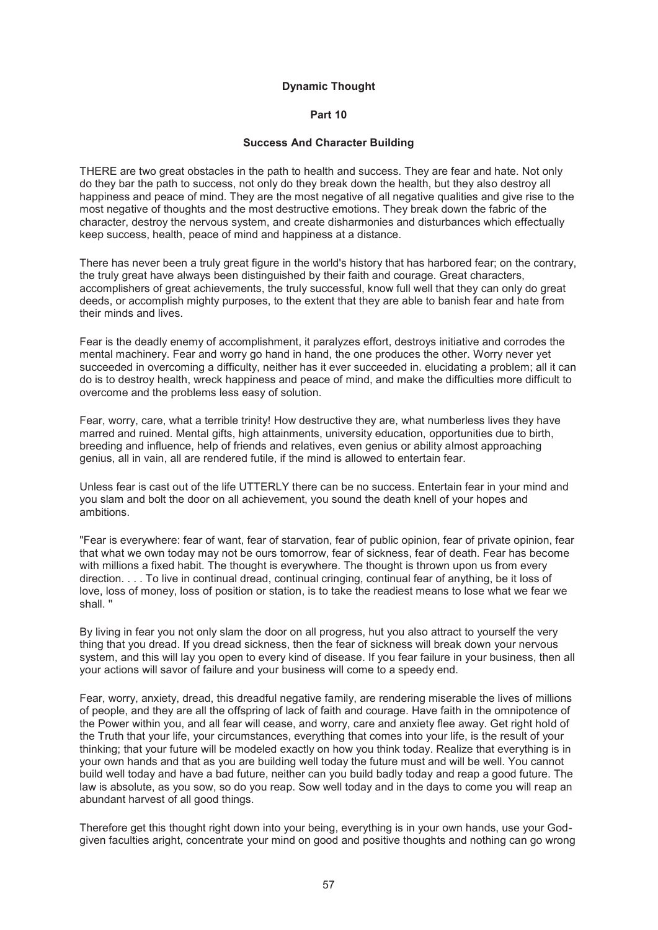## **Dynamic Thought**

## **Part 10**

### **Success And Character Building**

THERE are two great obstacles in the path to health and success. They are fear and hate. Not only do they bar the path to success, not only do they break down the health, but they also destroy all happiness and peace of mind. They are the most negative of all negative qualities and give rise to the most negative of thoughts and the most destructive emotions. They break down the fabric of the character, destroy the nervous system, and create disharmonies and disturbances which effectually keep success, health, peace of mind and happiness at a distance.

There has never been a truly great figure in the world's history that has harbored fear; on the contrary, the truly great have always been distinguished by their faith and courage. Great characters, accomplishers of great achievements, the truly successful, know full well that they can only do great deeds, or accomplish mighty purposes, to the extent that they are able to banish fear and hate from their minds and lives.

Fear is the deadly enemy of accomplishment, it paralyzes effort, destroys initiative and corrodes the mental machinery. Fear and worry go hand in hand, the one produces the other. Worry never yet succeeded in overcoming a difficulty, neither has it ever succeeded in. elucidating a problem; all it can do is to destroy health, wreck happiness and peace of mind, and make the difficulties more difficult to overcome and the problems less easy of solution.

Fear, worry, care, what a terrible trinity! How destructive they are, what numberless lives they have marred and ruined. Mental gifts, high attainments, university education, opportunities due to birth, breeding and influence, help of friends and relatives, even genius or ability almost approaching genius, all in vain, all are rendered futile, if the mind is allowed to entertain fear.

Unless fear is cast out of the life UTTERLY there can be no success. Entertain fear in your mind and you slam and bolt the door on all achievement, you sound the death knell of your hopes and ambitions.

"Fear is everywhere: fear of want, fear of starvation, fear of public opinion, fear of private opinion, fear that what we own today may not be ours tomorrow, fear of sickness, fear of death. Fear has become with millions a fixed habit. The thought is everywhere. The thought is thrown upon us from every direction. . . . To live in continual dread, continual cringing, continual fear of anything, be it loss of love, loss of money, loss of position or station, is to take the readiest means to lose what we fear we shall. ''

By living in fear you not only slam the door on all progress, hut you also attract to yourself the very thing that you dread. If you dread sickness, then the fear of sickness will break down your nervous system, and this will lay you open to every kind of disease. If you fear failure in your business, then all your actions will savor of failure and your business will come to a speedy end.

Fear, worry, anxiety, dread, this dreadful negative family, are rendering miserable the lives of millions of people, and they are all the offspring of lack of faith and courage. Have faith in the omnipotence of the Power within you, and all fear will cease, and worry, care and anxiety flee away. Get right hold of the Truth that your life, your circumstances, everything that comes into your life, is the result of your thinking; that your future will be modeled exactly on how you think today. Realize that everything is in your own hands and that as you are building well today the future must and will be well. You cannot build well today and have a bad future, neither can you build badly today and reap a good future. The law is absolute, as you sow, so do you reap. Sow well today and in the days to come you will reap an abundant harvest of all good things.

Therefore get this thought right down into your being, everything is in your own hands, use your Godgiven faculties aright, concentrate your mind on good and positive thoughts and nothing can go wrong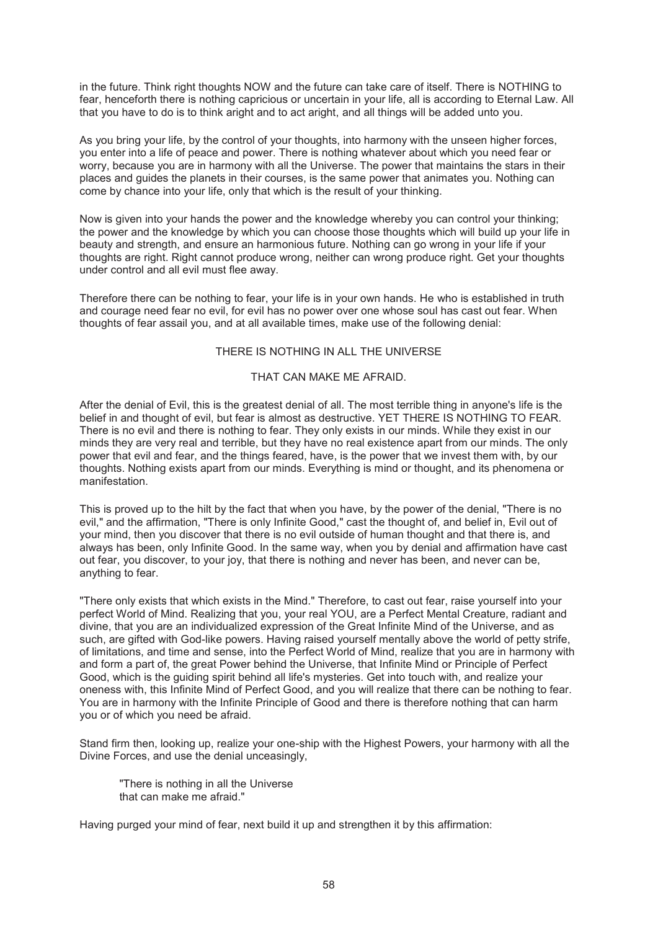in the future. Think right thoughts NOW and the future can take care of itself. There is NOTHING to fear, henceforth there is nothing capricious or uncertain in your life, all is according to Eternal Law. All that you have to do is to think aright and to act aright, and all things will be added unto you.

As you bring your life, by the control of your thoughts, into harmony with the unseen higher forces, you enter into a life of peace and power. There is nothing whatever about which you need fear or worry, because you are in harmony with all the Universe. The power that maintains the stars in their places and guides the planets in their courses, is the same power that animates you. Nothing can come by chance into your life, only that which is the result of your thinking.

Now is given into your hands the power and the knowledge whereby you can control your thinking; the power and the knowledge by which you can choose those thoughts which will build up your life in beauty and strength, and ensure an harmonious future. Nothing can go wrong in your life if your thoughts are right. Right cannot produce wrong, neither can wrong produce right. Get your thoughts under control and all evil must flee away.

Therefore there can be nothing to fear, your life is in your own hands. He who is established in truth and courage need fear no evil, for evil has no power over one whose soul has cast out fear. When thoughts of fear assail you, and at all available times, make use of the following denial:

## THERE IS NOTHING IN ALL THE UNIVERSE

## THAT CAN MAKE ME AFRAID.

After the denial of Evil, this is the greatest denial of all. The most terrible thing in anyone's life is the belief in and thought of evil, but fear is almost as destructive. YET THERE IS NOTHING TO FEAR. There is no evil and there is nothing to fear. They only exists in our minds. While they exist in our minds they are very real and terrible, but they have no real existence apart from our minds. The only power that evil and fear, and the things feared, have, is the power that we invest them with, by our thoughts. Nothing exists apart from our minds. Everything is mind or thought, and its phenomena or manifestation.

This is proved up to the hilt by the fact that when you have, by the power of the denial, "There is no evil," and the affirmation, "There is only Infinite Good," cast the thought of, and belief in, Evil out of your mind, then you discover that there is no evil outside of human thought and that there is, and always has been, only Infinite Good. In the same way, when you by denial and affirmation have cast out fear, you discover, to your joy, that there is nothing and never has been, and never can be, anything to fear.

"There only exists that which exists in the Mind." Therefore, to cast out fear, raise yourself into your perfect World of Mind. Realizing that you, your real YOU, are a Perfect Mental Creature, radiant and divine, that you are an individualized expression of the Great Infinite Mind of the Universe, and as such, are gifted with God-like powers. Having raised yourself mentally above the world of petty strife, of limitations, and time and sense, into the Perfect World of Mind, realize that you are in harmony with and form a part of, the great Power behind the Universe, that Infinite Mind or Principle of Perfect Good, which is the guiding spirit behind all life's mysteries. Get into touch with, and realize your oneness with, this Infinite Mind of Perfect Good, and you will realize that there can be nothing to fear. You are in harmony with the Infinite Principle of Good and there is therefore nothing that can harm you or of which you need be afraid.

Stand firm then, looking up, realize your one-ship with the Highest Powers, your harmony with all the Divine Forces, and use the denial unceasingly,

"There is nothing in all the Universe that can make me afraid."

Having purged your mind of fear, next build it up and strengthen it by this affirmation: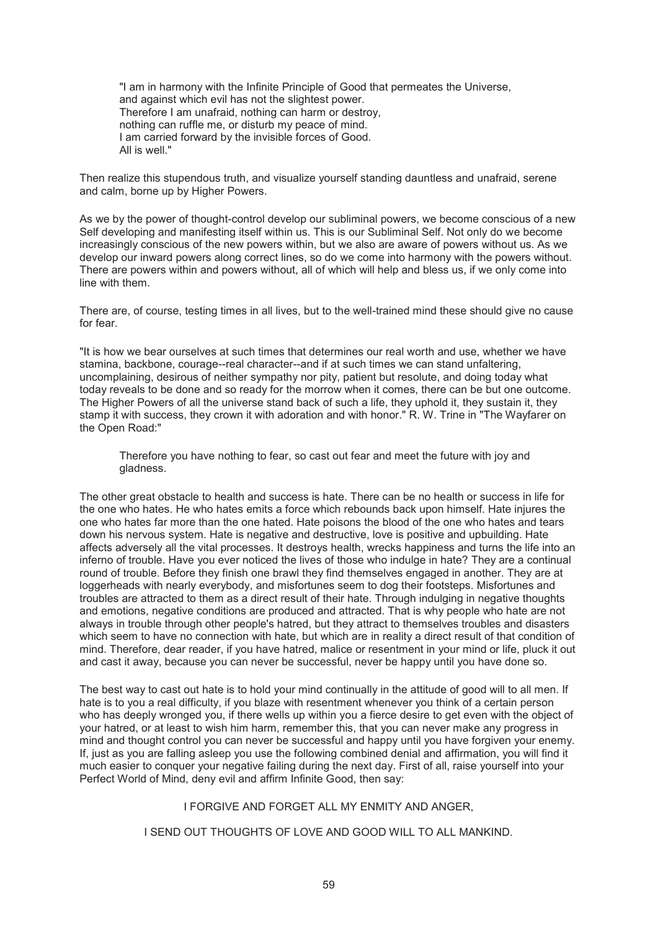"I am in harmony with the Infinite Principle of Good that permeates the Universe, and against which evil has not the slightest power. Therefore I am unafraid, nothing can harm or destroy, nothing can ruffle me, or disturb my peace of mind. I am carried forward by the invisible forces of Good. All is well."

Then realize this stupendous truth, and visualize yourself standing dauntless and unafraid, serene and calm, borne up by Higher Powers.

As we by the power of thought-control develop our subliminal powers, we become conscious of a new Self developing and manifesting itself within us. This is our Subliminal Self. Not only do we become increasingly conscious of the new powers within, but we also are aware of powers without us. As we develop our inward powers along correct lines, so do we come into harmony with the powers without. There are powers within and powers without, all of which will help and bless us, if we only come into line with them.

There are, of course, testing times in all lives, but to the well-trained mind these should give no cause for fear.

"It is how we bear ourselves at such times that determines our real worth and use, whether we have stamina, backbone, courage--real character--and if at such times we can stand unfaltering, uncomplaining, desirous of neither sympathy nor pity, patient but resolute, and doing today what today reveals to be done and so ready for the morrow when it comes, there can be but one outcome. The Higher Powers of all the universe stand back of such a life, they uphold it, they sustain it, they stamp it with success, they crown it with adoration and with honor." R. W. Trine in "The Wayfarer on the Open Road:"

Therefore you have nothing to fear, so cast out fear and meet the future with joy and gladness.

The other great obstacle to health and success is hate. There can be no health or success in life for the one who hates. He who hates emits a force which rebounds back upon himself. Hate injures the one who hates far more than the one hated. Hate poisons the blood of the one who hates and tears down his nervous system. Hate is negative and destructive, love is positive and upbuilding. Hate affects adversely all the vital processes. It destroys health, wrecks happiness and turns the life into an inferno of trouble. Have you ever noticed the lives of those who indulge in hate? They are a continual round of trouble. Before they finish one brawl they find themselves engaged in another. They are at loggerheads with nearly everybody, and misfortunes seem to dog their footsteps. Misfortunes and troubles are attracted to them as a direct result of their hate. Through indulging in negative thoughts and emotions, negative conditions are produced and attracted. That is why people who hate are not always in trouble through other people's hatred, but they attract to themselves troubles and disasters which seem to have no connection with hate, but which are in reality a direct result of that condition of mind. Therefore, dear reader, if you have hatred, malice or resentment in your mind or life, pluck it out and cast it away, because you can never be successful, never be happy until you have done so.

The best way to cast out hate is to hold your mind continually in the attitude of good will to all men. If hate is to you a real difficulty, if you blaze with resentment whenever you think of a certain person who has deeply wronged you, if there wells up within you a fierce desire to get even with the object of your hatred, or at least to wish him harm, remember this, that you can never make any progress in mind and thought control you can never be successful and happy until you have forgiven your enemy. If, just as you are falling asleep you use the following combined denial and affirmation, you will find it much easier to conquer your negative failing during the next day. First of all, raise yourself into your Perfect World of Mind, deny evil and affirm Infinite Good, then say:

## I FORGIVE AND FORGET ALL MY ENMITY AND ANGER,

# I SEND OUT THOUGHTS OF LOVE AND GOOD WILL TO ALL MANKIND.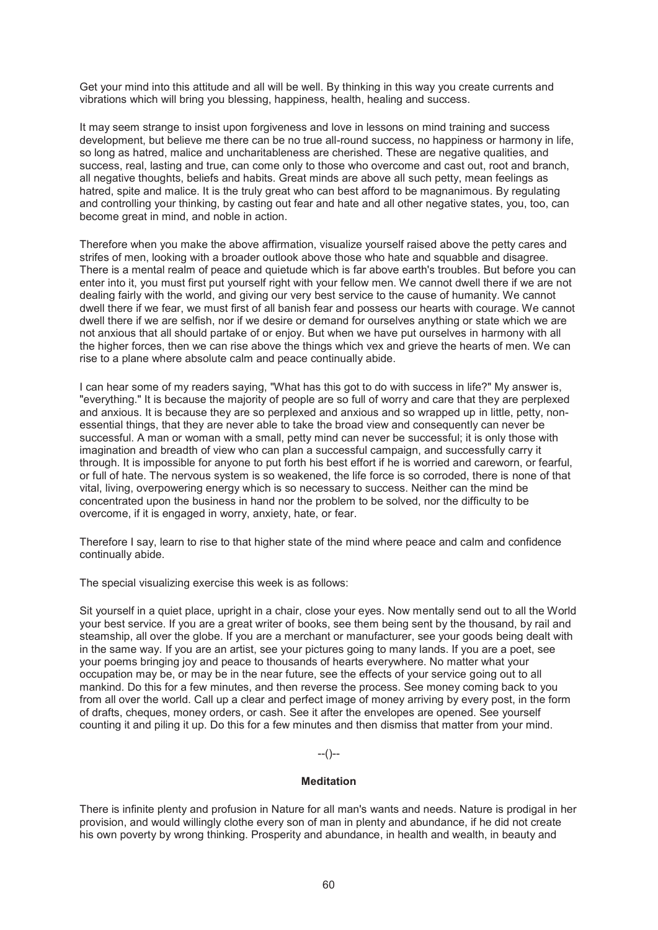Get your mind into this attitude and all will be well. By thinking in this way you create currents and vibrations which will bring you blessing, happiness, health, healing and success.

It may seem strange to insist upon forgiveness and love in lessons on mind training and success development, but believe me there can be no true all-round success, no happiness or harmony in life, so long as hatred, malice and uncharitableness are cherished. These are negative qualities, and success, real, lasting and true, can come only to those who overcome and cast out, root and branch, all negative thoughts, beliefs and habits. Great minds are above all such petty, mean feelings as hatred, spite and malice. It is the truly great who can best afford to be magnanimous. By regulating and controlling your thinking, by casting out fear and hate and all other negative states, you, too, can become great in mind, and noble in action.

Therefore when you make the above affirmation, visualize yourself raised above the petty cares and strifes of men, looking with a broader outlook above those who hate and squabble and disagree. There is a mental realm of peace and quietude which is far above earth's troubles. But before you can enter into it, you must first put yourself right with your fellow men. We cannot dwell there if we are not dealing fairly with the world, and giving our very best service to the cause of humanity. We cannot dwell there if we fear, we must first of all banish fear and possess our hearts with courage. We cannot dwell there if we are selfish, nor if we desire or demand for ourselves anything or state which we are not anxious that all should partake of or enjoy. But when we have put ourselves in harmony with all the higher forces, then we can rise above the things which vex and grieve the hearts of men. We can rise to a plane where absolute calm and peace continually abide.

I can hear some of my readers saying, "What has this got to do with success in life?" My answer is, "everything." It is because the majority of people are so full of worry and care that they are perplexed and anxious. It is because they are so perplexed and anxious and so wrapped up in little, petty, nonessential things, that they are never able to take the broad view and consequently can never be successful. A man or woman with a small, petty mind can never be successful; it is only those with imagination and breadth of view who can plan a successful campaign, and successfully carry it through. It is impossible for anyone to put forth his best effort if he is worried and careworn, or fearful, or full of hate. The nervous system is so weakened, the life force is so corroded, there is none of that vital, living, overpowering energy which is so necessary to success. Neither can the mind be concentrated upon the business in hand nor the problem to be solved, nor the difficulty to be overcome, if it is engaged in worry, anxiety, hate, or fear.

Therefore I say, learn to rise to that higher state of the mind where peace and calm and confidence continually abide.

The special visualizing exercise this week is as follows:

Sit yourself in a quiet place, upright in a chair, close your eyes. Now mentally send out to all the World your best service. If you are a great writer of books, see them being sent by the thousand, by rail and steamship, all over the globe. If you are a merchant or manufacturer, see your goods being dealt with in the same way. If you are an artist, see your pictures going to many lands. If you are a poet, see your poems bringing joy and peace to thousands of hearts everywhere. No matter what your occupation may be, or may be in the near future, see the effects of your service going out to all mankind. Do this for a few minutes, and then reverse the process. See money coming back to you from all over the world. Call up a clear and perfect image of money arriving by every post, in the form of drafts, cheques, money orders, or cash. See it after the envelopes are opened. See yourself counting it and piling it up. Do this for a few minutes and then dismiss that matter from your mind.

 $-(-)$ 

## **Meditation**

There is infinite plenty and profusion in Nature for all man's wants and needs. Nature is prodigal in her provision, and would willingly clothe every son of man in plenty and abundance, if he did not create his own poverty by wrong thinking. Prosperity and abundance, in health and wealth, in beauty and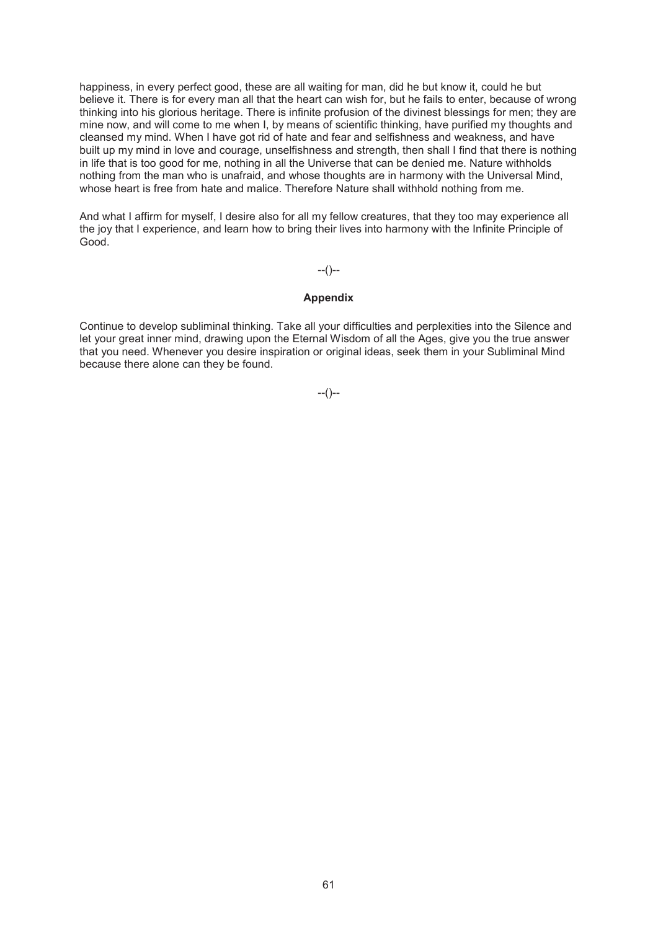happiness, in every perfect good, these are all waiting for man, did he but know it, could he but believe it. There is for every man all that the heart can wish for, but he fails to enter, because of wrong thinking into his glorious heritage. There is infinite profusion of the divinest blessings for men; they are mine now, and will come to me when I, by means of scientific thinking, have purified my thoughts and cleansed my mind. When I have got rid of hate and fear and selfishness and weakness, and have built up my mind in love and courage, unselfishness and strength, then shall I find that there is nothing in life that is too good for me, nothing in all the Universe that can be denied me. Nature withholds nothing from the man who is unafraid, and whose thoughts are in harmony with the Universal Mind, whose heart is free from hate and malice. Therefore Nature shall withhold nothing from me.

And what I affirm for myself, I desire also for all my fellow creatures, that they too may experience all the joy that I experience, and learn how to bring their lives into harmony with the Infinite Principle of Good.

## --()--

## **Appendix**

Continue to develop subliminal thinking. Take all your difficulties and perplexities into the Silence and let your great inner mind, drawing upon the Eternal Wisdom of all the Ages, give you the true answer that you need. Whenever you desire inspiration or original ideas, seek them in your Subliminal Mind because there alone can they be found.

--()--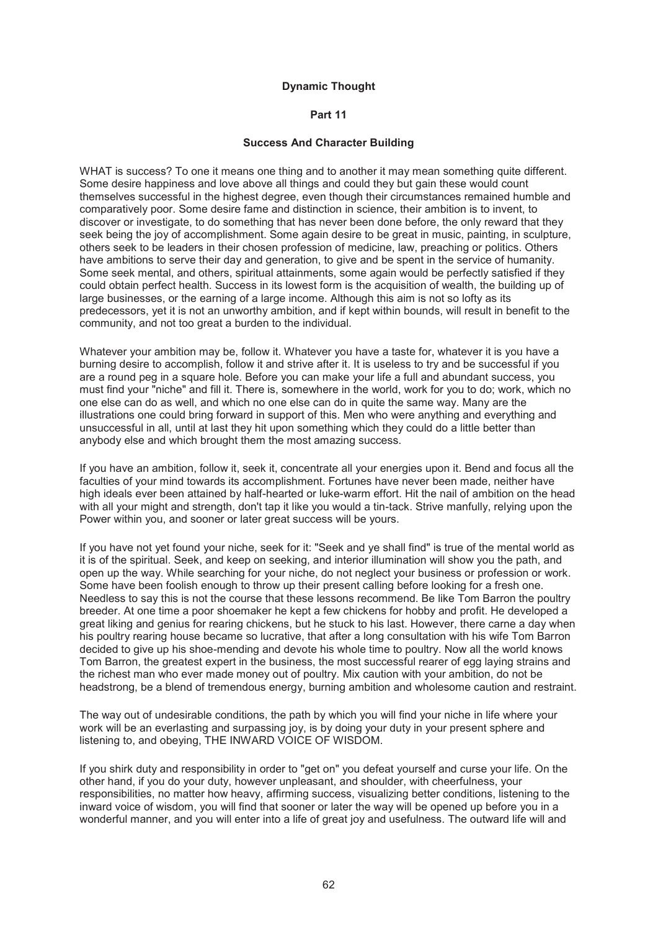## **Dynamic Thought**

# **Part 11**

#### **Success And Character Building**

WHAT is success? To one it means one thing and to another it may mean something quite different. Some desire happiness and love above all things and could they but gain these would count themselves successful in the highest degree, even though their circumstances remained humble and comparatively poor. Some desire fame and distinction in science, their ambition is to invent, to discover or investigate, to do something that has never been done before, the only reward that they seek being the joy of accomplishment. Some again desire to be great in music, painting, in sculpture, others seek to be leaders in their chosen profession of medicine, law, preaching or politics. Others have ambitions to serve their day and generation, to give and be spent in the service of humanity. Some seek mental, and others, spiritual attainments, some again would be perfectly satisfied if they could obtain perfect health. Success in its lowest form is the acquisition of wealth, the building up of large businesses, or the earning of a large income. Although this aim is not so lofty as its predecessors, yet it is not an unworthy ambition, and if kept within bounds, will result in benefit to the community, and not too great a burden to the individual.

Whatever your ambition may be, follow it. Whatever you have a taste for, whatever it is you have a burning desire to accomplish, follow it and strive after it. It is useless to try and be successful if you are a round peg in a square hole. Before you can make your life a full and abundant success, you must find your "niche" and fill it. There is, somewhere in the world, work for you to do; work, which no one else can do as well, and which no one else can do in quite the same way. Many are the illustrations one could bring forward in support of this. Men who were anything and everything and unsuccessful in all, until at last they hit upon something which they could do a little better than anybody else and which brought them the most amazing success.

If you have an ambition, follow it, seek it, concentrate all your energies upon it. Bend and focus all the faculties of your mind towards its accomplishment. Fortunes have never been made, neither have high ideals ever been attained by half-hearted or luke-warm effort. Hit the nail of ambition on the head with all your might and strength, don't tap it like you would a tin-tack. Strive manfully, relying upon the Power within you, and sooner or later great success will be yours.

If you have not yet found your niche, seek for it: "Seek and ye shall find" is true of the mental world as it is of the spiritual. Seek, and keep on seeking, and interior illumination will show you the path, and open up the way. While searching for your niche, do not neglect your business or profession or work. Some have been foolish enough to throw up their present calling before looking for a fresh one. Needless to say this is not the course that these lessons recommend. Be like Tom Barron the poultry breeder. At one time a poor shoemaker he kept a few chickens for hobby and profit. He developed a great liking and genius for rearing chickens, but he stuck to his last. However, there carne a day when his poultry rearing house became so lucrative, that after a long consultation with his wife Tom Barron decided to give up his shoe-mending and devote his whole time to poultry. Now all the world knows Tom Barron, the greatest expert in the business, the most successful rearer of egg laying strains and the richest man who ever made money out of poultry. Mix caution with your ambition, do not be headstrong, be a blend of tremendous energy, burning ambition and wholesome caution and restraint.

The way out of undesirable conditions, the path by which you will find your niche in life where your work will be an everlasting and surpassing joy, is by doing your duty in your present sphere and listening to, and obeying, THE INWARD VOICE OF WISDOM.

If you shirk duty and responsibility in order to "get on" you defeat yourself and curse your life. On the other hand, if you do your duty, however unpleasant, and shoulder, with cheerfulness, your responsibilities, no matter how heavy, affirming success, visualizing better conditions, listening to the inward voice of wisdom, you will find that sooner or later the way will be opened up before you in a wonderful manner, and you will enter into a life of great joy and usefulness. The outward life will and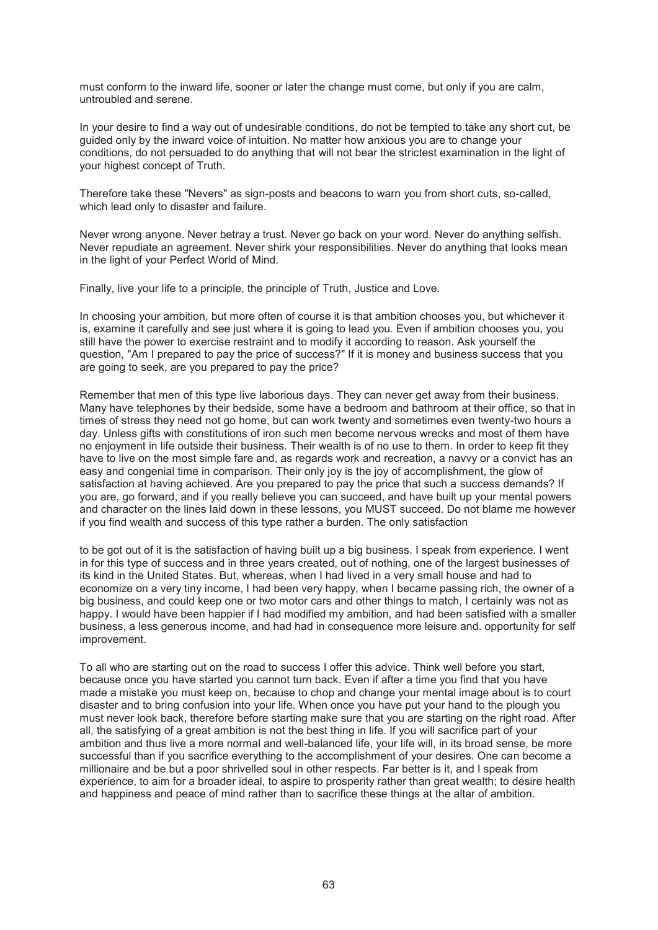must conform to the inward life, sooner or later the change must come, but only if you are calm, untroubled and serene.

In your desire to find a way out of undesirable conditions, do not be tempted to take any short cut, be guided only by the inward voice of intuition. No matter how anxious you are to change your conditions, do not persuaded to do anything that will not bear the strictest examination in the light of your highest concept of Truth.

Therefore take these "Nevers" as sign-posts and beacons to warn you from short cuts, so-called, which lead only to disaster and failure.

Never wrong anyone. Never betray a trust. Never go back on your word. Never do anything selfish. Never repudiate an agreement. Never shirk your responsibilities. Never do anything that looks mean in the light of your Perfect World of Mind.

Finally, live your life to a principle, the principle of Truth, Justice and Love.

In choosing your ambition, but more often of course it is that ambition chooses you, but whichever it is, examine it carefully and see just where it is going to lead you. Even if ambition chooses you, you still have the power to exercise restraint and to modify it according to reason. Ask yourself the question, "Am I prepared to pay the price of success?" If it is money and business success that you are going to seek, are you prepared to pay the price?

Remember that men of this type live laborious days. They can never get away from their business. Many have telephones by their bedside, some have a bedroom and bathroom at their office, so that in times of stress they need not go home, but can work twenty and sometimes even twenty-two hours a day. Unless gifts with constitutions of iron such men become nervous wrecks and most of them have no enjoyment in life outside their business. Their wealth is of no use to them. In order to keep fit they have to live on the most simple fare and, as regards work and recreation, a navvy or a convict has an easy and congenial time in comparison. Their only joy is the joy of accomplishment, the glow of satisfaction at having achieved. Are you prepared to pay the price that such a success demands? If you are, go forward, and if you really believe you can succeed, and have built up your mental powers and character on the lines laid down in these lessons, you MUST succeed. Do not blame me however if you find wealth and success of this type rather a burden. The only satisfaction

to be got out of it is the satisfaction of having built up a big business. I speak from experience. I went in for this type of success and in three years created, out of nothing, one of the largest businesses of its kind in the United States. But, whereas, when I had lived in a very small house and had to economize on a very tiny income, I had been very happy, when I became passing rich, the owner of a big business, and could keep one or two motor cars and other things to match, I certainly was not as happy. I would have been happier if I had modified my ambition, and had been satisfied with a smaller business, a less generous income, and had had in consequence more leisure and. opportunity for self improvement.

To all who are starting out on the road to success I offer this advice. Think well before you start, because once you have started you cannot turn back. Even if after a time you find that you have made a mistake you must keep on, because to chop and change your mental image about is to court disaster and to bring confusion into your life. When once you have put your hand to the plough you must never look back, therefore before starting make sure that you are starting on the right road. After all, the satisfying of a great ambition is not the best thing in life. If you will sacrifice part of your ambition and thus live a more normal and well-balanced life, your life will, in its broad sense, be more successful than if you sacrifice everything to the accomplishment of your desires. One can become a millionaire and be but a poor shrivelled soul in other respects. Far better is it, and I speak from experience, to aim for a broader ideal, to aspire to prosperity rather than great wealth; to desire health and happiness and peace of mind rather than to sacrifice these things at the altar of ambition.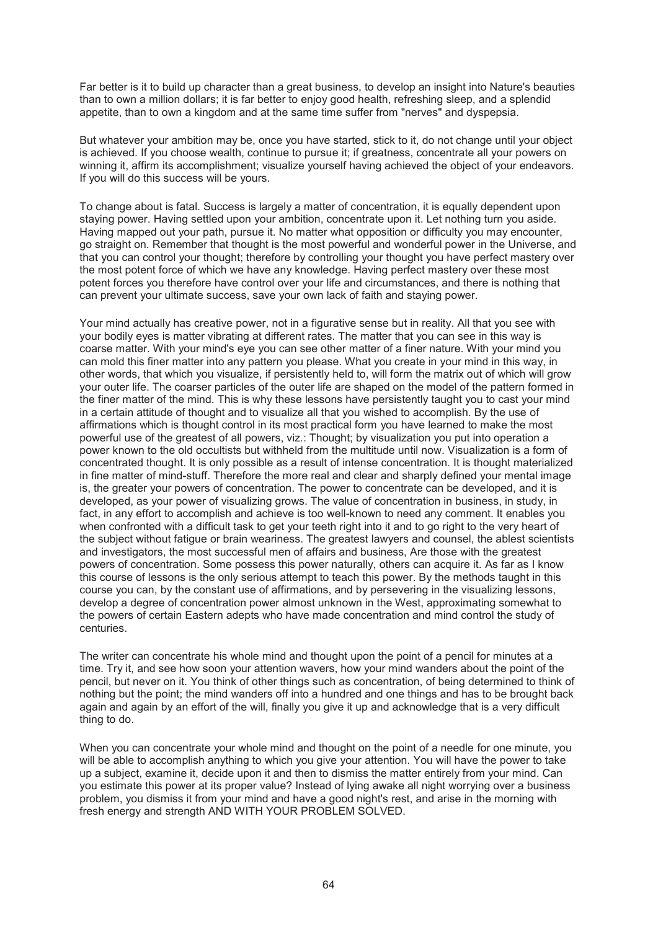Far better is it to build up character than a great business, to develop an insight into Nature's beauties than to own a million dollars; it is far better to enjoy good health, refreshing sleep, and a splendid appetite, than to own a kingdom and at the same time suffer from "nerves" and dyspepsia.

But whatever your ambition may be, once you have started, stick to it, do not change until your object is achieved. If you choose wealth, continue to pursue it; if greatness, concentrate all your powers on winning it, affirm its accomplishment; visualize yourself having achieved the object of your endeavors. If you will do this success will be yours.

To change about is fatal. Success is largely a matter of concentration, it is equally dependent upon staying power. Having settled upon your ambition, concentrate upon it. Let nothing turn you aside. Having mapped out your path, pursue it. No matter what opposition or difficulty you may encounter, go straight on. Remember that thought is the most powerful and wonderful power in the Universe, and that you can control your thought; therefore by controlling your thought you have perfect mastery over the most potent force of which we have any knowledge. Having perfect mastery over these most potent forces you therefore have control over your life and circumstances, and there is nothing that can prevent your ultimate success, save your own lack of faith and staying power.

Your mind actually has creative power, not in a figurative sense but in reality. All that you see with your bodily eyes is matter vibrating at different rates. The matter that you can see in this way is coarse matter. With your mind's eye you can see other matter of a finer nature. With your mind you can mold this finer matter into any pattern you please. What you create in your mind in this way, in other words, that which you visualize, if persistently held to, will form the matrix out of which will grow your outer life. The coarser particles of the outer life are shaped on the model of the pattern formed in the finer matter of the mind. This is why these lessons have persistently taught you to cast your mind in a certain attitude of thought and to visualize all that you wished to accomplish. By the use of affirmations which is thought control in its most practical form you have learned to make the most powerful use of the greatest of all powers, viz.: Thought; by visualization you put into operation a power known to the old occultists but withheld from the multitude until now. Visualization is a form of concentrated thought. It is only possible as a result of intense concentration. It is thought materialized in fine matter of mind-stuff. Therefore the more real and clear and sharply defined your mental image is, the greater your powers of concentration. The power to concentrate can be developed, and it is developed, as your power of visualizing grows. The value of concentration in business, in study, in fact, in any effort to accomplish and achieve is too well-known to need any comment. It enables you when confronted with a difficult task to get your teeth right into it and to go right to the very heart of the subject without fatigue or brain weariness. The greatest lawyers and counsel, the ablest scientists and investigators, the most successful men of affairs and business, Are those with the greatest powers of concentration. Some possess this power naturally, others can acquire it. As far as I know this course of lessons is the only serious attempt to teach this power. By the methods taught in this course you can, by the constant use of affirmations, and by persevering in the visualizing lessons, develop a degree of concentration power almost unknown in the West, approximating somewhat to the powers of certain Eastern adepts who have made concentration and mind control the study of centuries.

The writer can concentrate his whole mind and thought upon the point of a pencil for minutes at a time. Try it, and see how soon your attention wavers, how your mind wanders about the point of the pencil, but never on it. You think of other things such as concentration, of being determined to think of nothing but the point; the mind wanders off into a hundred and one things and has to be brought back again and again by an effort of the will, finally you give it up and acknowledge that is a very difficult thing to do.

When you can concentrate your whole mind and thought on the point of a needle for one minute, you will be able to accomplish anything to which you give your attention. You will have the power to take up a subject, examine it, decide upon it and then to dismiss the matter entirely from your mind. Can you estimate this power at its proper value? Instead of lying awake all night worrying over a business problem, you dismiss it from your mind and have a good night's rest, and arise in the morning with fresh energy and strength AND WITH YOUR PROBLEM SOLVED.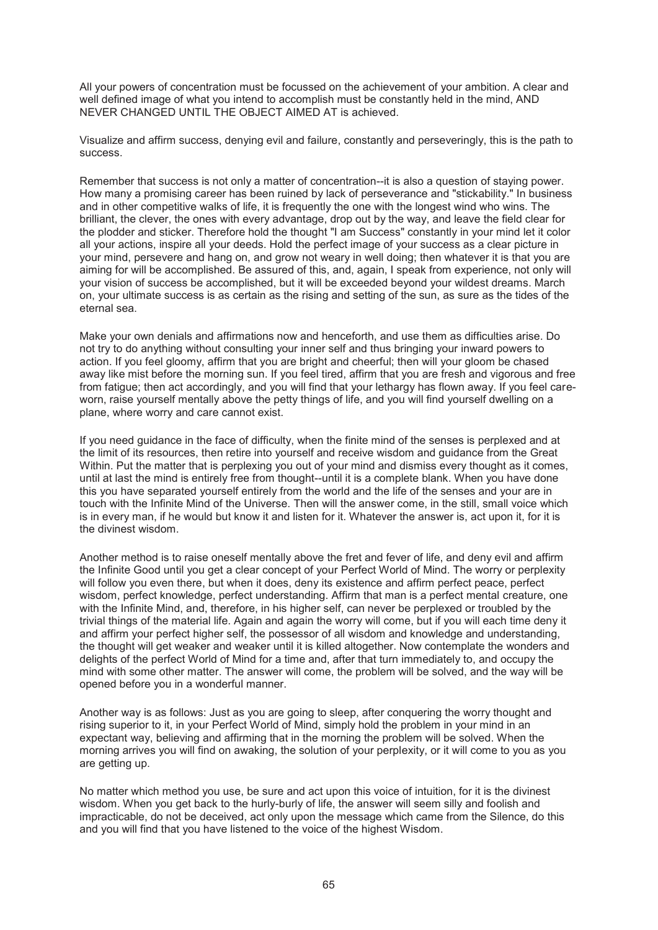All your powers of concentration must be focussed on the achievement of your ambition. A clear and well defined image of what you intend to accomplish must be constantly held in the mind, AND NEVER CHANGED UNTIL THE OBJECT AIMED AT is achieved.

Visualize and affirm success, denying evil and failure, constantly and perseveringly, this is the path to success.

Remember that success is not only a matter of concentration--it is also a question of staying power. How many a promising career has been ruined by lack of perseverance and "stickability." In business and in other competitive walks of life, it is frequently the one with the longest wind who wins. The brilliant, the clever, the ones with every advantage, drop out by the way, and leave the field clear for the plodder and sticker. Therefore hold the thought "I am Success" constantly in your mind let it color all your actions, inspire all your deeds. Hold the perfect image of your success as a clear picture in your mind, persevere and hang on, and grow not weary in well doing; then whatever it is that you are aiming for will be accomplished. Be assured of this, and, again, I speak from experience, not only will your vision of success be accomplished, but it will be exceeded beyond your wildest dreams. March on, your ultimate success is as certain as the rising and setting of the sun, as sure as the tides of the eternal sea.

Make your own denials and affirmations now and henceforth, and use them as difficulties arise. Do not try to do anything without consulting your inner self and thus bringing your inward powers to action. If you feel gloomy, affirm that you are bright and cheerful; then will your gloom be chased away like mist before the morning sun. If you feel tired, affirm that you are fresh and vigorous and free from fatigue; then act accordingly, and you will find that your lethargy has flown away. If you feel careworn, raise yourself mentally above the petty things of life, and you will find yourself dwelling on a plane, where worry and care cannot exist.

If you need guidance in the face of difficulty, when the finite mind of the senses is perplexed and at the limit of its resources, then retire into yourself and receive wisdom and guidance from the Great Within. Put the matter that is perplexing you out of your mind and dismiss every thought as it comes, until at last the mind is entirely free from thought--until it is a complete blank. When you have done this you have separated yourself entirely from the world and the life of the senses and your are in touch with the Infinite Mind of the Universe. Then will the answer come, in the still, small voice which is in every man, if he would but know it and listen for it. Whatever the answer is, act upon it, for it is the divinest wisdom.

Another method is to raise oneself mentally above the fret and fever of life, and deny evil and affirm the Infinite Good until you get a clear concept of your Perfect World of Mind. The worry or perplexity will follow you even there, but when it does, deny its existence and affirm perfect peace, perfect wisdom, perfect knowledge, perfect understanding. Affirm that man is a perfect mental creature, one with the Infinite Mind, and, therefore, in his higher self, can never be perplexed or troubled by the trivial things of the material life. Again and again the worry will come, but if you will each time deny it and affirm your perfect higher self, the possessor of all wisdom and knowledge and understanding, the thought will get weaker and weaker until it is killed altogether. Now contemplate the wonders and delights of the perfect World of Mind for a time and, after that turn immediately to, and occupy the mind with some other matter. The answer will come, the problem will be solved, and the way will be opened before you in a wonderful manner.

Another way is as follows: Just as you are going to sleep, after conquering the worry thought and rising superior to it, in your Perfect World of Mind, simply hold the problem in your mind in an expectant way, believing and affirming that in the morning the problem will be solved. When the morning arrives you will find on awaking, the solution of your perplexity, or it will come to you as you are getting up.

No matter which method you use, be sure and act upon this voice of intuition, for it is the divinest wisdom. When you get back to the hurly-burly of life, the answer will seem silly and foolish and impracticable, do not be deceived, act only upon the message which came from the Silence, do this and you will find that you have listened to the voice of the highest Wisdom.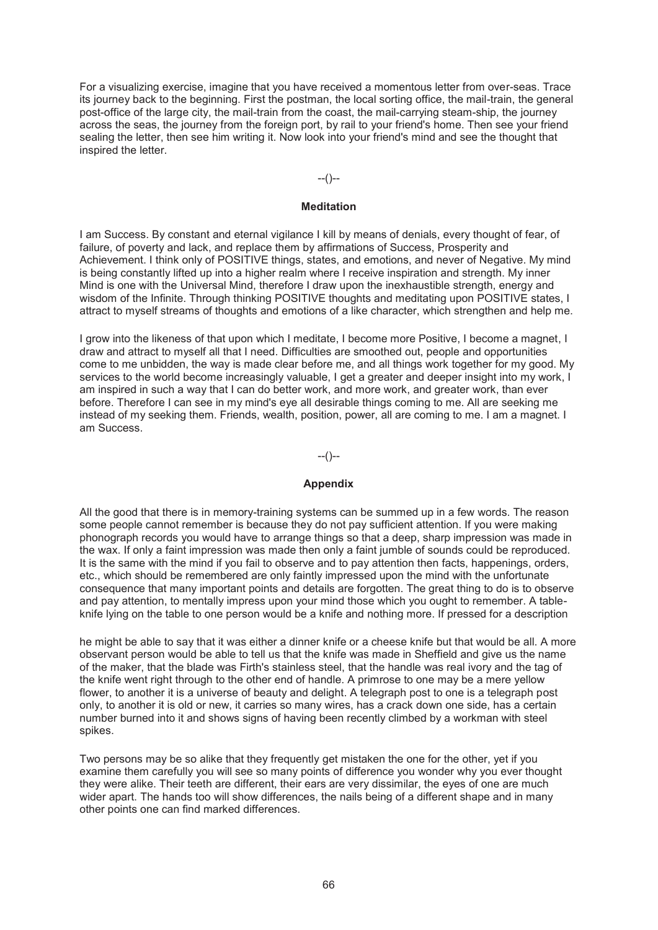For a visualizing exercise, imagine that you have received a momentous letter from over-seas. Trace its journey back to the beginning. First the postman, the local sorting office, the mail-train, the general post-office of the large city, the mail-train from the coast, the mail-carrying steam-ship, the journey across the seas, the journey from the foreign port, by rail to your friend's home. Then see your friend sealing the letter, then see him writing it. Now look into your friend's mind and see the thought that inspired the letter.

## --()--

### **Meditation**

I am Success. By constant and eternal vigilance I kill by means of denials, every thought of fear, of failure, of poverty and lack, and replace them by affirmations of Success, Prosperity and Achievement. I think only of POSITIVE things, states, and emotions, and never of Negative. My mind is being constantly lifted up into a higher realm where I receive inspiration and strength. My inner Mind is one with the Universal Mind, therefore I draw upon the inexhaustible strength, energy and wisdom of the Infinite. Through thinking POSITIVE thoughts and meditating upon POSITIVE states, I attract to myself streams of thoughts and emotions of a like character, which strengthen and help me.

I grow into the likeness of that upon which I meditate, I become more Positive, I become a magnet, I draw and attract to myself all that I need. Difficulties are smoothed out, people and opportunities come to me unbidden, the way is made clear before me, and all things work together for my good. My services to the world become increasingly valuable, I get a greater and deeper insight into my work, I am inspired in such a way that I can do better work, and more work, and greater work, than ever before. Therefore I can see in my mind's eye all desirable things coming to me. All are seeking me instead of my seeking them. Friends, wealth, position, power, all are coming to me. I am a magnet. I am Success.

### --()--

### **Appendix**

All the good that there is in memory-training systems can be summed up in a few words. The reason some people cannot remember is because they do not pay sufficient attention. If you were making phonograph records you would have to arrange things so that a deep, sharp impression was made in the wax. If only a faint impression was made then only a faint jumble of sounds could be reproduced. It is the same with the mind if you fail to observe and to pay attention then facts, happenings, orders, etc., which should be remembered are only faintly impressed upon the mind with the unfortunate consequence that many important points and details are forgotten. The great thing to do is to observe and pay attention, to mentally impress upon your mind those which you ought to remember. A tableknife lying on the table to one person would be a knife and nothing more. If pressed for a description

he might be able to say that it was either a dinner knife or a cheese knife but that would be all. A more observant person would be able to tell us that the knife was made in Sheffield and give us the name of the maker, that the blade was Firth's stainless steel, that the handle was real ivory and the tag of the knife went right through to the other end of handle. A primrose to one may be a mere yellow flower, to another it is a universe of beauty and delight. A telegraph post to one is a telegraph post only, to another it is old or new, it carries so many wires, has a crack down one side, has a certain number burned into it and shows signs of having been recently climbed by a workman with steel spikes.

Two persons may be so alike that they frequently get mistaken the one for the other, yet if you examine them carefully you will see so many points of difference you wonder why you ever thought they were alike. Their teeth are different, their ears are very dissimilar, the eyes of one are much wider apart. The hands too will show differences, the nails being of a different shape and in many other points one can find marked differences.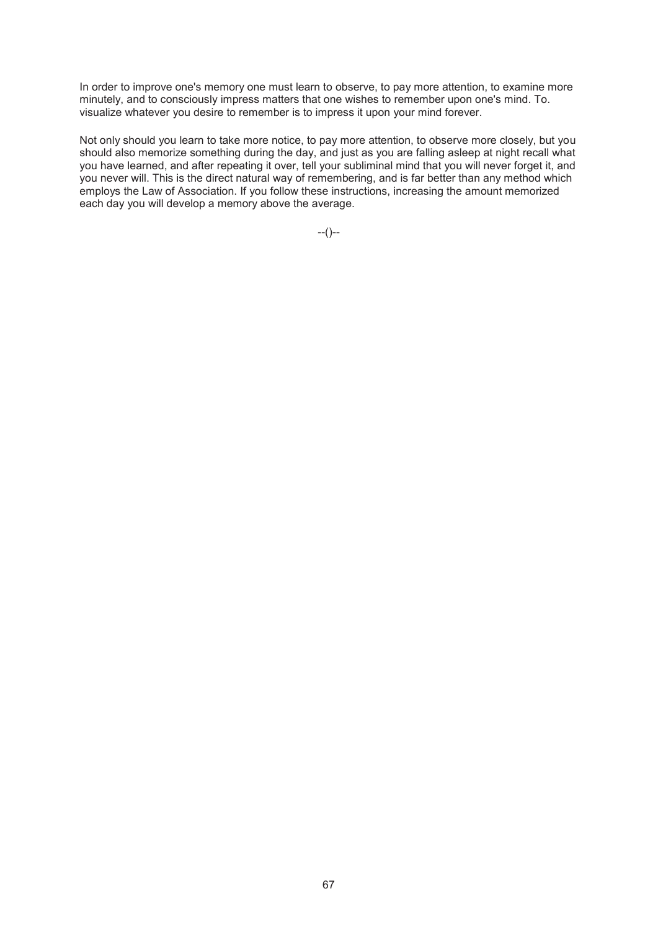In order to improve one's memory one must learn to observe, to pay more attention, to examine more minutely, and to consciously impress matters that one wishes to remember upon one's mind. To. visualize whatever you desire to remember is to impress it upon your mind forever.

Not only should you learn to take more notice, to pay more attention, to observe more closely, but you should also memorize something during the day, and just as you are falling asleep at night recall what you have learned, and after repeating it over, tell your subliminal mind that you will never forget it, and you never will. This is the direct natural way of remembering, and is far better than any method which employs the Law of Association. If you follow these instructions, increasing the amount memorized each day you will develop a memory above the average.

--()--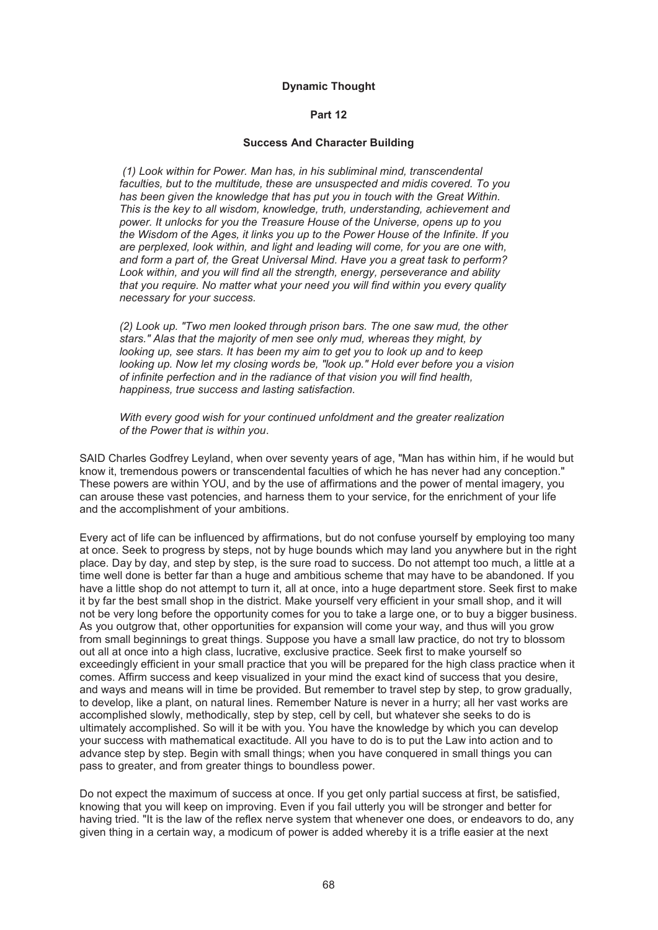## **Dynamic Thought**

# **Part 12**

#### **Success And Character Building**

 *(1) Look within for Power. Man has, in his subliminal mind, transcendental faculties, but to the multitude, these are unsuspected and midis covered. To you has been given the knowledge that has put you in touch with the Great Within. This is the key to all wisdom, knowledge, truth, understanding, achievement and power. It unlocks for you the Treasure House of the Universe, opens up to you the Wisdom of the Ages, it links you up to the Power House of the Infinite. If you are perplexed, look within, and light and leading will come, for you are one with, and form a part of, the Great Universal Mind. Have you a great task to perform? Look within, and you will find all the strength, energy, perseverance and ability that you require. No matter what your need you will find within you every quality necessary for your success.*

*(2) Look up. "Two men looked through prison bars. The one saw mud, the other stars." Alas that the majority of men see only mud, whereas they might, by looking up, see stars. It has been my aim to get you to look up and to keep looking up. Now let my closing words be, "look up." Hold ever before you a vision of infinite perfection and in the radiance of that vision you will find health, happiness, true success and lasting satisfaction.*

*With every good wish for your continued unfoldment and the greater realization of the Power that is within you*.

SAID Charles Godfrey Leyland, when over seventy years of age, "Man has within him, if he would but know it, tremendous powers or transcendental faculties of which he has never had any conception." These powers are within YOU, and by the use of affirmations and the power of mental imagery, you can arouse these vast potencies, and harness them to your service, for the enrichment of your life and the accomplishment of your ambitions.

Every act of life can be influenced by affirmations, but do not confuse yourself by employing too many at once. Seek to progress by steps, not by huge bounds which may land you anywhere but in the right place. Day by day, and step by step, is the sure road to success. Do not attempt too much, a little at a time well done is better far than a huge and ambitious scheme that may have to be abandoned. If you have a little shop do not attempt to turn it, all at once, into a huge department store. Seek first to make it by far the best small shop in the district. Make yourself very efficient in your small shop, and it will not be very long before the opportunity comes for you to take a large one, or to buy a bigger business. As you outgrow that, other opportunities for expansion will come your way, and thus will you grow from small beginnings to great things. Suppose you have a small law practice, do not try to blossom out all at once into a high class, lucrative, exclusive practice. Seek first to make yourself so exceedingly efficient in your small practice that you will be prepared for the high class practice when it comes. Affirm success and keep visualized in your mind the exact kind of success that you desire, and ways and means will in time be provided. But remember to travel step by step, to grow gradually, to develop, like a plant, on natural lines. Remember Nature is never in a hurry; all her vast works are accomplished slowly, methodically, step by step, cell by cell, but whatever she seeks to do is ultimately accomplished. So will it be with you. You have the knowledge by which you can develop your success with mathematical exactitude. All you have to do is to put the Law into action and to advance step by step. Begin with small things; when you have conquered in small things you can pass to greater, and from greater things to boundless power.

Do not expect the maximum of success at once. If you get only partial success at first, be satisfied, knowing that you will keep on improving. Even if you fail utterly you will be stronger and better for having tried. "It is the law of the reflex nerve system that whenever one does, or endeavors to do, any given thing in a certain way, a modicum of power is added whereby it is a trifle easier at the next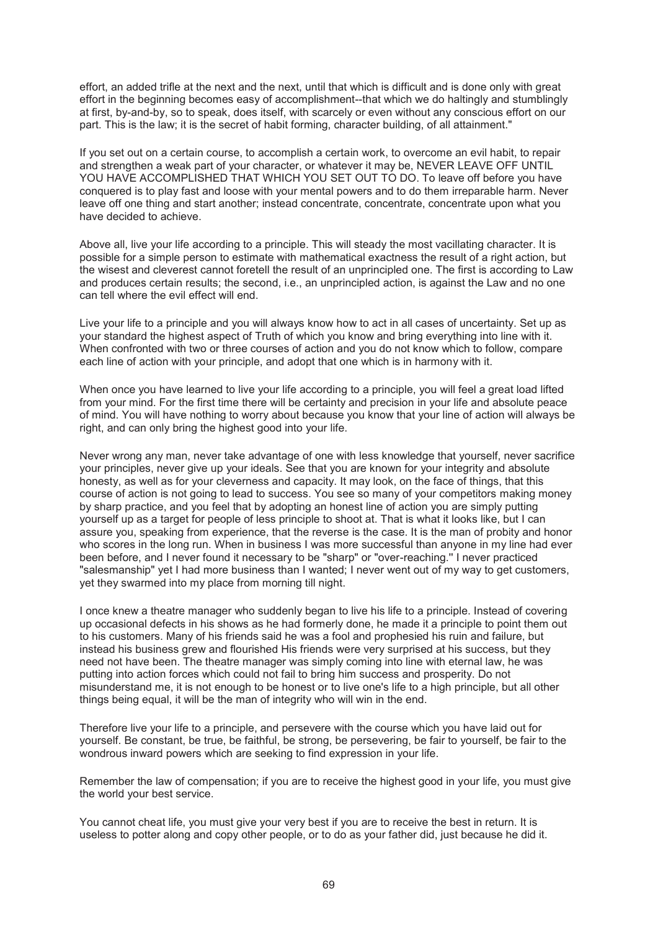effort, an added trifle at the next and the next, until that which is difficult and is done only with great effort in the beginning becomes easy of accomplishment--that which we do haltingly and stumblingly at first, by-and-by, so to speak, does itself, with scarcely or even without any conscious effort on our part. This is the law; it is the secret of habit forming, character building, of all attainment."

If you set out on a certain course, to accomplish a certain work, to overcome an evil habit, to repair and strengthen a weak part of your character, or whatever it may be, NEVER LEAVE OFF UNTIL YOU HAVE ACCOMPLISHED THAT WHICH YOU SET OUT TO DO. To leave off before you have conquered is to play fast and loose with your mental powers and to do them irreparable harm. Never leave off one thing and start another; instead concentrate, concentrate, concentrate upon what you have decided to achieve.

Above all, live your life according to a principle. This will steady the most vacillating character. It is possible for a simple person to estimate with mathematical exactness the result of a right action, but the wisest and cleverest cannot foretell the result of an unprincipled one. The first is according to Law and produces certain results; the second, i.e., an unprincipled action, is against the Law and no one can tell where the evil effect will end.

Live your life to a principle and you will always know how to act in all cases of uncertainty. Set up as your standard the highest aspect of Truth of which you know and bring everything into line with it. When confronted with two or three courses of action and you do not know which to follow, compare each line of action with your principle, and adopt that one which is in harmony with it.

When once you have learned to live your life according to a principle, you will feel a great load lifted from your mind. For the first time there will be certainty and precision in your life and absolute peace of mind. You will have nothing to worry about because you know that your line of action will always be right, and can only bring the highest good into your life.

Never wrong any man, never take advantage of one with less knowledge that yourself, never sacrifice your principles, never give up your ideals. See that you are known for your integrity and absolute honesty, as well as for your cleverness and capacity. It may look, on the face of things, that this course of action is not going to lead to success. You see so many of your competitors making money by sharp practice, and you feel that by adopting an honest line of action you are simply putting yourself up as a target for people of less principle to shoot at. That is what it looks like, but I can assure you, speaking from experience, that the reverse is the case. It is the man of probity and honor who scores in the long run. When in business I was more successful than anyone in my line had ever been before, and I never found it necessary to be "sharp" or "over-reaching.'' I never practiced "salesmanship" yet I had more business than I wanted; I never went out of my way to get customers, yet they swarmed into my place from morning till night.

I once knew a theatre manager who suddenly began to live his life to a principle. Instead of covering up occasional defects in his shows as he had formerly done, he made it a principle to point them out to his customers. Many of his friends said he was a fool and prophesied his ruin and failure, but instead his business grew and flourished His friends were very surprised at his success, but they need not have been. The theatre manager was simply coming into line with eternal law, he was putting into action forces which could not fail to bring him success and prosperity. Do not misunderstand me, it is not enough to be honest or to live one's life to a high principle, but all other things being equal, it will be the man of integrity who will win in the end.

Therefore live your life to a principle, and persevere with the course which you have laid out for yourself. Be constant, be true, be faithful, be strong, be persevering, be fair to yourself, be fair to the wondrous inward powers which are seeking to find expression in your life.

Remember the law of compensation; if you are to receive the highest good in your life, you must give the world your best service.

You cannot cheat life, you must give your very best if you are to receive the best in return. It is useless to potter along and copy other people, or to do as your father did, just because he did it.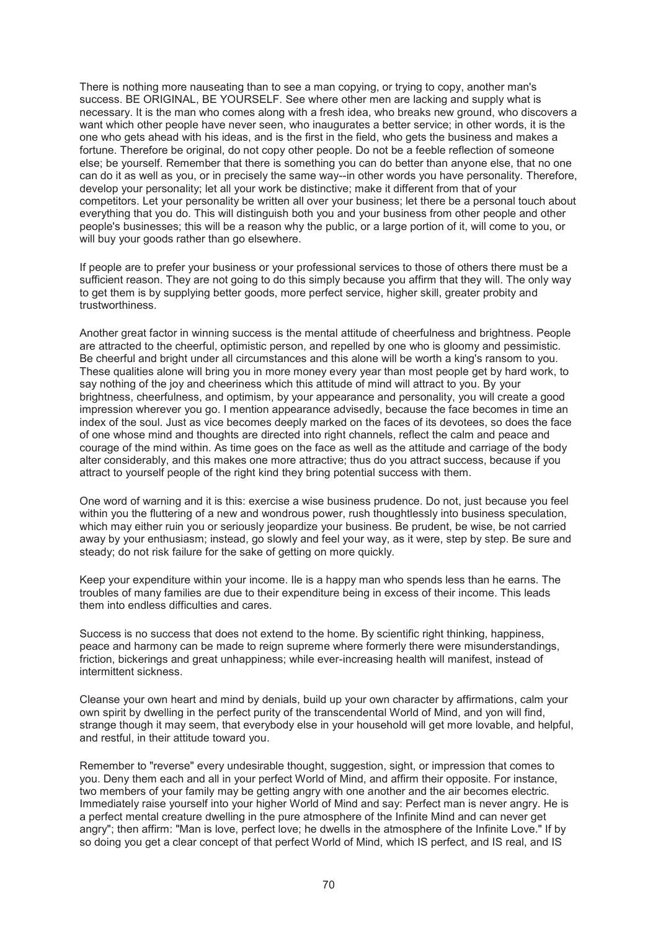There is nothing more nauseating than to see a man copying, or trying to copy, another man's success. BE ORIGINAL, BE YOURSELF. See where other men are lacking and supply what is necessary. It is the man who comes along with a fresh idea, who breaks new ground, who discovers a want which other people have never seen, who inaugurates a better service; in other words, it is the one who gets ahead with his ideas, and is the first in the field, who gets the business and makes a fortune. Therefore be original, do not copy other people. Do not be a feeble reflection of someone else; be yourself. Remember that there is something you can do better than anyone else, that no one can do it as well as you, or in precisely the same way--in other words you have personality. Therefore, develop your personality; let all your work be distinctive; make it different from that of your competitors. Let your personality be written all over your business; let there be a personal touch about everything that you do. This will distinguish both you and your business from other people and other people's businesses; this will be a reason why the public, or a large portion of it, will come to you, or will buy your goods rather than go elsewhere.

If people are to prefer your business or your professional services to those of others there must be a sufficient reason. They are not going to do this simply because you affirm that they will. The only way to get them is by supplying better goods, more perfect service, higher skill, greater probity and trustworthiness.

Another great factor in winning success is the mental attitude of cheerfulness and brightness. People are attracted to the cheerful, optimistic person, and repelled by one who is gloomy and pessimistic. Be cheerful and bright under all circumstances and this alone will be worth a king's ransom to you. These qualities alone will bring you in more money every year than most people get by hard work, to say nothing of the joy and cheeriness which this attitude of mind will attract to you. By your brightness, cheerfulness, and optimism, by your appearance and personality, you will create a good impression wherever you go. I mention appearance advisedly, because the face becomes in time an index of the soul. Just as vice becomes deeply marked on the faces of its devotees, so does the face of one whose mind and thoughts are directed into right channels, reflect the calm and peace and courage of the mind within. As time goes on the face as well as the attitude and carriage of the body alter considerably, and this makes one more attractive; thus do you attract success, because if you attract to yourself people of the right kind they bring potential success with them.

One word of warning and it is this: exercise a wise business prudence. Do not, just because you feel within you the fluttering of a new and wondrous power, rush thoughtlessly into business speculation, which may either ruin you or seriously jeopardize your business. Be prudent, be wise, be not carried away by your enthusiasm; instead, go slowly and feel your way, as it were, step by step. Be sure and steady; do not risk failure for the sake of getting on more quickly.

Keep your expenditure within your income. Ile is a happy man who spends less than he earns. The troubles of many families are due to their expenditure being in excess of their income. This leads them into endless difficulties and cares.

Success is no success that does not extend to the home. By scientific right thinking, happiness, peace and harmony can be made to reign supreme where formerly there were misunderstandings, friction, bickerings and great unhappiness; while ever-increasing health will manifest, instead of intermittent sickness.

Cleanse your own heart and mind by denials, build up your own character by affirmations, calm your own spirit by dwelling in the perfect purity of the transcendental World of Mind, and yon will find, strange though it may seem, that everybody else in your household will get more lovable, and helpful, and restful, in their attitude toward you.

Remember to "reverse" every undesirable thought, suggestion, sight, or impression that comes to you. Deny them each and all in your perfect World of Mind, and affirm their opposite. For instance, two members of your family may be getting angry with one another and the air becomes electric. Immediately raise yourself into your higher World of Mind and say: Perfect man is never angry. He is a perfect mental creature dwelling in the pure atmosphere of the Infinite Mind and can never get angry"; then affirm: "Man is love, perfect love; he dwells in the atmosphere of the Infinite Love." If by so doing you get a clear concept of that perfect World of Mind, which IS perfect, and IS real, and IS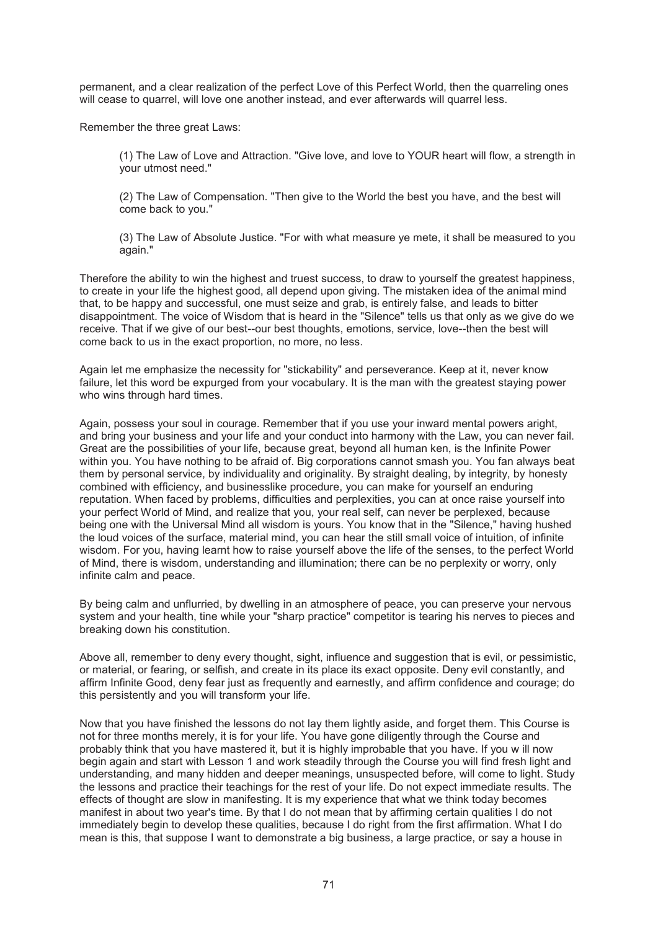permanent, and a clear realization of the perfect Love of this Perfect World, then the quarreling ones will cease to quarrel, will love one another instead, and ever afterwards will quarrel less.

Remember the three great Laws:

(1) The Law of Love and Attraction. "Give love, and love to YOUR heart will flow, a strength in your utmost need."

(2) The Law of Compensation. "Then give to the World the best you have, and the best will come back to you."

(3) The Law of Absolute Justice. "For with what measure ye mete, it shall be measured to you again."

Therefore the ability to win the highest and truest success, to draw to yourself the greatest happiness, to create in your life the highest good, all depend upon giving. The mistaken idea of the animal mind that, to be happy and successful, one must seize and grab, is entirely false, and leads to bitter disappointment. The voice of Wisdom that is heard in the "Silence" tells us that only as we give do we receive. That if we give of our best--our best thoughts, emotions, service, love--then the best will come back to us in the exact proportion, no more, no less.

Again let me emphasize the necessity for "stickability" and perseverance. Keep at it, never know failure, let this word be expurged from your vocabulary. It is the man with the greatest staying power who wins through hard times.

Again, possess your soul in courage. Remember that if you use your inward mental powers aright, and bring your business and your life and your conduct into harmony with the Law, you can never fail. Great are the possibilities of your life, because great, beyond all human ken, is the Infinite Power within you. You have nothing to be afraid of. Big corporations cannot smash you. You fan always beat them by personal service, by individuality and originality. By straight dealing, by integrity, by honesty combined with efficiency, and businesslike procedure, you can make for yourself an enduring reputation. When faced by problems, difficulties and perplexities, you can at once raise yourself into your perfect World of Mind, and realize that you, your real self, can never be perplexed, because being one with the Universal Mind all wisdom is yours. You know that in the "Silence," having hushed the loud voices of the surface, material mind, you can hear the still small voice of intuition, of infinite wisdom. For you, having learnt how to raise yourself above the life of the senses, to the perfect World of Mind, there is wisdom, understanding and illumination; there can be no perplexity or worry, only infinite calm and peace.

By being calm and unflurried, by dwelling in an atmosphere of peace, you can preserve your nervous system and your health, tine while your "sharp practice" competitor is tearing his nerves to pieces and breaking down his constitution.

Above all, remember to deny every thought, sight, influence and suggestion that is evil, or pessimistic, or material, or fearing, or selfish, and create in its place its exact opposite. Deny evil constantly, and affirm Infinite Good, deny fear just as frequently and earnestly, and affirm confidence and courage; do this persistently and you will transform your life.

Now that you have finished the lessons do not lay them lightly aside, and forget them. This Course is not for three months merely, it is for your life. You have gone diligently through the Course and probably think that you have mastered it, but it is highly improbable that you have. If you w ill now begin again and start with Lesson 1 and work steadily through the Course you will find fresh light and understanding, and many hidden and deeper meanings, unsuspected before, will come to light. Study the lessons and practice their teachings for the rest of your life. Do not expect immediate results. The effects of thought are slow in manifesting. It is my experience that what we think today becomes manifest in about two year's time. By that I do not mean that by affirming certain qualities I do not immediately begin to develop these qualities, because I do right from the first affirmation. What I do mean is this, that suppose I want to demonstrate a big business, a large practice, or say a house in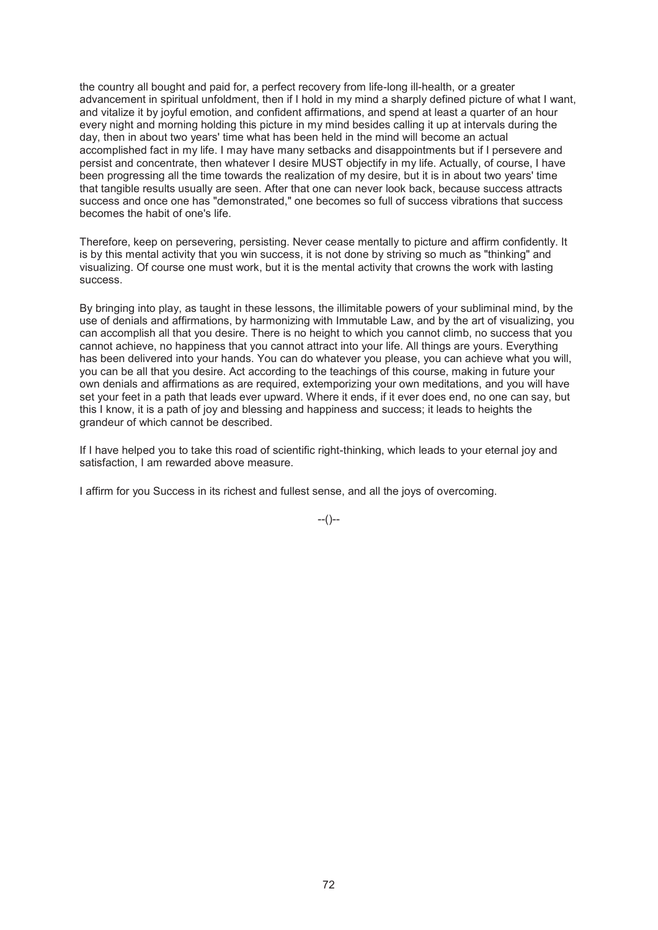the country all bought and paid for, a perfect recovery from life-long ill-health, or a greater advancement in spiritual unfoldment, then if I hold in my mind a sharply defined picture of what I want, and vitalize it by joyful emotion, and confident affirmations, and spend at least a quarter of an hour every night and morning holding this picture in my mind besides calling it up at intervals during the day, then in about two years' time what has been held in the mind will become an actual accomplished fact in my life. I may have many setbacks and disappointments but if I persevere and persist and concentrate, then whatever I desire MUST objectify in my life. Actually, of course, I have been progressing all the time towards the realization of my desire, but it is in about two years' time that tangible results usually are seen. After that one can never look back, because success attracts success and once one has "demonstrated," one becomes so full of success vibrations that success becomes the habit of one's life.

Therefore, keep on persevering, persisting. Never cease mentally to picture and affirm confidently. It is by this mental activity that you win success, it is not done by striving so much as "thinking" and visualizing. Of course one must work, but it is the mental activity that crowns the work with lasting success.

By bringing into play, as taught in these lessons, the illimitable powers of your subliminal mind, by the use of denials and affirmations, by harmonizing with Immutable Law, and by the art of visualizing, you can accomplish all that you desire. There is no height to which you cannot climb, no success that you cannot achieve, no happiness that you cannot attract into your life. All things are yours. Everything has been delivered into your hands. You can do whatever you please, you can achieve what you will, you can be all that you desire. Act according to the teachings of this course, making in future your own denials and affirmations as are required, extemporizing your own meditations, and you will have set your feet in a path that leads ever upward. Where it ends, if it ever does end, no one can say, but this I know, it is a path of joy and blessing and happiness and success; it leads to heights the grandeur of which cannot be described.

If I have helped you to take this road of scientific right-thinking, which leads to your eternal joy and satisfaction, I am rewarded above measure.

I affirm for you Success in its richest and fullest sense, and all the joys of overcoming.

 $-(-)$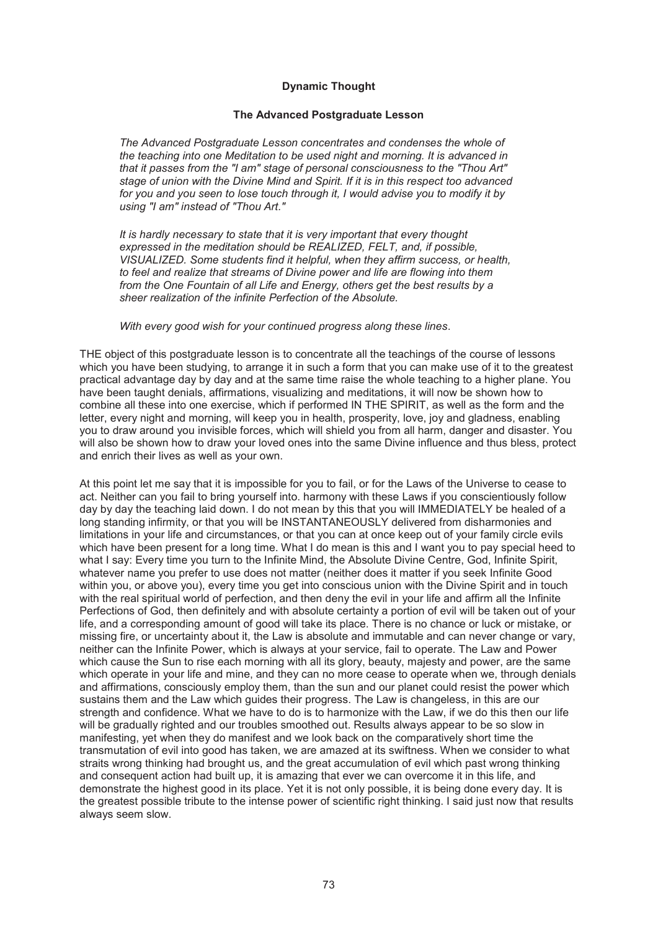## **Dynamic Thought**

## **The Advanced Postgraduate Lesson**

*The Advanced Postgraduate Lesson concentrates and condenses the whole of the teaching into one Meditation to be used night and morning. It is advanced in that it passes from the "I am" stage of personal consciousness to the "Thou Art" stage of union with the Divine Mind and Spirit. If it is in this respect too advanced for you and you seen to lose touch through it, I would advise you to modify it by using "I am" instead of "Thou Art."*

*It is hardly necessary to state that it is very important that every thought expressed in the meditation should be REALIZED, FELT, and, if possible, VISUALIZED. Some students find it helpful, when they affirm success, or health, to feel and realize that streams of Divine power and life are flowing into them from the One Fountain of all Life and Energy, others get the best results by a sheer realization of the infinite Perfection of the Absolute.*

*With every good wish for your continued progress along these lines*.

THE object of this postgraduate lesson is to concentrate all the teachings of the course of lessons which you have been studying, to arrange it in such a form that you can make use of it to the greatest practical advantage day by day and at the same time raise the whole teaching to a higher plane. You have been taught denials, affirmations, visualizing and meditations, it will now be shown how to combine all these into one exercise, which if performed IN THE SPIRIT, as well as the form and the letter, every night and morning, will keep you in health, prosperity, love, joy and gladness, enabling you to draw around you invisible forces, which will shield you from all harm, danger and disaster. You will also be shown how to draw your loved ones into the same Divine influence and thus bless, protect and enrich their lives as well as your own.

At this point let me say that it is impossible for you to fail, or for the Laws of the Universe to cease to act. Neither can you fail to bring yourself into. harmony with these Laws if you conscientiously follow day by day the teaching laid down. I do not mean by this that you will IMMEDIATELY be healed of a long standing infirmity, or that you will be INSTANTANEOUSLY delivered from disharmonies and limitations in your life and circumstances, or that you can at once keep out of your family circle evils which have been present for a long time. What I do mean is this and I want you to pay special heed to what I say: Every time you turn to the Infinite Mind, the Absolute Divine Centre, God, Infinite Spirit, whatever name you prefer to use does not matter (neither does it matter if you seek Infinite Good within you, or above you), every time you get into conscious union with the Divine Spirit and in touch with the real spiritual world of perfection, and then deny the evil in your life and affirm all the Infinite Perfections of God, then definitely and with absolute certainty a portion of evil will be taken out of your life, and a corresponding amount of good will take its place. There is no chance or luck or mistake, or missing fire, or uncertainty about it, the Law is absolute and immutable and can never change or vary, neither can the Infinite Power, which is always at your service, fail to operate. The Law and Power which cause the Sun to rise each morning with all its glory, beauty, majesty and power, are the same which operate in your life and mine, and they can no more cease to operate when we, through denials and affirmations, consciously employ them, than the sun and our planet could resist the power which sustains them and the Law which guides their progress. The Law is changeless, in this are our strength and confidence. What we have to do is to harmonize with the Law, if we do this then our life will be gradually righted and our troubles smoothed out. Results always appear to be so slow in manifesting, yet when they do manifest and we look back on the comparatively short time the transmutation of evil into good has taken, we are amazed at its swiftness. When we consider to what straits wrong thinking had brought us, and the great accumulation of evil which past wrong thinking and consequent action had built up, it is amazing that ever we can overcome it in this life, and demonstrate the highest good in its place. Yet it is not only possible, it is being done every day. It is the greatest possible tribute to the intense power of scientific right thinking. I said just now that results always seem slow.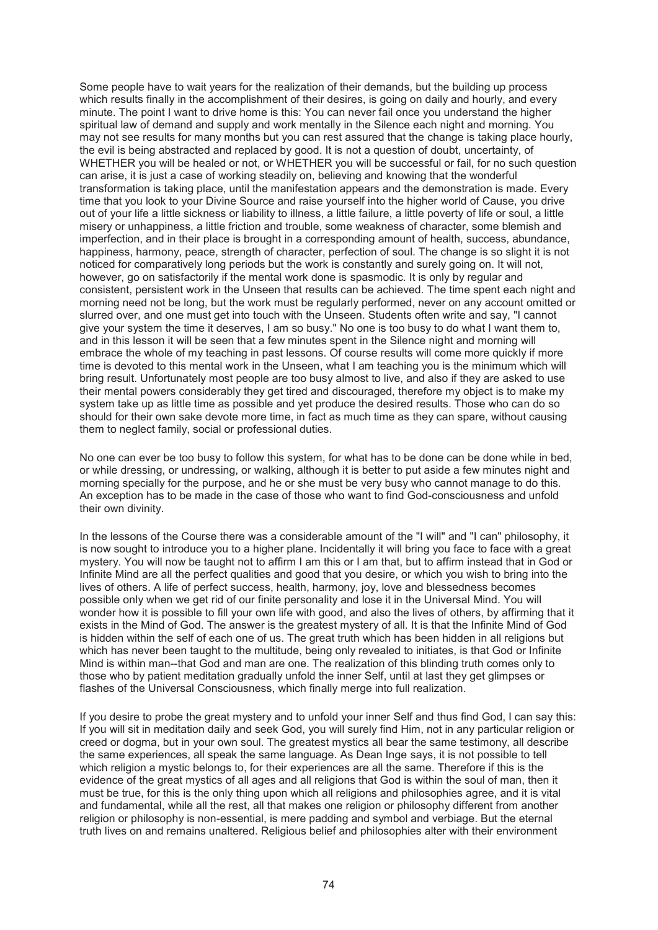Some people have to wait years for the realization of their demands, but the building up process which results finally in the accomplishment of their desires, is going on daily and hourly, and every minute. The point I want to drive home is this: You can never fail once you understand the higher spiritual law of demand and supply and work mentally in the Silence each night and morning. You may not see results for many months but you can rest assured that the change is taking place hourly, the evil is being abstracted and replaced by good. It is not a question of doubt, uncertainty, of WHETHER you will be healed or not, or WHETHER you will be successful or fail, for no such question can arise, it is just a case of working steadily on, believing and knowing that the wonderful transformation is taking place, until the manifestation appears and the demonstration is made. Every time that you look to your Divine Source and raise yourself into the higher world of Cause, you drive out of your life a little sickness or liability to illness, a little failure, a little poverty of life or soul, a little misery or unhappiness, a little friction and trouble, some weakness of character, some blemish and imperfection, and in their place is brought in a corresponding amount of health, success, abundance, happiness, harmony, peace, strength of character, perfection of soul. The change is so slight it is not noticed for comparatively long periods but the work is constantly and surely going on. It will not, however, go on satisfactorily if the mental work done is spasmodic. It is only by regular and consistent, persistent work in the Unseen that results can be achieved. The time spent each night and morning need not be long, but the work must be regularly performed, never on any account omitted or slurred over, and one must get into touch with the Unseen. Students often write and say, "I cannot give your system the time it deserves, I am so busy." No one is too busy to do what I want them to, and in this lesson it will be seen that a few minutes spent in the Silence night and morning will embrace the whole of my teaching in past lessons. Of course results will come more quickly if more time is devoted to this mental work in the Unseen, what I am teaching you is the minimum which will bring result. Unfortunately most people are too busy almost to live, and also if they are asked to use their mental powers considerably they get tired and discouraged, therefore my object is to make my system take up as little time as possible and yet produce the desired results. Those who can do so should for their own sake devote more time, in fact as much time as they can spare, without causing them to neglect family, social or professional duties.

No one can ever be too busy to follow this system, for what has to be done can be done while in bed, or while dressing, or undressing, or walking, although it is better to put aside a few minutes night and morning specially for the purpose, and he or she must be very busy who cannot manage to do this. An exception has to be made in the case of those who want to find God-consciousness and unfold their own divinity.

In the lessons of the Course there was a considerable amount of the "I will" and "I can" philosophy, it is now sought to introduce you to a higher plane. Incidentally it will bring you face to face with a great mystery. You will now be taught not to affirm I am this or I am that, but to affirm instead that in God or Infinite Mind are all the perfect qualities and good that you desire, or which you wish to bring into the lives of others. A life of perfect success, health, harmony, joy, love and blessedness becomes possible only when we get rid of our finite personality and lose it in the Universal Mind. You will wonder how it is possible to fill your own life with good, and also the lives of others, by affirming that it exists in the Mind of God. The answer is the greatest mystery of all. It is that the Infinite Mind of God is hidden within the self of each one of us. The great truth which has been hidden in all religions but which has never been taught to the multitude, being only revealed to initiates, is that God or Infinite Mind is within man--that God and man are one. The realization of this blinding truth comes only to those who by patient meditation gradually unfold the inner Self, until at last they get glimpses or flashes of the Universal Consciousness, which finally merge into full realization.

If you desire to probe the great mystery and to unfold your inner Self and thus find God, I can say this: If you will sit in meditation daily and seek God, you will surely find Him, not in any particular religion or creed or dogma, but in your own soul. The greatest mystics all bear the same testimony, all describe the same experiences, all speak the same language. As Dean Inge says, it is not possible to tell which religion a mystic belongs to, for their experiences are all the same. Therefore if this is the evidence of the great mystics of all ages and all religions that God is within the soul of man, then it must be true, for this is the only thing upon which all religions and philosophies agree, and it is vital and fundamental, while all the rest, all that makes one religion or philosophy different from another religion or philosophy is non-essential, is mere padding and symbol and verbiage. But the eternal truth lives on and remains unaltered. Religious belief and philosophies alter with their environment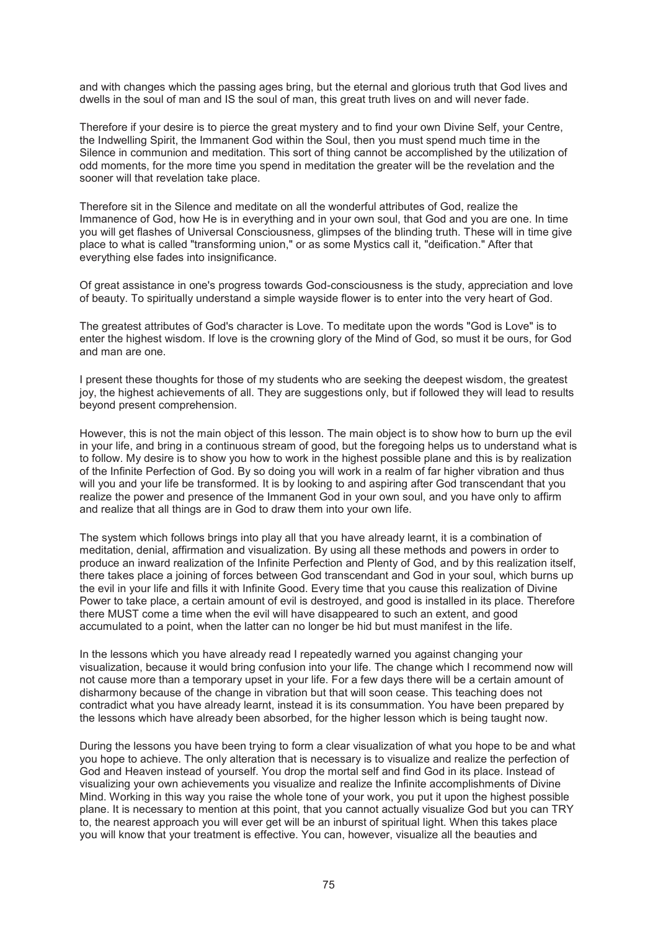and with changes which the passing ages bring, but the eternal and glorious truth that God lives and dwells in the soul of man and IS the soul of man, this great truth lives on and will never fade.

Therefore if your desire is to pierce the great mystery and to find your own Divine Self, your Centre, the Indwelling Spirit, the Immanent God within the Soul, then you must spend much time in the Silence in communion and meditation. This sort of thing cannot be accomplished by the utilization of odd moments, for the more time you spend in meditation the greater will be the revelation and the sooner will that revelation take place.

Therefore sit in the Silence and meditate on all the wonderful attributes of God, realize the Immanence of God, how He is in everything and in your own soul, that God and you are one. In time you will get flashes of Universal Consciousness, glimpses of the blinding truth. These will in time give place to what is called "transforming union," or as some Mystics call it, "deification." After that everything else fades into insignificance.

Of great assistance in one's progress towards God-consciousness is the study, appreciation and love of beauty. To spiritually understand a simple wayside flower is to enter into the very heart of God.

The greatest attributes of God's character is Love. To meditate upon the words "God is Love" is to enter the highest wisdom. If love is the crowning glory of the Mind of God, so must it be ours, for God and man are one.

I present these thoughts for those of my students who are seeking the deepest wisdom, the greatest joy, the highest achievements of all. They are suggestions only, but if followed they will lead to results beyond present comprehension.

However, this is not the main object of this lesson. The main object is to show how to burn up the evil in your life, and bring in a continuous stream of good, but the foregoing helps us to understand what is to follow. My desire is to show you how to work in the highest possible plane and this is by realization of the Infinite Perfection of God. By so doing you will work in a realm of far higher vibration and thus will you and your life be transformed. It is by looking to and aspiring after God transcendant that you realize the power and presence of the Immanent God in your own soul, and you have only to affirm and realize that all things are in God to draw them into your own life.

The system which follows brings into play all that you have already learnt, it is a combination of meditation, denial, affirmation and visualization. By using all these methods and powers in order to produce an inward realization of the Infinite Perfection and Plenty of God, and by this realization itself, there takes place a joining of forces between God transcendant and God in your soul, which burns up the evil in your life and fills it with Infinite Good. Every time that you cause this realization of Divine Power to take place, a certain amount of evil is destroyed, and good is installed in its place. Therefore there MUST come a time when the evil will have disappeared to such an extent, and good accumulated to a point, when the latter can no longer be hid but must manifest in the life.

In the lessons which you have already read I repeatedly warned you against changing your visualization, because it would bring confusion into your life. The change which I recommend now will not cause more than a temporary upset in your life. For a few days there will be a certain amount of disharmony because of the change in vibration but that will soon cease. This teaching does not contradict what you have already learnt, instead it is its consummation. You have been prepared by the lessons which have already been absorbed, for the higher lesson which is being taught now.

During the lessons you have been trying to form a clear visualization of what you hope to be and what you hope to achieve. The only alteration that is necessary is to visualize and realize the perfection of God and Heaven instead of yourself. You drop the mortal self and find God in its place. Instead of visualizing your own achievements you visualize and realize the Infinite accomplishments of Divine Mind. Working in this way you raise the whole tone of your work, you put it upon the highest possible plane. It is necessary to mention at this point, that you cannot actually visualize God but you can TRY to, the nearest approach you will ever get will be an inburst of spiritual light. When this takes place you will know that your treatment is effective. You can, however, visualize all the beauties and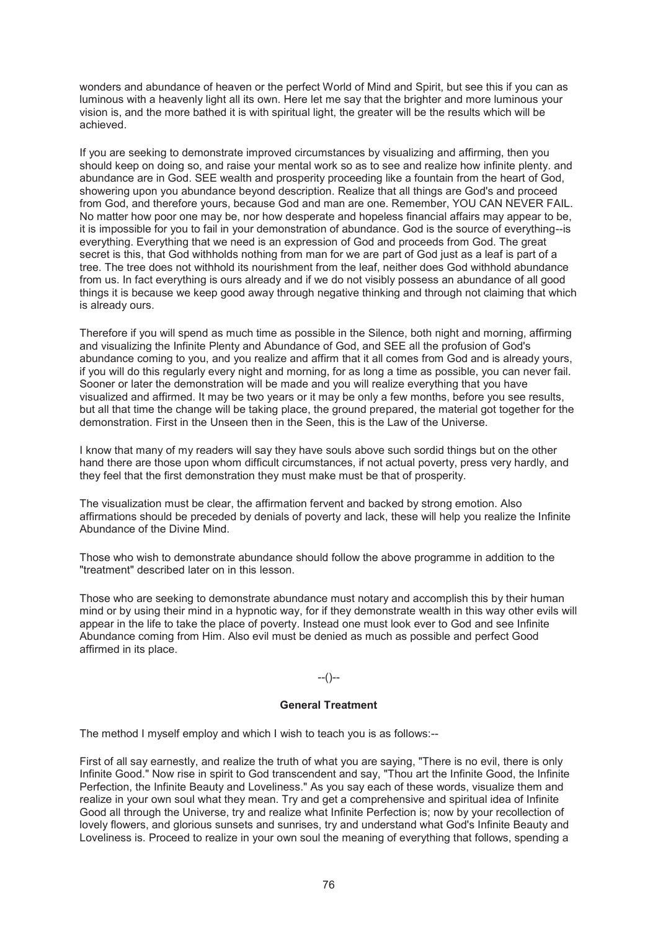wonders and abundance of heaven or the perfect World of Mind and Spirit, but see this if you can as luminous with a heavenly light all its own. Here let me say that the brighter and more luminous your vision is, and the more bathed it is with spiritual light, the greater will be the results which will be achieved.

If you are seeking to demonstrate improved circumstances by visualizing and affirming, then you should keep on doing so, and raise your mental work so as to see and realize how infinite plenty. and abundance are in God. SEE wealth and prosperity proceeding like a fountain from the heart of God, showering upon you abundance beyond description. Realize that all things are God's and proceed from God, and therefore yours, because God and man are one. Remember, YOU CAN NEVER FAIL. No matter how poor one may be, nor how desperate and hopeless financial affairs may appear to be, it is impossible for you to fail in your demonstration of abundance. God is the source of everything--is everything. Everything that we need is an expression of God and proceeds from God. The great secret is this, that God withholds nothing from man for we are part of God just as a leaf is part of a tree. The tree does not withhold its nourishment from the leaf, neither does God withhold abundance from us. In fact everything is ours already and if we do not visibly possess an abundance of all good things it is because we keep good away through negative thinking and through not claiming that which is already ours.

Therefore if you will spend as much time as possible in the Silence, both night and morning, affirming and visualizing the Infinite Plenty and Abundance of God, and SEE all the profusion of God's abundance coming to you, and you realize and affirm that it all comes from God and is already yours, if you will do this regularly every night and morning, for as long a time as possible, you can never fail. Sooner or later the demonstration will be made and you will realize everything that you have visualized and affirmed. It may be two years or it may be only a few months, before you see results, but all that time the change will be taking place, the ground prepared, the material got together for the demonstration. First in the Unseen then in the Seen, this is the Law of the Universe.

I know that many of my readers will say they have souls above such sordid things but on the other hand there are those upon whom difficult circumstances, if not actual poverty, press very hardly, and they feel that the first demonstration they must make must be that of prosperity.

The visualization must be clear, the affirmation fervent and backed by strong emotion. Also affirmations should be preceded by denials of poverty and lack, these will help you realize the Infinite Abundance of the Divine Mind.

Those who wish to demonstrate abundance should follow the above programme in addition to the "treatment" described later on in this lesson.

Those who are seeking to demonstrate abundance must notary and accomplish this by their human mind or by using their mind in a hypnotic way, for if they demonstrate wealth in this way other evils will appear in the life to take the place of poverty. Instead one must look ever to God and see Infinite Abundance coming from Him. Also evil must be denied as much as possible and perfect Good affirmed in its place.

## $-(-)$

## **General Treatment**

The method I myself employ and which I wish to teach you is as follows:--

First of all say earnestly, and realize the truth of what you are saying, "There is no evil, there is only Infinite Good." Now rise in spirit to God transcendent and say, "Thou art the Infinite Good, the Infinite Perfection, the Infinite Beauty and Loveliness." As you say each of these words, visualize them and realize in your own soul what they mean. Try and get a comprehensive and spiritual idea of Infinite Good all through the Universe, try and realize what Infinite Perfection is; now by your recollection of lovely flowers, and glorious sunsets and sunrises, try and understand what God's Infinite Beauty and Loveliness is. Proceed to realize in your own soul the meaning of everything that follows, spending a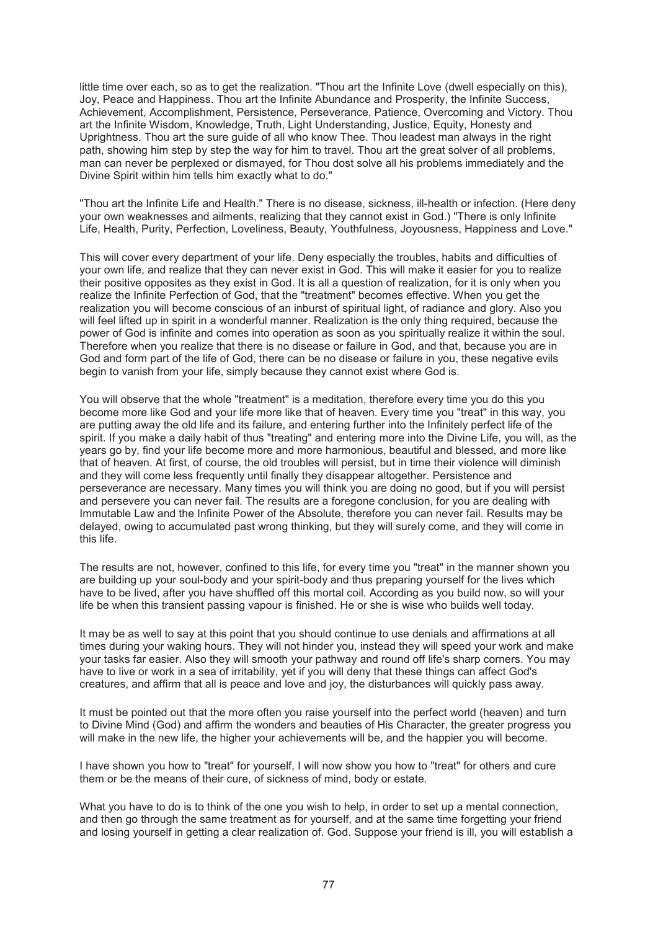little time over each, so as to get the realization. "Thou art the Infinite Love (dwell especially on this), Joy, Peace and Happiness. Thou art the Infinite Abundance and Prosperity, the Infinite Success, Achievement, Accomplishment, Persistence, Perseverance, Patience, Overcoming and Victory. Thou art the Infinite Wisdom, Knowledge, Truth, Light Understanding, Justice, Equity, Honesty and Uprightness. Thou art the sure guide of all who know Thee. Thou leadest man always in the right path, showing him step by step the way for him to travel. Thou art the great solver of all problems, man can never be perplexed or dismayed, for Thou dost solve all his problems immediately and the Divine Spirit within him tells him exactly what to do."

"Thou art the Infinite Life and Health." There is no disease, sickness, ill-health or infection. (Here deny your own weaknesses and ailments, realizing that they cannot exist in God.) "There is only Infinite Life, Health, Purity, Perfection, Loveliness, Beauty, Youthfulness, Joyousness, Happiness and Love."

This will cover every department of your life. Deny especially the troubles, habits and difficulties of your own life, and realize that they can never exist in God. This will make it easier for you to realize their positive opposites as they exist in God. It is all a question of realization, for it is only when you realize the Infinite Perfection of God, that the "treatment" becomes effective. When you get the realization you will become conscious of an inburst of spiritual light, of radiance and glory. Also you will feel lifted up in spirit in a wonderful manner. Realization is the only thing required, because the power of God is infinite and comes into operation as soon as you spiritually realize it within the soul. Therefore when you realize that there is no disease or failure in God, and that, because you are in God and form part of the life of God, there can be no disease or failure in you, these negative evils begin to vanish from your life, simply because they cannot exist where God is.

You will observe that the whole "treatment" is a meditation, therefore every time you do this you become more like God and your life more like that of heaven. Every time you "treat" in this way, you are putting away the old life and its failure, and entering further into the Infinitely perfect life of the spirit. If you make a daily habit of thus "treating" and entering more into the Divine Life, you will, as the years go by, find your life become more and more harmonious, beautiful and blessed, and more like that of heaven. At first, of course, the old troubles will persist, but in time their violence will diminish and they will come less frequently until finally they disappear altogether. Persistence and perseverance are necessary. Many times you will think you are doing no good, but if you will persist and persevere you can never fail. The results are a foregone conclusion, for you are dealing with Immutable Law and the Infinite Power of the Absolute, therefore you can never fail. Results may be delayed, owing to accumulated past wrong thinking, but they will surely come, and they will come in this life.

The results are not, however, confined to this life, for every time you "treat" in the manner shown you are building up your soul-body and your spirit-body and thus preparing yourself for the lives which have to be lived, after you have shuffled off this mortal coil. According as you build now, so will your life be when this transient passing vapour is finished. He or she is wise who builds well today.

It may be as well to say at this point that you should continue to use denials and affirmations at all times during your waking hours. They will not hinder you, instead they will speed your work and make your tasks far easier. Also they will smooth your pathway and round off life's sharp corners. You may have to live or work in a sea of irritability, yet if you will deny that these things can affect God's creatures, and affirm that all is peace and love and joy, the disturbances will quickly pass away.

It must be pointed out that the more often you raise yourself into the perfect world (heaven) and turn to Divine Mind (God) and affirm the wonders and beauties of His Character, the greater progress you will make in the new life, the higher your achievements will be, and the happier you will become.

I have shown you how to "treat" for yourself, I will now show you how to "treat" for others and cure them or be the means of their cure, of sickness of mind, body or estate.

What you have to do is to think of the one you wish to help, in order to set up a mental connection, and then go through the same treatment as for yourself, and at the same time forgetting your friend and losing yourself in getting a clear realization of. God. Suppose your friend is ill, you will establish a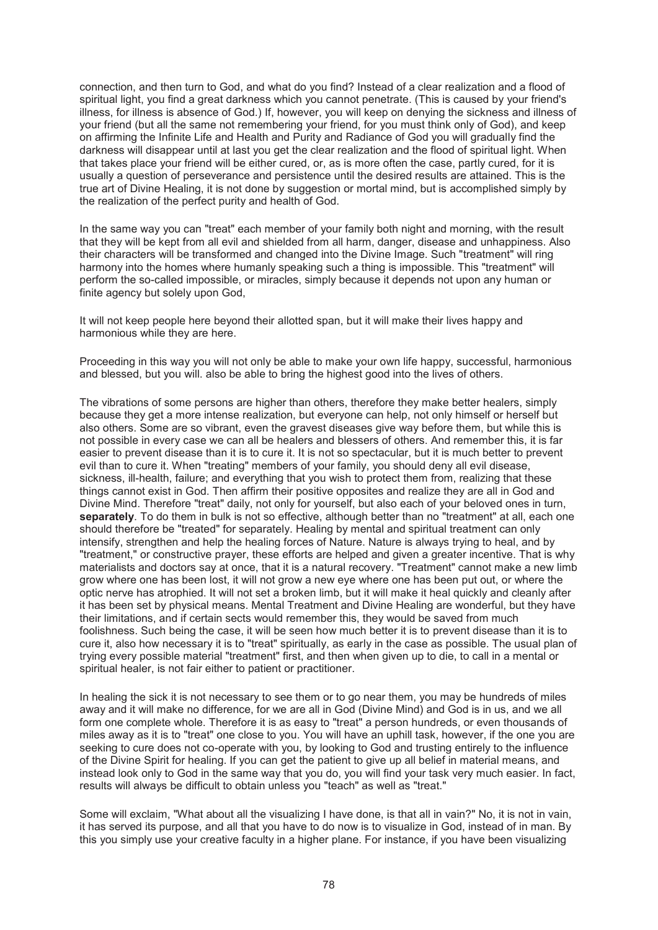connection, and then turn to God, and what do you find? Instead of a clear realization and a flood of spiritual light, you find a great darkness which you cannot penetrate. (This is caused by your friend's illness, for illness is absence of God.) If, however, you will keep on denying the sickness and illness of your friend (but all the same not remembering your friend, for you must think only of God), and keep on affirming the Infinite Life and Health and Purity and Radiance of God you will gradually find the darkness will disappear until at last you get the clear realization and the flood of spiritual light. When that takes place your friend will be either cured, or, as is more often the case, partly cured, for it is usually a question of perseverance and persistence until the desired results are attained. This is the true art of Divine Healing, it is not done by suggestion or mortal mind, but is accomplished simply by the realization of the perfect purity and health of God.

In the same way you can "treat" each member of your family both night and morning, with the result that they will be kept from all evil and shielded from all harm, danger, disease and unhappiness. Also their characters will be transformed and changed into the Divine Image. Such "treatment" will ring harmony into the homes where humanly speaking such a thing is impossible. This "treatment" will perform the so-called impossible, or miracles, simply because it depends not upon any human or finite agency but solely upon God,

It will not keep people here beyond their allotted span, but it will make their lives happy and harmonious while they are here.

Proceeding in this way you will not only be able to make your own life happy, successful, harmonious and blessed, but you will. also be able to bring the highest good into the lives of others.

The vibrations of some persons are higher than others, therefore they make better healers, simply because they get a more intense realization, but everyone can help, not only himself or herself but also others. Some are so vibrant, even the gravest diseases give way before them, but while this is not possible in every case we can all be healers and blessers of others. And remember this, it is far easier to prevent disease than it is to cure it. It is not so spectacular, but it is much better to prevent evil than to cure it. When "treating" members of your family, you should deny all evil disease, sickness, ill-health, failure; and everything that you wish to protect them from, realizing that these things cannot exist in God. Then affirm their positive opposites and realize they are all in God and Divine Mind. Therefore "treat" daily, not only for yourself, but also each of your beloved ones in turn, **separately**. To do them in bulk is not so effective, although better than no "treatment" at all, each one should therefore be "treated" for separately. Healing by mental and spiritual treatment can only intensify, strengthen and help the healing forces of Nature. Nature is always trying to heal, and by "treatment," or constructive prayer, these efforts are helped and given a greater incentive. That is why materialists and doctors say at once, that it is a natural recovery. "Treatment" cannot make a new limb grow where one has been lost, it will not grow a new eye where one has been put out, or where the optic nerve has atrophied. It will not set a broken limb, but it will make it heal quickly and cleanly after it has been set by physical means. Mental Treatment and Divine Healing are wonderful, but they have their limitations, and if certain sects would remember this, they would be saved from much foolishness. Such being the case, it will be seen how much better it is to prevent disease than it is to cure it, also how necessary it is to "treat" spiritually, as early in the case as possible. The usual plan of trying every possible material "treatment" first, and then when given up to die, to call in a mental or spiritual healer, is not fair either to patient or practitioner.

In healing the sick it is not necessary to see them or to go near them, you may be hundreds of miles away and it will make no difference, for we are all in God (Divine Mind) and God is in us, and we all form one complete whole. Therefore it is as easy to "treat" a person hundreds, or even thousands of miles away as it is to "treat" one close to you. You will have an uphill task, however, if the one you are seeking to cure does not co-operate with you, by looking to God and trusting entirely to the influence of the Divine Spirit for healing. If you can get the patient to give up all belief in material means, and instead look only to God in the same way that you do, you will find your task very much easier. In fact, results will always be difficult to obtain unless you "teach" as well as "treat."

Some will exclaim, "What about all the visualizing I have done, is that all in vain?" No, it is not in vain, it has served its purpose, and all that you have to do now is to visualize in God, instead of in man. By this you simply use your creative faculty in a higher plane. For instance, if you have been visualizing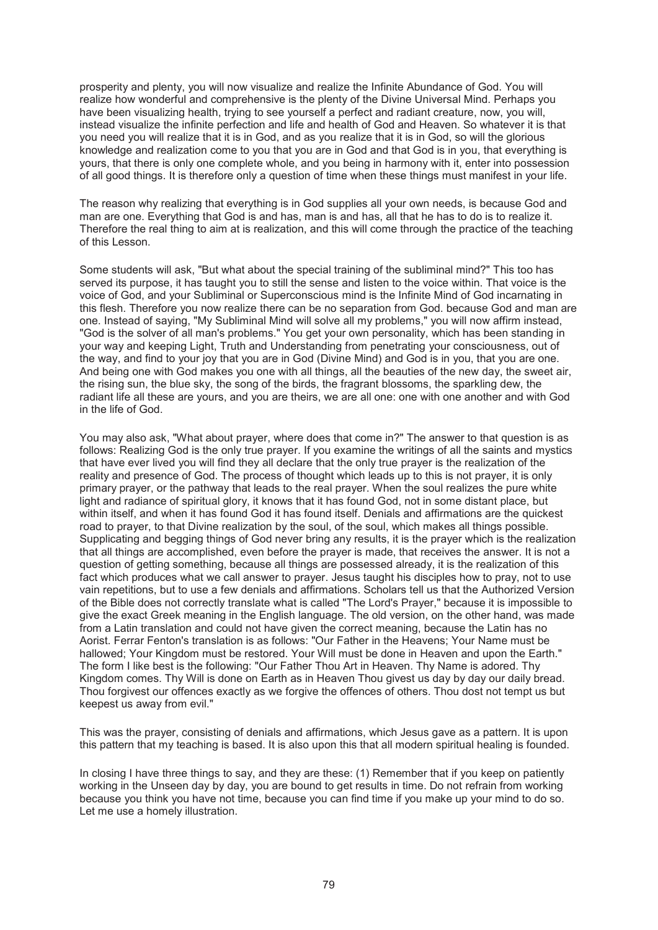prosperity and plenty, you will now visualize and realize the Infinite Abundance of God. You will realize how wonderful and comprehensive is the plenty of the Divine Universal Mind. Perhaps you have been visualizing health, trying to see yourself a perfect and radiant creature, now, you will, instead visualize the infinite perfection and life and health of God and Heaven. So whatever it is that you need you will realize that it is in God, and as you realize that it is in God, so will the glorious knowledge and realization come to you that you are in God and that God is in you, that everything is yours, that there is only one complete whole, and you being in harmony with it, enter into possession of all good things. It is therefore only a question of time when these things must manifest in your life.

The reason why realizing that everything is in God supplies all your own needs, is because God and man are one. Everything that God is and has, man is and has, all that he has to do is to realize it. Therefore the real thing to aim at is realization, and this will come through the practice of the teaching of this Lesson.

Some students will ask, "But what about the special training of the subliminal mind?" This too has served its purpose, it has taught you to still the sense and listen to the voice within. That voice is the voice of God, and your Subliminal or Superconscious mind is the Infinite Mind of God incarnating in this flesh. Therefore you now realize there can be no separation from God. because God and man are one. Instead of saying, "My Subliminal Mind will solve all my problems," you will now affirm instead, "God is the solver of all man's problems." You get your own personality, which has been standing in your way and keeping Light, Truth and Understanding from penetrating your consciousness, out of the way, and find to your joy that you are in God (Divine Mind) and God is in you, that you are one. And being one with God makes you one with all things, all the beauties of the new day, the sweet air, the rising sun, the blue sky, the song of the birds, the fragrant blossoms, the sparkling dew, the radiant life all these are yours, and you are theirs, we are all one: one with one another and with God in the life of God.

You may also ask, "What about prayer, where does that come in?" The answer to that question is as follows: Realizing God is the only true prayer. If you examine the writings of all the saints and mystics that have ever lived you will find they all declare that the only true prayer is the realization of the reality and presence of God. The process of thought which leads up to this is not prayer, it is only primary prayer, or the pathway that leads to the real prayer. When the soul realizes the pure white light and radiance of spiritual glory, it knows that it has found God, not in some distant place, but within itself, and when it has found God it has found itself. Denials and affirmations are the quickest road to prayer, to that Divine realization by the soul, of the soul, which makes all things possible. Supplicating and begging things of God never bring any results, it is the prayer which is the realization that all things are accomplished, even before the prayer is made, that receives the answer. It is not a question of getting something, because all things are possessed already, it is the realization of this fact which produces what we call answer to prayer. Jesus taught his disciples how to pray, not to use vain repetitions, but to use a few denials and affirmations. Scholars tell us that the Authorized Version of the Bible does not correctly translate what is called "The Lord's Prayer," because it is impossible to give the exact Greek meaning in the English language. The old version, on the other hand, was made from a Latin translation and could not have given the correct meaning, because the Latin has no Aorist. Ferrar Fenton's translation is as follows: "Our Father in the Heavens; Your Name must be hallowed; Your Kingdom must be restored. Your Will must be done in Heaven and upon the Earth." The form I like best is the following: "Our Father Thou Art in Heaven. Thy Name is adored. Thy Kingdom comes. Thy Will is done on Earth as in Heaven Thou givest us day by day our daily bread. Thou forgivest our offences exactly as we forgive the offences of others. Thou dost not tempt us but keepest us away from evil."

This was the prayer, consisting of denials and affirmations, which Jesus gave as a pattern. It is upon this pattern that my teaching is based. It is also upon this that all modern spiritual healing is founded.

In closing I have three things to say, and they are these: (1) Remember that if you keep on patiently working in the Unseen day by day, you are bound to get results in time. Do not refrain from working because you think you have not time, because you can find time if you make up your mind to do so. Let me use a homely illustration.